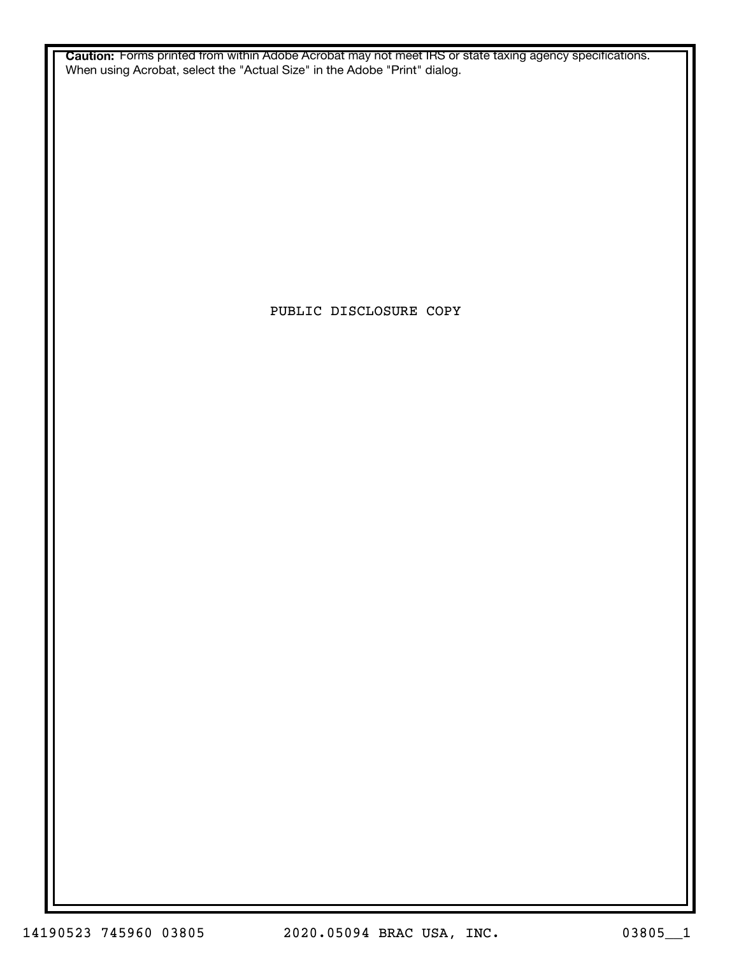**Caution:** Forms printed from within Adobe Acrobat may not meet IRS or state taxing agency specifications. When using Acrobat, select the "Actual Size" in the Adobe "Print" dialog.

PUBLIC DISCLOSURE COPY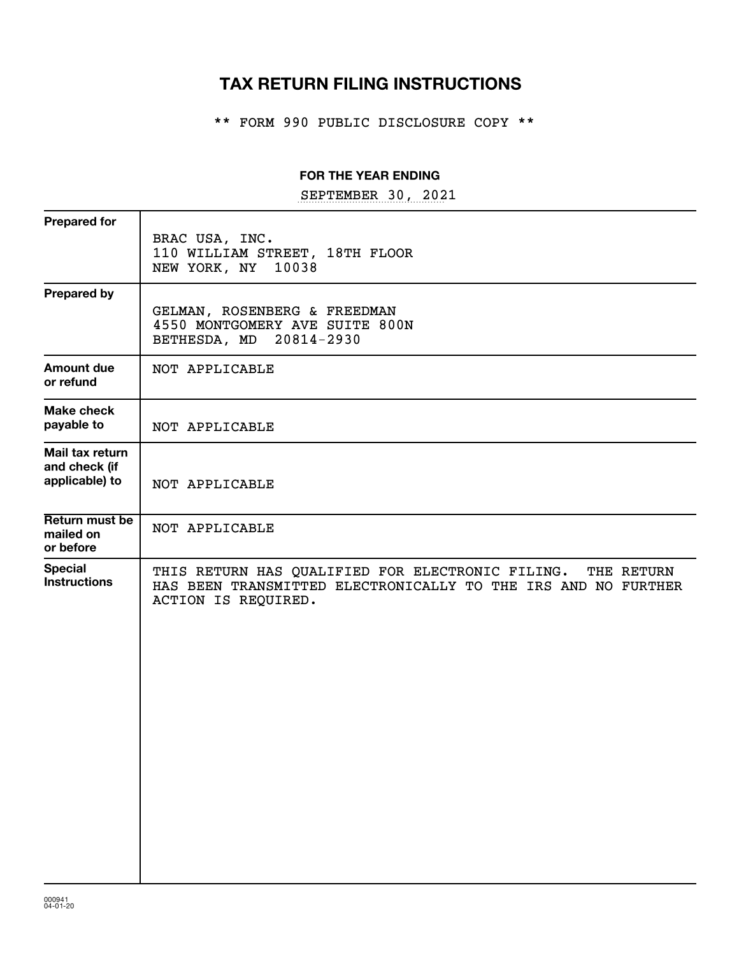# **TAX RETURN FILING INSTRUCTIONS**

\*\* FORM 990 PUBLIC DISCLOSURE COPY \*\*

#### **FOR THE YEAR ENDING**

SEPTEMBER 30, 2021

| <b>Prepared for</b>                                |                                                                                                                                                     |
|----------------------------------------------------|-----------------------------------------------------------------------------------------------------------------------------------------------------|
|                                                    | BRAC USA, INC.<br>110 WILLIAM STREET, 18TH FLOOR<br>NEW YORK, NY<br>10038                                                                           |
| <b>Prepared by</b>                                 | GELMAN, ROSENBERG & FREEDMAN<br>4550 MONTGOMERY AVE SUITE 800N<br>BETHESDA, MD 20814-2930                                                           |
| Amount due<br>or refund                            | NOT APPLICABLE                                                                                                                                      |
| <b>Make check</b><br>payable to                    | NOT APPLICABLE                                                                                                                                      |
| Mail tax return<br>and check (if<br>applicable) to | NOT APPLICABLE                                                                                                                                      |
| Return must be<br>mailed on<br>or before           | NOT APPLICABLE                                                                                                                                      |
| <b>Special</b><br><b>Instructions</b>              | THIS RETURN HAS QUALIFIED FOR ELECTRONIC FILING. THE RETURN<br>HAS BEEN TRANSMITTED ELECTRONICALLY TO THE IRS AND NO FURTHER<br>ACTION IS REQUIRED. |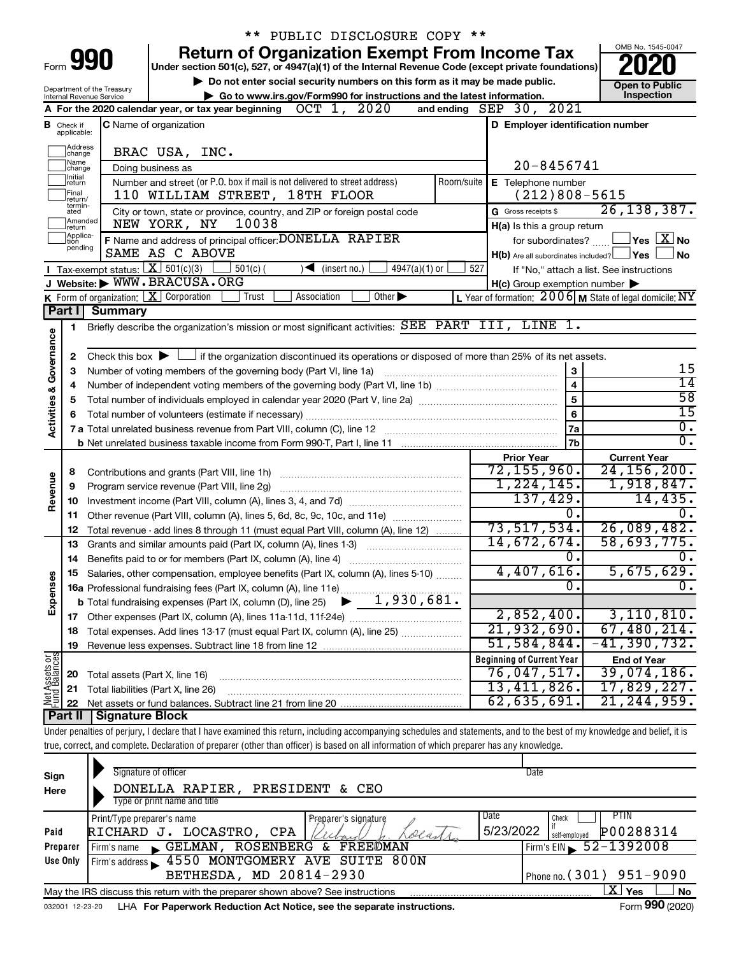|                         |                                  |                                                        | ** PUBLIC DISCLOSURE COPY **                                                                                                                                               |                                                                               |                                          |
|-------------------------|----------------------------------|--------------------------------------------------------|----------------------------------------------------------------------------------------------------------------------------------------------------------------------------|-------------------------------------------------------------------------------|------------------------------------------|
|                         |                                  |                                                        | <b>Return of Organization Exempt From Income Tax</b>                                                                                                                       |                                                                               | OMB No. 1545-0047                        |
|                         |                                  | Form 990                                               | Under section 501(c), 527, or 4947(a)(1) of the Internal Revenue Code (except private foundations)                                                                         |                                                                               |                                          |
|                         |                                  |                                                        | Do not enter social security numbers on this form as it may be made public.                                                                                                |                                                                               | <b>Open to Public</b>                    |
|                         |                                  | Department of the Treasury<br>Internal Revenue Service | Go to www.irs.gov/Form990 for instructions and the latest information.                                                                                                     |                                                                               | Inspection                               |
|                         |                                  |                                                        | OCT 1, 2020<br>A For the 2020 calendar year, or tax year beginning                                                                                                         | and ending SEP 30, 2021                                                       |                                          |
|                         | <b>B</b> Check if<br>applicable: |                                                        | <b>C</b> Name of organization                                                                                                                                              | D Employer identification number                                              |                                          |
|                         | ]Address<br>]change              |                                                        | BRAC USA, INC.                                                                                                                                                             |                                                                               |                                          |
|                         | ]Name<br>]change<br>1Initial     |                                                        | Doing business as                                                                                                                                                          | 20-8456741                                                                    |                                          |
|                         | ∣return<br> Final<br>lreturn/    |                                                        | Number and street (or P.O. box if mail is not delivered to street address)<br>Room/suite<br>110 WILLIAM STREET, 18TH FLOOR                                                 | E Telephone number<br>$(212)808 - 5615$                                       |                                          |
|                         | termin-<br>ated                  |                                                        | City or town, state or province, country, and ZIP or foreign postal code                                                                                                   | G Gross receipts \$                                                           | 26, 138, 387.                            |
|                         | Amended<br>Ireturn               |                                                        | 10038<br>NEW YORK, NY                                                                                                                                                      | H(a) Is this a group return                                                   |                                          |
|                         | Applica-<br>tion                 |                                                        | F Name and address of principal officer: DONELLA RAPIER                                                                                                                    | for subordinates?                                                             | $\Box$ Yes $\Box X$ No                   |
|                         | pending                          |                                                        | SAME AS C ABOVE                                                                                                                                                            | $H(b)$ Are all subordinates included? $\Box$ Yes                              | ⊥No                                      |
|                         |                                  |                                                        | Tax-exempt status: $X \ 501(c)(3)$<br>$501(c)$ (<br>$\blacktriangleright$ (insert no.)<br>$4947(a)(1)$ or                                                                  | 527                                                                           | If "No," attach a list. See instructions |
|                         |                                  |                                                        | J Website: WWW.BRACUSA.ORG                                                                                                                                                 | $H(c)$ Group exemption number $\blacktriangleright$                           |                                          |
|                         |                                  |                                                        | K Form of organization: $X$ Corporation<br>Other $\blacktriangleright$<br>Trust<br>Association                                                                             | L Year of formation: $2006$ M State of legal domicile: $\overline{\text{NY}}$ |                                          |
|                         | Part I                           | <b>Summary</b>                                         |                                                                                                                                                                            |                                                                               |                                          |
|                         | 1                                |                                                        | Briefly describe the organization's mission or most significant activities: SEE PART III, LINE 1.                                                                          |                                                                               |                                          |
| Governance              |                                  |                                                        |                                                                                                                                                                            |                                                                               |                                          |
|                         | 2                                |                                                        | Check this box $\blacktriangleright$ $\Box$ if the organization discontinued its operations or disposed of more than 25% of its net assets.                                |                                                                               |                                          |
|                         | з                                |                                                        | Number of voting members of the governing body (Part VI, line 1a)                                                                                                          | 3                                                                             | 15                                       |
|                         | 4                                |                                                        |                                                                                                                                                                            | $\overline{\mathbf{4}}$                                                       | $\overline{14}$                          |
|                         | 5                                |                                                        | 5                                                                                                                                                                          | $\overline{58}$                                                               |                                          |
| <b>Activities &amp;</b> | 6                                |                                                        | 6                                                                                                                                                                          | $\overline{15}$                                                               |                                          |
|                         |                                  |                                                        |                                                                                                                                                                            | 7a                                                                            | $\overline{0}$ .                         |
|                         |                                  |                                                        | b Net unrelated business taxable income from Form 990-T, Part I, line 11 [1] [1] [1] [1] Net unrelated business taxable income from Form 990-T, Part I, line 11            | 7b                                                                            | $\overline{0}$ .                         |
|                         |                                  |                                                        |                                                                                                                                                                            | <b>Prior Year</b>                                                             | <b>Current Year</b>                      |
|                         | 8                                |                                                        |                                                                                                                                                                            | 72, 155, 960.                                                                 | 24, 156, 200.                            |
|                         | 9                                |                                                        | Program service revenue (Part VIII, line 2g)                                                                                                                               | 1, 224, 145.                                                                  | 1,918,847.                               |
| Revenue                 | 10                               |                                                        |                                                                                                                                                                            | 137,429.                                                                      | 14,435.                                  |
|                         | 11                               |                                                        | Other revenue (Part VIII, column (A), lines 5, 6d, 8c, 9c, 10c, and 11e)                                                                                                   | $\overline{0}$ .                                                              | 0.                                       |
|                         | 12                               |                                                        | Total revenue - add lines 8 through 11 (must equal Part VIII, column (A), line 12)                                                                                         | 73, 517, 534.                                                                 | 26,089,482.                              |
|                         | 13                               |                                                        | Grants and similar amounts paid (Part IX, column (A), lines 1-3)                                                                                                           | 14,672,674.                                                                   | 58,693,775.                              |
|                         |                                  |                                                        |                                                                                                                                                                            | $\overline{0}$ .                                                              | $\overline{0}$ .                         |
|                         |                                  |                                                        | Salaries, other compensation, employee benefits (Part IX, column (A), lines 5-10)                                                                                          | 4,407,616.                                                                    | 5,675,629.                               |
| Expenses                |                                  |                                                        | 16a Professional fundraising fees (Part IX, column (A), line 11e)                                                                                                          | σ.                                                                            | $\overline{0}$ .                         |
|                         |                                  |                                                        | 1,930,681.<br><b>b</b> Total fundraising expenses (Part IX, column (D), line 25)                                                                                           |                                                                               |                                          |
|                         |                                  |                                                        | 17 Other expenses (Part IX, column (A), lines 11a-11d, 11f-24e)                                                                                                            | 2,852,400.                                                                    | 3, 110, 810.                             |
|                         | 18                               |                                                        | Total expenses. Add lines 13-17 (must equal Part IX, column (A), line 25) <i></i>                                                                                          | 21,932,690.                                                                   | 67,480,214.                              |
|                         | 19                               |                                                        |                                                                                                                                                                            | 51,584,844.                                                                   | $-41,390,732$ .                          |
|                         |                                  |                                                        |                                                                                                                                                                            | <b>Beginning of Current Year</b>                                              | <b>End of Year</b>                       |
|                         | 20                               | Total assets (Part X, line 16)                         |                                                                                                                                                                            | 76,047,517.                                                                   | 39,074,186.                              |
|                         | 21                               |                                                        | Total liabilities (Part X, line 26)                                                                                                                                        | 13,411,826.                                                                   | 17,829,227.                              |
| Net Assets or           | 22                               |                                                        |                                                                                                                                                                            | 62,635,691.                                                                   | 21, 244, 959.                            |
|                         | Part II                          | <b>Signature Block</b>                                 |                                                                                                                                                                            |                                                                               |                                          |
|                         |                                  |                                                        | Under penalties of perjury, I declare that I have examined this return, including accompanying schedules and statements, and to the best of my knowledge and belief, it is |                                                                               |                                          |
|                         |                                  |                                                        | true, correct, and complete. Declaration of preparer (other than officer) is based on all information of which preparer has any knowledge.                                 |                                                                               |                                          |
|                         |                                  |                                                        | Signature of officer                                                                                                                                                       | Date                                                                          |                                          |
| Sign                    |                                  |                                                        |                                                                                                                                                                            |                                                                               |                                          |

| Sign            | <b>Signally OF OTIGER</b>                                                       | <b>DAIR</b>                             |
|-----------------|---------------------------------------------------------------------------------|-----------------------------------------|
| Here            | PRESIDENT & CEO<br>DONELLA RAPIER,                                              |                                         |
|                 | Type or print name and title                                                    |                                         |
|                 | Print/Type preparer's name<br>Preparer's signature                              | Date<br>PTIN<br>Check                   |
| Paid            | LOCASTRO,<br>RICHARD J.<br><b>CPA</b><br>elans                                  | 5/23/2022<br>P00288314<br>self-employed |
| Preparer        | ROSENBERG<br>FREEØMAN<br>GELMAN,<br>&.<br>Firm's name                           | Firm's EIN $\, 52 - 1392008$            |
| Use Only        | Firm's address 1550 MONTGOMERY AVE SUITE 800N                                   |                                         |
|                 | BETHESDA, MD 20814-2930                                                         | Phone no. $(301)$ 951-9090              |
|                 | May the IRS discuss this return with the preparer shown above? See instructions | ΧI<br>Yes<br><b>No</b>                  |
| 032001 12-23-20 | LHA For Paperwork Reduction Act Notice, see the separate instructions.          | Form 990 (2020)                         |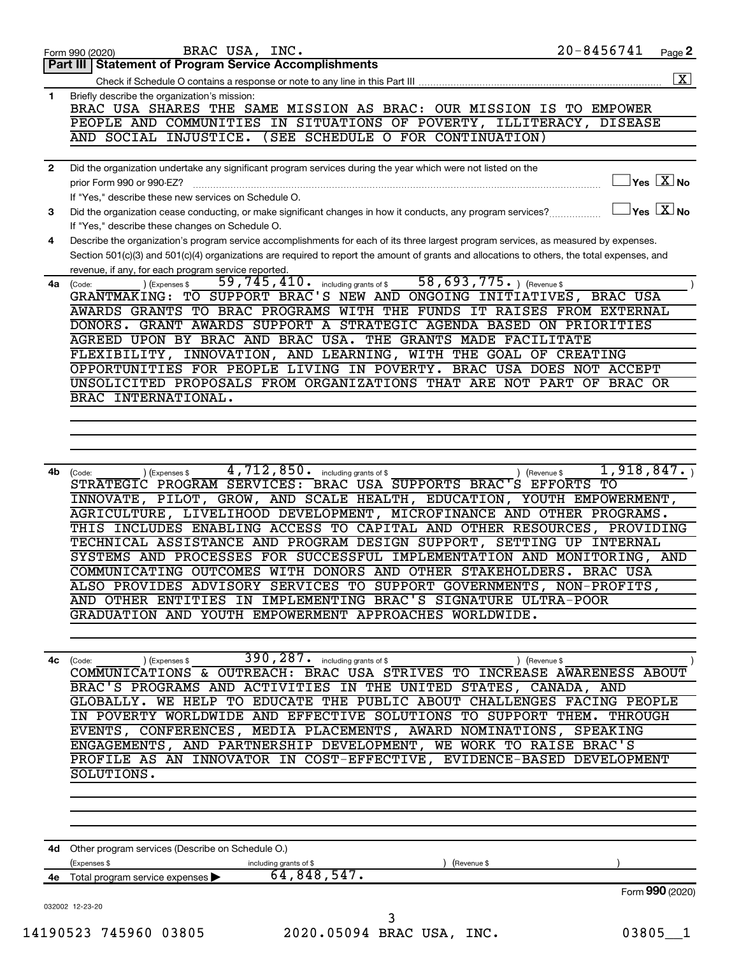|    | $20 - 8456741$<br>BRAC USA, INC.<br>Page 2<br>Form 990 (2020)                                                                                                                                                                                                                        |
|----|--------------------------------------------------------------------------------------------------------------------------------------------------------------------------------------------------------------------------------------------------------------------------------------|
|    | <b>Part III   Statement of Program Service Accomplishments</b>                                                                                                                                                                                                                       |
|    |                                                                                                                                                                                                                                                                                      |
| 1  | Briefly describe the organization's mission:<br>BRAC USA SHARES THE SAME MISSION AS BRAC: OUR MISSION IS TO EMPOWER                                                                                                                                                                  |
|    | PEOPLE AND COMMUNITIES IN SITUATIONS OF POVERTY, ILLITERACY, DISEASE                                                                                                                                                                                                                 |
|    | AND SOCIAL INJUSTICE. (SEE SCHEDULE O FOR CONTINUATION)                                                                                                                                                                                                                              |
|    |                                                                                                                                                                                                                                                                                      |
| 2  | Did the organization undertake any significant program services during the year which were not listed on the                                                                                                                                                                         |
|    | $\Box$ Yes $~\boxed{\text{X}}$ No<br>prior Form 990 or 990-EZ?                                                                                                                                                                                                                       |
|    | If "Yes," describe these new services on Schedule O.                                                                                                                                                                                                                                 |
| 3  | $\Box$ Yes $[\overline{\mathrm{X}}]$ No<br>Did the organization cease conducting, or make significant changes in how it conducts, any program services?                                                                                                                              |
|    | If "Yes," describe these changes on Schedule O.                                                                                                                                                                                                                                      |
| 4  | Describe the organization's program service accomplishments for each of its three largest program services, as measured by expenses.<br>Section 501(c)(3) and 501(c)(4) organizations are required to report the amount of grants and allocations to others, the total expenses, and |
|    | revenue, if any, for each program service reported.                                                                                                                                                                                                                                  |
| 4a | 59, 745, 410. including grants of \$ 58, 693, 775. ) (Revenue \$<br>) (Expenses \$<br>(Code:                                                                                                                                                                                         |
|    | GRANTMAKING: TO SUPPORT BRAC'S NEW AND ONGOING INITIATIVES, BRAC USA                                                                                                                                                                                                                 |
|    | AWARDS GRANTS TO BRAC PROGRAMS WITH THE FUNDS IT RAISES FROM EXTERNAL                                                                                                                                                                                                                |
|    | DONORS. GRANT AWARDS SUPPORT A STRATEGIC AGENDA BASED ON PRIORITIES                                                                                                                                                                                                                  |
|    | AGREED UPON BY BRAC AND BRAC USA. THE GRANTS MADE FACILITATE                                                                                                                                                                                                                         |
|    | FLEXIBILITY, INNOVATION, AND LEARNING, WITH THE GOAL OF CREATING                                                                                                                                                                                                                     |
|    | OPPORTUNITIES FOR PEOPLE LIVING IN POVERTY. BRAC USA DOES NOT ACCEPT                                                                                                                                                                                                                 |
|    | UNSOLICITED PROPOSALS FROM ORGANIZATIONS THAT ARE NOT PART OF BRAC OR                                                                                                                                                                                                                |
|    | BRAC INTERNATIONAL.                                                                                                                                                                                                                                                                  |
|    |                                                                                                                                                                                                                                                                                      |
|    |                                                                                                                                                                                                                                                                                      |
|    |                                                                                                                                                                                                                                                                                      |
| 4b | 4,712,850. including grants of \$<br>1,918,847.<br>) (Expenses \$<br>) (Revenue \$<br>(Code:                                                                                                                                                                                         |
|    | STRATEGIC PROGRAM SERVICES: BRAC USA SUPPORTS BRAC'S EFFORTS TO                                                                                                                                                                                                                      |
|    | INNOVATE, PILOT, GROW, AND SCALE HEALTH, EDUCATION, YOUTH EMPOWERMENT,                                                                                                                                                                                                               |
|    | AGRICULTURE, LIVELIHOOD DEVELOPMENT, MICROFINANCE AND OTHER PROGRAMS.                                                                                                                                                                                                                |
|    | THIS INCLUDES ENABLING ACCESS TO CAPITAL AND OTHER RESOURCES, PROVIDING                                                                                                                                                                                                              |
|    | TECHNICAL ASSISTANCE AND PROGRAM DESIGN SUPPORT, SETTING UP INTERNAL                                                                                                                                                                                                                 |
|    | SYSTEMS AND PROCESSES FOR SUCCESSFUL IMPLEMENTATION AND MONITORING, AND<br>COMMUNICATING OUTCOMES WITH DONORS AND OTHER STAKEHOLDERS. BRAC USA                                                                                                                                       |
|    | ALSO PROVIDES ADVISORY SERVICES TO SUPPORT GOVERNMENTS, NON-PROFITS,                                                                                                                                                                                                                 |
|    | AND OTHER ENTITIES IN IMPLEMENTING BRAC'S SIGNATURE ULTRA-POOR                                                                                                                                                                                                                       |
|    | GRADUATION AND YOUTH EMPOWERMENT APPROACHES WORLDWIDE.                                                                                                                                                                                                                               |
|    |                                                                                                                                                                                                                                                                                      |
|    |                                                                                                                                                                                                                                                                                      |
| 4с | $\overline{390,287}$ including grants of \$<br>(Expenses \$<br>) (Revenue \$<br>(Code:                                                                                                                                                                                               |
|    | COMMUNICATIONS & OUTREACH: BRAC USA STRIVES TO INCREASE AWARENESS ABOUT                                                                                                                                                                                                              |
|    | BRAC'S PROGRAMS AND ACTIVITIES IN THE UNITED STATES, CANADA, AND                                                                                                                                                                                                                     |
|    | GLOBALLY. WE HELP TO EDUCATE THE PUBLIC ABOUT CHALLENGES FACING PEOPLE                                                                                                                                                                                                               |
|    | IN POVERTY WORLDWIDE AND EFFECTIVE SOLUTIONS TO SUPPORT THEM. THROUGH<br>EVENTS, CONFERENCES, MEDIA PLACEMENTS, AWARD NOMINATIONS, SPEAKING                                                                                                                                          |
|    | ENGAGEMENTS, AND PARTNERSHIP DEVELOPMENT, WE WORK TO RAISE BRAC'S                                                                                                                                                                                                                    |
|    | PROFILE AS AN INNOVATOR IN COST-EFFECTIVE, EVIDENCE-BASED DEVELOPMENT                                                                                                                                                                                                                |
|    | SOLUTIONS.                                                                                                                                                                                                                                                                           |
|    |                                                                                                                                                                                                                                                                                      |
|    |                                                                                                                                                                                                                                                                                      |
|    |                                                                                                                                                                                                                                                                                      |
|    | 4d Other program services (Describe on Schedule O.)                                                                                                                                                                                                                                  |
|    | (Expenses \$<br>including grants of \$<br>(Revenue \$                                                                                                                                                                                                                                |
|    | 64,848,547.<br>4e Total program service expenses >                                                                                                                                                                                                                                   |
|    | Form 990 (2020)                                                                                                                                                                                                                                                                      |
|    | 032002 12-23-20                                                                                                                                                                                                                                                                      |
|    | 3                                                                                                                                                                                                                                                                                    |
|    | 14190523 745960 03805<br>2020.05094 BRAC USA, INC.<br>$03805 - 1$                                                                                                                                                                                                                    |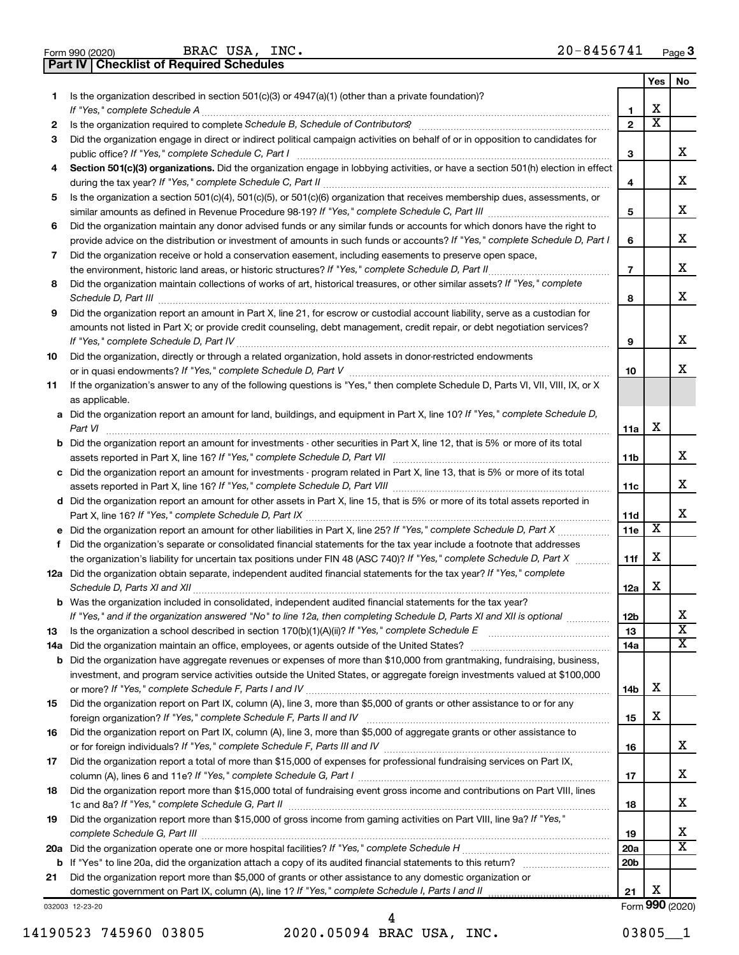|  | Form 990 (2020) |
|--|-----------------|

Form 990 (2020) Page BRAC USA, INC.  $20-8456741$ 

**Part IV Checklist of Required Schedules**

|     |                                                                                                                                       |                 | Yes                     | No                      |
|-----|---------------------------------------------------------------------------------------------------------------------------------------|-----------------|-------------------------|-------------------------|
| 1   | Is the organization described in section $501(c)(3)$ or $4947(a)(1)$ (other than a private foundation)?                               |                 |                         |                         |
|     | If "Yes," complete Schedule A                                                                                                         | 1               | х                       |                         |
| 2   |                                                                                                                                       | $\mathbf{2}$    | $\overline{\textbf{x}}$ |                         |
| З   | Did the organization engage in direct or indirect political campaign activities on behalf of or in opposition to candidates for       |                 |                         |                         |
|     | public office? If "Yes," complete Schedule C, Part I                                                                                  | 3               |                         | x                       |
| 4   | Section 501(c)(3) organizations. Did the organization engage in lobbying activities, or have a section 501(h) election in effect      |                 |                         |                         |
|     |                                                                                                                                       | 4               |                         | х                       |
| 5   | Is the organization a section 501(c)(4), 501(c)(5), or 501(c)(6) organization that receives membership dues, assessments, or          |                 |                         |                         |
|     |                                                                                                                                       | 5               |                         | х                       |
| 6   | Did the organization maintain any donor advised funds or any similar funds or accounts for which donors have the right to             |                 |                         |                         |
|     | provide advice on the distribution or investment of amounts in such funds or accounts? If "Yes," complete Schedule D, Part I          | 6               |                         | х                       |
| 7   | Did the organization receive or hold a conservation easement, including easements to preserve open space,                             |                 |                         |                         |
|     |                                                                                                                                       | $\overline{7}$  |                         | х                       |
| 8   | Did the organization maintain collections of works of art, historical treasures, or other similar assets? If "Yes," complete          |                 |                         |                         |
|     |                                                                                                                                       | 8               |                         | x                       |
| 9   | Did the organization report an amount in Part X, line 21, for escrow or custodial account liability, serve as a custodian for         |                 |                         |                         |
|     | amounts not listed in Part X; or provide credit counseling, debt management, credit repair, or debt negotiation services?             |                 |                         |                         |
|     |                                                                                                                                       | 9               |                         | х                       |
| 10  | Did the organization, directly or through a related organization, hold assets in donor-restricted endowments                          |                 |                         |                         |
|     |                                                                                                                                       | 10              |                         | x                       |
| 11  | If the organization's answer to any of the following questions is "Yes," then complete Schedule D, Parts VI, VII, VIII, IX, or X      |                 |                         |                         |
|     | as applicable.                                                                                                                        |                 |                         |                         |
|     | a Did the organization report an amount for land, buildings, and equipment in Part X, line 10? If "Yes," complete Schedule D,         |                 |                         |                         |
|     |                                                                                                                                       |                 | х                       |                         |
|     |                                                                                                                                       | 11a             |                         |                         |
|     | <b>b</b> Did the organization report an amount for investments - other securities in Part X, line 12, that is 5% or more of its total |                 |                         | х                       |
|     |                                                                                                                                       | 11 <sub>b</sub> |                         |                         |
|     | c Did the organization report an amount for investments - program related in Part X, line 13, that is 5% or more of its total         |                 |                         | х                       |
|     |                                                                                                                                       | 11c             |                         |                         |
|     | d Did the organization report an amount for other assets in Part X, line 15, that is 5% or more of its total assets reported in       |                 |                         | х                       |
|     |                                                                                                                                       | 11d             | X                       |                         |
|     |                                                                                                                                       | 11e             |                         |                         |
|     | f Did the organization's separate or consolidated financial statements for the tax year include a footnote that addresses             |                 |                         |                         |
|     | the organization's liability for uncertain tax positions under FIN 48 (ASC 740)? If "Yes," complete Schedule D, Part X                | 11f             | х                       |                         |
|     | 12a Did the organization obtain separate, independent audited financial statements for the tax year? If "Yes," complete               |                 |                         |                         |
|     |                                                                                                                                       | 12a             | х                       |                         |
|     | b Was the organization included in consolidated, independent audited financial statements for the tax year?                           |                 |                         |                         |
|     | If "Yes," and if the organization answered "No" to line 12a, then completing Schedule D, Parts XI and XII is optional                 | 12 <sub>b</sub> |                         | х                       |
| 13  |                                                                                                                                       | 13              |                         | $\overline{\textbf{x}}$ |
| 14a |                                                                                                                                       | 14a             |                         | х                       |
| b   | Did the organization have aggregate revenues or expenses of more than \$10,000 from grantmaking, fundraising, business,               |                 |                         |                         |
|     | investment, and program service activities outside the United States, or aggregate foreign investments valued at \$100,000            |                 |                         |                         |
|     |                                                                                                                                       | 14b             | х                       |                         |
| 15  | Did the organization report on Part IX, column (A), line 3, more than \$5,000 of grants or other assistance to or for any             |                 |                         |                         |
|     |                                                                                                                                       | 15              | х                       |                         |
| 16  | Did the organization report on Part IX, column (A), line 3, more than \$5,000 of aggregate grants or other assistance to              |                 |                         |                         |
|     |                                                                                                                                       | 16              |                         | x                       |
| 17  | Did the organization report a total of more than \$15,000 of expenses for professional fundraising services on Part IX,               |                 |                         |                         |
|     |                                                                                                                                       | 17              |                         | х                       |
| 18  | Did the organization report more than \$15,000 total of fundraising event gross income and contributions on Part VIII, lines          |                 |                         |                         |
|     |                                                                                                                                       | 18              |                         | х                       |
| 19  | Did the organization report more than \$15,000 of gross income from gaming activities on Part VIII, line 9a? If "Yes,"                |                 |                         |                         |
|     |                                                                                                                                       | 19              |                         | х                       |
|     |                                                                                                                                       | 20a             |                         | х                       |
|     |                                                                                                                                       | 20 <sub>b</sub> |                         |                         |
| 21  | Did the organization report more than \$5,000 of grants or other assistance to any domestic organization or                           |                 |                         |                         |
|     |                                                                                                                                       | 21              | х                       |                         |
|     | 032003 12-23-20                                                                                                                       |                 |                         | Form 990 (2020)         |

14190523 745960 03805 2020.05094 BRAC USA, INC. 03805\_\_1 4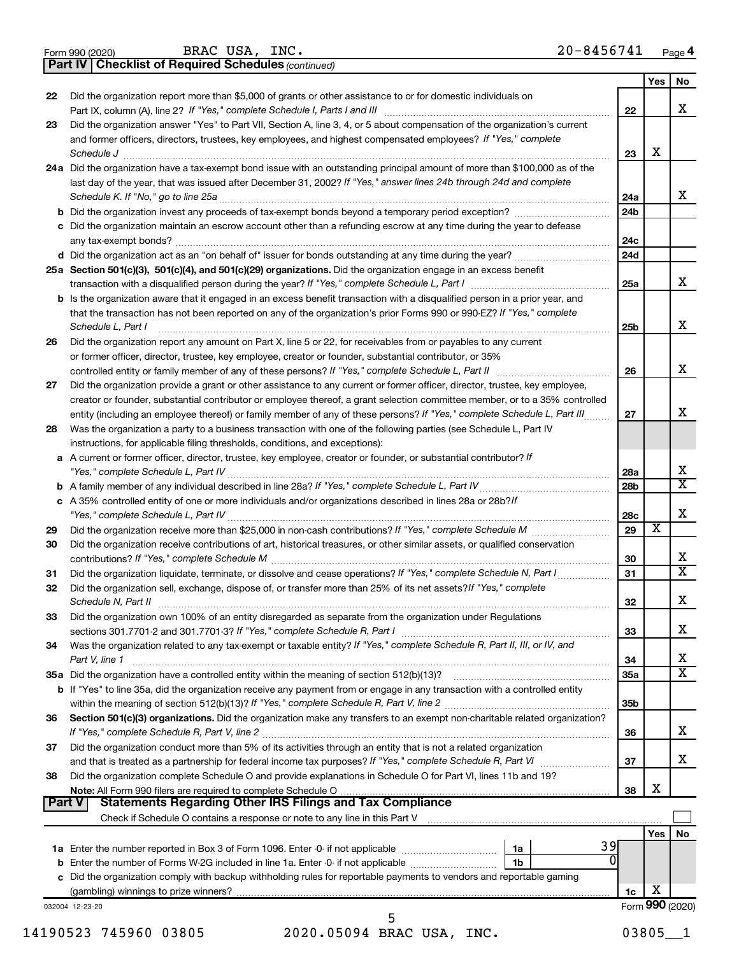|  | Form 990 (2020) |
|--|-----------------|
|  |                 |

BRAC USA, INC.  $20-8456741$ 

**Part IV Checklist of Required Schedules**

*(continued)*

|               |                                                                                                                                                                                                                                                              |                 | Yes | No                           |  |
|---------------|--------------------------------------------------------------------------------------------------------------------------------------------------------------------------------------------------------------------------------------------------------------|-----------------|-----|------------------------------|--|
| 22            | Did the organization report more than \$5,000 of grants or other assistance to or for domestic individuals on                                                                                                                                                |                 |     |                              |  |
|               |                                                                                                                                                                                                                                                              | 22              |     | x                            |  |
| 23            | Did the organization answer "Yes" to Part VII, Section A, line 3, 4, or 5 about compensation of the organization's current                                                                                                                                   |                 |     |                              |  |
|               | and former officers, directors, trustees, key employees, and highest compensated employees? If "Yes," complete                                                                                                                                               |                 |     |                              |  |
|               | Schedule J <b>Execute Schedule J Execute Schedule J Execute Schedule J Execute Schedule J</b>                                                                                                                                                                | 23              | X   |                              |  |
|               | 24a Did the organization have a tax-exempt bond issue with an outstanding principal amount of more than \$100,000 as of the                                                                                                                                  |                 |     |                              |  |
|               | last day of the year, that was issued after December 31, 2002? If "Yes," answer lines 24b through 24d and complete                                                                                                                                           |                 |     |                              |  |
|               |                                                                                                                                                                                                                                                              | 24a             |     | x                            |  |
|               |                                                                                                                                                                                                                                                              | 24 <sub>b</sub> |     |                              |  |
|               | c Did the organization maintain an escrow account other than a refunding escrow at any time during the year to defease                                                                                                                                       |                 |     |                              |  |
|               |                                                                                                                                                                                                                                                              | 24c             |     |                              |  |
|               | d Did the organization act as an "on behalf of" issuer for bonds outstanding at any time during the year?                                                                                                                                                    | 24d             |     |                              |  |
|               | 25a Section 501(c)(3), 501(c)(4), and 501(c)(29) organizations. Did the organization engage in an excess benefit                                                                                                                                             | 25a             |     | x                            |  |
|               |                                                                                                                                                                                                                                                              |                 |     |                              |  |
|               | <b>b</b> Is the organization aware that it engaged in an excess benefit transaction with a disqualified person in a prior year, and<br>that the transaction has not been reported on any of the organization's prior Forms 990 or 990-EZ? If "Yes," complete |                 |     |                              |  |
|               | Schedule L, Part I                                                                                                                                                                                                                                           | 25b             |     | x                            |  |
| 26            | Did the organization report any amount on Part X, line 5 or 22, for receivables from or payables to any current                                                                                                                                              |                 |     |                              |  |
|               | or former officer, director, trustee, key employee, creator or founder, substantial contributor, or 35%                                                                                                                                                      |                 |     |                              |  |
|               |                                                                                                                                                                                                                                                              | 26              |     | x                            |  |
| 27            | Did the organization provide a grant or other assistance to any current or former officer, director, trustee, key employee,                                                                                                                                  |                 |     |                              |  |
|               | creator or founder, substantial contributor or employee thereof, a grant selection committee member, or to a 35% controlled                                                                                                                                  |                 |     |                              |  |
|               | entity (including an employee thereof) or family member of any of these persons? If "Yes," complete Schedule L, Part III                                                                                                                                     | 27              |     | x                            |  |
| 28            | Was the organization a party to a business transaction with one of the following parties (see Schedule L, Part IV                                                                                                                                            |                 |     |                              |  |
|               | instructions, for applicable filing thresholds, conditions, and exceptions):                                                                                                                                                                                 |                 |     |                              |  |
|               | a A current or former officer, director, trustee, key employee, creator or founder, or substantial contributor? If                                                                                                                                           |                 |     |                              |  |
|               |                                                                                                                                                                                                                                                              | 28a             |     | X                            |  |
|               |                                                                                                                                                                                                                                                              | 28b             |     | $\overline{\mathbf{x}}$      |  |
|               | c A 35% controlled entity of one or more individuals and/or organizations described in lines 28a or 28b?If                                                                                                                                                   |                 |     |                              |  |
|               |                                                                                                                                                                                                                                                              | 28c             |     | x                            |  |
| 29            |                                                                                                                                                                                                                                                              | 29              | X   |                              |  |
| 30            | Did the organization receive contributions of art, historical treasures, or other similar assets, or qualified conservation                                                                                                                                  |                 |     |                              |  |
|               |                                                                                                                                                                                                                                                              | 30              |     | X                            |  |
| 31            | Did the organization liquidate, terminate, or dissolve and cease operations? If "Yes," complete Schedule N, Part I                                                                                                                                           | 31              |     | $\overline{\mathbf{x}}$      |  |
| 32            | Did the organization sell, exchange, dispose of, or transfer more than 25% of its net assets? If "Yes," complete                                                                                                                                             |                 |     |                              |  |
|               |                                                                                                                                                                                                                                                              | 32              |     | x                            |  |
| 33            | Did the organization own 100% of an entity disregarded as separate from the organization under Regulations                                                                                                                                                   |                 |     |                              |  |
|               |                                                                                                                                                                                                                                                              | 33              |     | х                            |  |
| 34            | Was the organization related to any tax-exempt or taxable entity? If "Yes," complete Schedule R, Part II, III, or IV, and                                                                                                                                    |                 |     |                              |  |
|               | Part V, line 1                                                                                                                                                                                                                                               | 34              |     | X<br>$\overline{\texttt{x}}$ |  |
|               |                                                                                                                                                                                                                                                              | 35a             |     |                              |  |
|               | b If "Yes" to line 35a, did the organization receive any payment from or engage in any transaction with a controlled entity                                                                                                                                  |                 |     |                              |  |
|               |                                                                                                                                                                                                                                                              | 35 <sub>b</sub> |     |                              |  |
| 36            | Section 501(c)(3) organizations. Did the organization make any transfers to an exempt non-charitable related organization?                                                                                                                                   |                 |     | X                            |  |
|               | Did the organization conduct more than 5% of its activities through an entity that is not a related organization                                                                                                                                             | 36              |     |                              |  |
| 37            |                                                                                                                                                                                                                                                              | 37              |     | x                            |  |
|               |                                                                                                                                                                                                                                                              |                 |     |                              |  |
| 38            | Did the organization complete Schedule O and provide explanations in Schedule O for Part VI, lines 11b and 19?<br>Note: All Form 990 filers are required to complete Schedule O.                                                                             | 38              | х   |                              |  |
| <b>Part V</b> | <b>Statements Regarding Other IRS Filings and Tax Compliance</b>                                                                                                                                                                                             |                 |     |                              |  |
|               |                                                                                                                                                                                                                                                              |                 |     |                              |  |
|               |                                                                                                                                                                                                                                                              |                 | Yes | No                           |  |
|               | 39<br>1a                                                                                                                                                                                                                                                     |                 |     |                              |  |
|               | 0<br>1b                                                                                                                                                                                                                                                      |                 |     |                              |  |
|               | c Did the organization comply with backup withholding rules for reportable payments to vendors and reportable gaming                                                                                                                                         |                 |     |                              |  |
|               |                                                                                                                                                                                                                                                              | 1c              | х   |                              |  |
|               | 032004 12-23-20                                                                                                                                                                                                                                              |                 |     | Form 990 (2020)              |  |
|               | 5                                                                                                                                                                                                                                                            |                 |     |                              |  |

<sup>14190523 745960 03805 2020.05094</sup> BRAC USA, INC. 03805\_1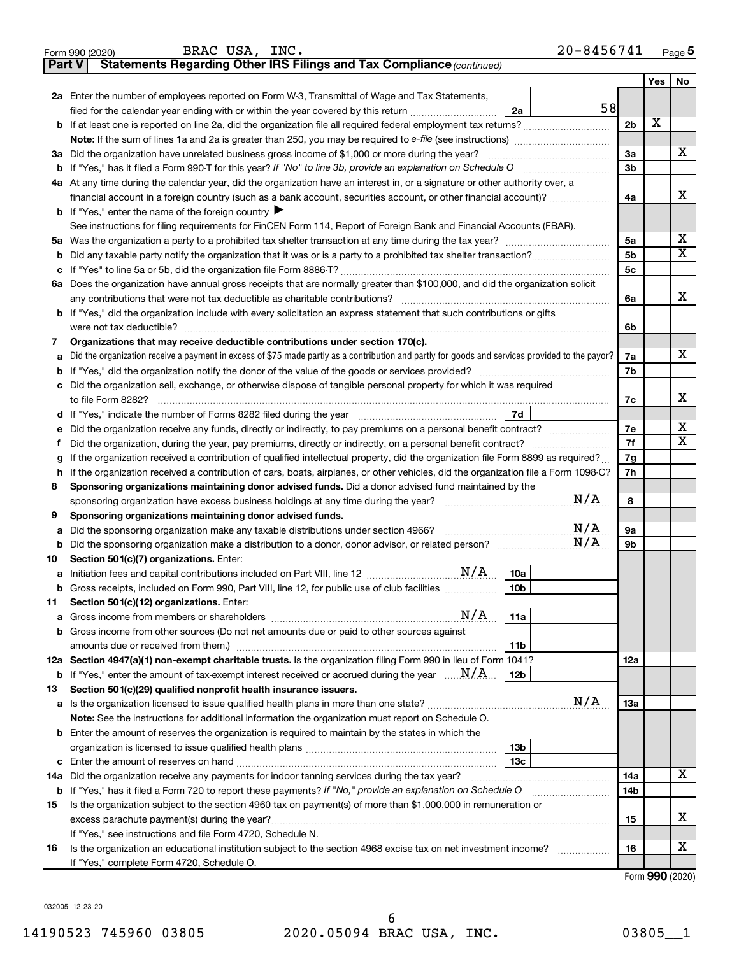| $20 - 8456741$<br>BRAC USA, INC.<br>Page 5<br>Form 990 (2020) |                                                                                                                                                                                                                                            |                |            |                         |  |  |  |  |
|---------------------------------------------------------------|--------------------------------------------------------------------------------------------------------------------------------------------------------------------------------------------------------------------------------------------|----------------|------------|-------------------------|--|--|--|--|
| <b>Part V</b>                                                 | Statements Regarding Other IRS Filings and Tax Compliance (continued)                                                                                                                                                                      |                |            |                         |  |  |  |  |
|                                                               |                                                                                                                                                                                                                                            |                | <b>Yes</b> | No                      |  |  |  |  |
|                                                               | 2a Enter the number of employees reported on Form W-3, Transmittal of Wage and Tax Statements,                                                                                                                                             |                |            |                         |  |  |  |  |
|                                                               | 58<br>filed for the calendar year ending with or within the year covered by this return <i>[[[[[[[[[[[[[[]]]]</i> ]]<br>2a                                                                                                                 |                |            |                         |  |  |  |  |
|                                                               |                                                                                                                                                                                                                                            | 2 <sub>b</sub> | х          |                         |  |  |  |  |
|                                                               |                                                                                                                                                                                                                                            |                |            | x                       |  |  |  |  |
|                                                               | 3a Did the organization have unrelated business gross income of \$1,000 or more during the year?                                                                                                                                           |                |            |                         |  |  |  |  |
|                                                               | <b>b</b> If "Yes," has it filed a Form 990-T for this year? If "No" to line 3b, provide an explanation on Schedule O                                                                                                                       |                |            |                         |  |  |  |  |
|                                                               | 4a At any time during the calendar year, did the organization have an interest in, or a signature or other authority over, a                                                                                                               |                |            |                         |  |  |  |  |
|                                                               | financial account in a foreign country (such as a bank account, securities account, or other financial account)?                                                                                                                           |                |            |                         |  |  |  |  |
|                                                               | <b>b</b> If "Yes," enter the name of the foreign country $\blacktriangleright$                                                                                                                                                             |                |            |                         |  |  |  |  |
|                                                               | See instructions for filing requirements for FinCEN Form 114, Report of Foreign Bank and Financial Accounts (FBAR).                                                                                                                        |                |            |                         |  |  |  |  |
|                                                               |                                                                                                                                                                                                                                            | 5a             |            | х                       |  |  |  |  |
| b                                                             |                                                                                                                                                                                                                                            | 5b             |            | X                       |  |  |  |  |
| с                                                             |                                                                                                                                                                                                                                            | 5c             |            |                         |  |  |  |  |
|                                                               | 6a Does the organization have annual gross receipts that are normally greater than \$100,000, and did the organization solicit                                                                                                             |                |            |                         |  |  |  |  |
|                                                               | any contributions that were not tax deductible as charitable contributions?                                                                                                                                                                | 6a             |            | x                       |  |  |  |  |
|                                                               | <b>b</b> If "Yes," did the organization include with every solicitation an express statement that such contributions or gifts                                                                                                              |                |            |                         |  |  |  |  |
|                                                               | were not tax deductible?                                                                                                                                                                                                                   | 6b             |            |                         |  |  |  |  |
| 7                                                             | Organizations that may receive deductible contributions under section 170(c).                                                                                                                                                              |                |            | x                       |  |  |  |  |
| a                                                             | Did the organization receive a payment in excess of \$75 made partly as a contribution and partly for goods and services provided to the payor?                                                                                            | 7a             |            |                         |  |  |  |  |
| b                                                             |                                                                                                                                                                                                                                            | 7b             |            |                         |  |  |  |  |
| c                                                             | Did the organization sell, exchange, or otherwise dispose of tangible personal property for which it was required                                                                                                                          |                |            | x                       |  |  |  |  |
|                                                               | to file Form 8282?                                                                                                                                                                                                                         | 7c             |            |                         |  |  |  |  |
| d                                                             | 7d                                                                                                                                                                                                                                         |                |            | х                       |  |  |  |  |
| е                                                             | Did the organization receive any funds, directly or indirectly, to pay premiums on a personal benefit contract?                                                                                                                            | 7e<br>7f       |            | $\overline{\textbf{X}}$ |  |  |  |  |
|                                                               | Did the organization, during the year, pay premiums, directly or indirectly, on a personal benefit contract?<br>Ť.                                                                                                                         |                |            |                         |  |  |  |  |
| g                                                             | If the organization received a contribution of qualified intellectual property, did the organization file Form 8899 as required?                                                                                                           | 7g<br>7h       |            |                         |  |  |  |  |
| h<br>8                                                        | If the organization received a contribution of cars, boats, airplanes, or other vehicles, did the organization file a Form 1098-C?<br>Sponsoring organizations maintaining donor advised funds. Did a donor advised fund maintained by the |                |            |                         |  |  |  |  |
|                                                               | N/A<br>sponsoring organization have excess business holdings at any time during the year?                                                                                                                                                  | 8              |            |                         |  |  |  |  |
| 9                                                             | Sponsoring organizations maintaining donor advised funds.                                                                                                                                                                                  |                |            |                         |  |  |  |  |
| a                                                             |                                                                                                                                                                                                                                            | <b>9a</b>      |            |                         |  |  |  |  |
| b                                                             | Did the sponsoring organization make a distribution to a donor, donor advisor, or related person? $M/A$                                                                                                                                    | 9b             |            |                         |  |  |  |  |
| 10                                                            | Section 501(c)(7) organizations. Enter:                                                                                                                                                                                                    |                |            |                         |  |  |  |  |
|                                                               | N/A<br>10a                                                                                                                                                                                                                                 |                |            |                         |  |  |  |  |
|                                                               | b Gross receipts, included on Form 990, Part VIII, line 12, for public use of club facilities<br>10b                                                                                                                                       |                |            |                         |  |  |  |  |
| 11                                                            | Section 501(c)(12) organizations. Enter:                                                                                                                                                                                                   |                |            |                         |  |  |  |  |
| а                                                             | 11a                                                                                                                                                                                                                                        |                |            |                         |  |  |  |  |
| b                                                             | Gross income from other sources (Do not net amounts due or paid to other sources against                                                                                                                                                   |                |            |                         |  |  |  |  |
|                                                               | 11b                                                                                                                                                                                                                                        |                |            |                         |  |  |  |  |
|                                                               | 12a Section 4947(a)(1) non-exempt charitable trusts. Is the organization filing Form 990 in lieu of Form 1041?                                                                                                                             | 12a            |            |                         |  |  |  |  |
|                                                               | <b>b</b> If "Yes," enter the amount of tax-exempt interest received or accrued during the year $\ldots \mathbf{N}/\mathbf{A}$ .<br>12 <sub>b</sub>                                                                                         |                |            |                         |  |  |  |  |
| 13                                                            | Section 501(c)(29) qualified nonprofit health insurance issuers.                                                                                                                                                                           |                |            |                         |  |  |  |  |
|                                                               | N/A                                                                                                                                                                                                                                        | 13a            |            |                         |  |  |  |  |
|                                                               | Note: See the instructions for additional information the organization must report on Schedule O.                                                                                                                                          |                |            |                         |  |  |  |  |
|                                                               | <b>b</b> Enter the amount of reserves the organization is required to maintain by the states in which the                                                                                                                                  |                |            |                         |  |  |  |  |
|                                                               | 13b                                                                                                                                                                                                                                        |                |            |                         |  |  |  |  |
|                                                               | 13c                                                                                                                                                                                                                                        |                |            |                         |  |  |  |  |
| 14a                                                           | Did the organization receive any payments for indoor tanning services during the tax year?                                                                                                                                                 | 14a            |            | х                       |  |  |  |  |
|                                                               | b If "Yes," has it filed a Form 720 to report these payments? If "No," provide an explanation on Schedule O                                                                                                                                | 14b            |            |                         |  |  |  |  |
| 15                                                            | Is the organization subject to the section 4960 tax on payment(s) of more than \$1,000,000 in remuneration or                                                                                                                              |                |            |                         |  |  |  |  |
|                                                               |                                                                                                                                                                                                                                            | 15             |            | х                       |  |  |  |  |
|                                                               | If "Yes," see instructions and file Form 4720, Schedule N.                                                                                                                                                                                 |                |            |                         |  |  |  |  |
| 16                                                            | Is the organization an educational institution subject to the section 4968 excise tax on net investment income?<br>.                                                                                                                       | 16             |            | х                       |  |  |  |  |
|                                                               | If "Yes," complete Form 4720, Schedule O.                                                                                                                                                                                                  |                |            |                         |  |  |  |  |
|                                                               |                                                                                                                                                                                                                                            |                |            | $000 \; \text{no}$      |  |  |  |  |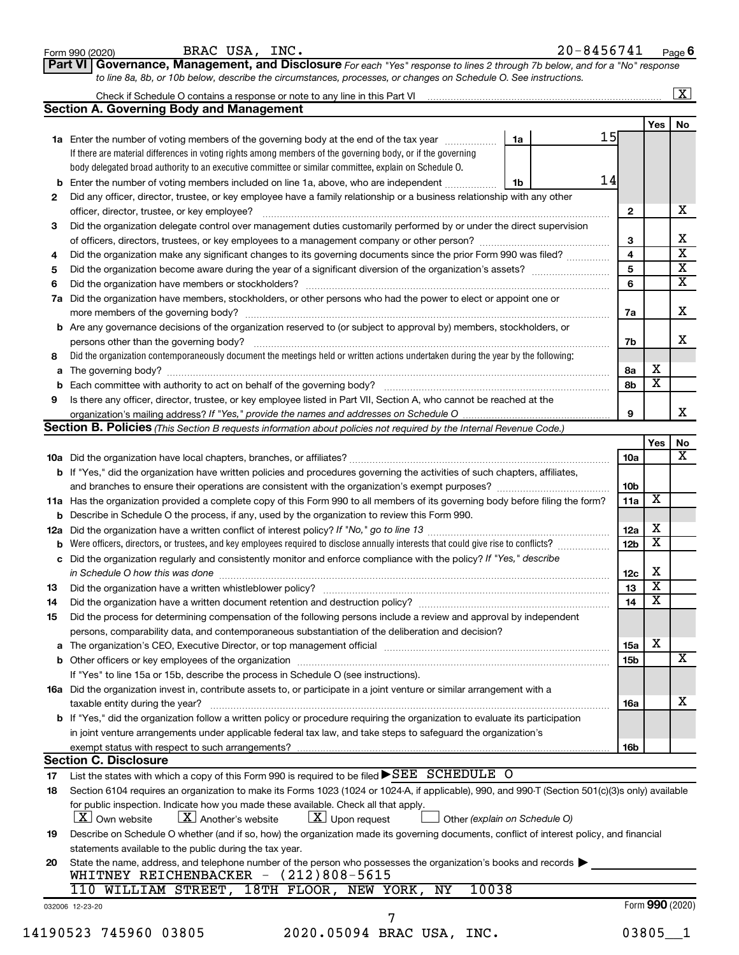|    | BRAC USA, INC.<br>Form 990 (2020)                                                                                                                                                                 |    | $20 - 8456741$ |                 |                         | Page 6                  |
|----|---------------------------------------------------------------------------------------------------------------------------------------------------------------------------------------------------|----|----------------|-----------------|-------------------------|-------------------------|
|    | Governance, Management, and Disclosure For each "Yes" response to lines 2 through 7b below, and for a "No" response<br><b>Part VI</b>                                                             |    |                |                 |                         |                         |
|    | to line 8a, 8b, or 10b below, describe the circumstances, processes, or changes on Schedule O. See instructions.                                                                                  |    |                |                 |                         |                         |
|    |                                                                                                                                                                                                   |    |                |                 |                         | $\overline{\mathbf{X}}$ |
|    | <b>Section A. Governing Body and Management</b>                                                                                                                                                   |    |                |                 |                         |                         |
|    |                                                                                                                                                                                                   |    | 15             |                 | Yes                     | No                      |
|    | 1a Enter the number of voting members of the governing body at the end of the tax year                                                                                                            | 1a |                |                 |                         |                         |
|    | If there are material differences in voting rights among members of the governing body, or if the governing                                                                                       |    |                |                 |                         |                         |
|    | body delegated broad authority to an executive committee or similar committee, explain on Schedule O.                                                                                             |    | 14             |                 |                         |                         |
|    | <b>b</b> Enter the number of voting members included on line 1a, above, who are independent                                                                                                       | 1b |                |                 |                         |                         |
| 2  | Did any officer, director, trustee, or key employee have a family relationship or a business relationship with any other                                                                          |    |                |                 |                         | х                       |
|    |                                                                                                                                                                                                   |    |                | 2               |                         |                         |
| 3  | Did the organization delegate control over management duties customarily performed by or under the direct supervision                                                                             |    |                |                 |                         | х                       |
|    |                                                                                                                                                                                                   |    |                | 3<br>4          |                         | $\overline{\text{x}}$   |
| 4  | Did the organization make any significant changes to its governing documents since the prior Form 990 was filed?                                                                                  |    |                | 5               |                         | $\overline{\textbf{x}}$ |
| 5  |                                                                                                                                                                                                   |    |                | 6               |                         | $\overline{\textbf{x}}$ |
| 6  |                                                                                                                                                                                                   |    |                |                 |                         |                         |
| 7a | Did the organization have members, stockholders, or other persons who had the power to elect or appoint one or                                                                                    |    |                |                 |                         | x                       |
|    |                                                                                                                                                                                                   |    |                | 7a              |                         |                         |
| b  | Are any governance decisions of the organization reserved to (or subject to approval by) members, stockholders, or                                                                                |    |                |                 |                         | x                       |
| 8  | persons other than the governing body?<br>Did the organization contemporaneously document the meetings held or written actions undertaken during the year by the following:                       |    |                | 7b              |                         |                         |
|    |                                                                                                                                                                                                   |    |                |                 | х                       |                         |
| a  |                                                                                                                                                                                                   |    |                | 8а<br>8b        | $\overline{\mathbf{x}}$ |                         |
| 9  |                                                                                                                                                                                                   |    |                |                 |                         |                         |
|    | Is there any officer, director, trustee, or key employee listed in Part VII, Section A, who cannot be reached at the                                                                              |    |                | 9               |                         | x                       |
|    | Section B. Policies (This Section B requests information about policies not required by the Internal Revenue Code.)                                                                               |    |                |                 |                         |                         |
|    |                                                                                                                                                                                                   |    |                |                 | Yes                     | No                      |
|    |                                                                                                                                                                                                   |    |                | 10a             |                         | х                       |
|    | b If "Yes," did the organization have written policies and procedures governing the activities of such chapters, affiliates,                                                                      |    |                |                 |                         |                         |
|    |                                                                                                                                                                                                   |    |                | 10 <sub>b</sub> |                         |                         |
|    | 11a Has the organization provided a complete copy of this Form 990 to all members of its governing body before filing the form?                                                                   |    |                | 11a             | X                       |                         |
|    | <b>b</b> Describe in Schedule O the process, if any, used by the organization to review this Form 990.                                                                                            |    |                |                 |                         |                         |
|    |                                                                                                                                                                                                   |    |                | 12a             | х                       |                         |
|    | <b>b</b> Were officers, directors, or trustees, and key employees required to disclose annually interests that could give rise to conflicts?                                                      |    |                | 12 <sub>b</sub> | $\overline{\mathbf{X}}$ |                         |
| c  | Did the organization regularly and consistently monitor and enforce compliance with the policy? If "Yes," describe                                                                                |    |                |                 |                         |                         |
|    | in Schedule O how this was done <b>construction of the construction of the construction</b> of the construction of the                                                                            |    |                | 12c             | х                       |                         |
| 13 | Did the organization have a written whistleblower policy?                                                                                                                                         |    |                | 13              | x                       |                         |
| 14 | Did the organization have a written document retention and destruction policy? [11] manufaction in the organization have a written document retention and destruction policy?                     |    |                | 14              | х                       |                         |
| 15 | Did the process for determining compensation of the following persons include a review and approval by independent                                                                                |    |                |                 |                         |                         |
|    | persons, comparability data, and contemporaneous substantiation of the deliberation and decision?                                                                                                 |    |                |                 |                         |                         |
| a  | The organization's CEO, Executive Director, or top management official [1111] [111] The organization's CEO, Executive Director, or top management official [111] [11] [11] [11] The organization: |    |                | 15a             | X                       |                         |
|    |                                                                                                                                                                                                   |    |                | 15 <sub>b</sub> |                         | X                       |
|    | If "Yes" to line 15a or 15b, describe the process in Schedule O (see instructions).                                                                                                               |    |                |                 |                         |                         |
|    | 16a Did the organization invest in, contribute assets to, or participate in a joint venture or similar arrangement with a                                                                         |    |                |                 |                         |                         |
|    | taxable entity during the year?                                                                                                                                                                   |    |                | <b>16a</b>      |                         | x                       |
|    | <b>b</b> If "Yes," did the organization follow a written policy or procedure requiring the organization to evaluate its participation                                                             |    |                |                 |                         |                         |
|    | in joint venture arrangements under applicable federal tax law, and take steps to safeguard the organization's                                                                                    |    |                |                 |                         |                         |
|    |                                                                                                                                                                                                   |    |                | 16 <sub>b</sub> |                         |                         |
|    | <b>Section C. Disclosure</b>                                                                                                                                                                      |    |                |                 |                         |                         |
| 17 | List the states with which a copy of this Form 990 is required to be filed $\blacktriangleright$ SEE SCHEDULE O                                                                                   |    |                |                 |                         |                         |
| 18 | Section 6104 requires an organization to make its Forms 1023 (1024 or 1024-A, if applicable), 990, and 990-T (Section 501(c)(3)s only) available                                                  |    |                |                 |                         |                         |
|    | for public inspection. Indicate how you made these available. Check all that apply.                                                                                                               |    |                |                 |                         |                         |
|    | $ \underline{X} $ Upon request<br>$\lfloor X \rfloor$ Own website<br>$\lfloor X \rfloor$ Another's website<br>Other (explain on Schedule O)                                                       |    |                |                 |                         |                         |
| 19 | Describe on Schedule O whether (and if so, how) the organization made its governing documents, conflict of interest policy, and financial                                                         |    |                |                 |                         |                         |
|    | statements available to the public during the tax year.                                                                                                                                           |    |                |                 |                         |                         |
| 20 | State the name, address, and telephone number of the person who possesses the organization's books and records $\blacktriangleright$                                                              |    |                |                 |                         |                         |
|    | WHITNEY REICHENBACKER - (212)808-5615                                                                                                                                                             |    |                |                 |                         |                         |
|    | WILLIAM STREET, 18TH FLOOR, NEW YORK, NY<br>10038<br>110                                                                                                                                          |    |                |                 |                         |                         |
|    |                                                                                                                                                                                                   |    |                |                 | Form 990 (2020)         |                         |
|    | 032006 12-23-20                                                                                                                                                                                   |    |                |                 |                         |                         |
|    | 14190523 745960 03805<br>2020.05094 BRAC USA, INC.                                                                                                                                                |    |                |                 | $03805 - 1$             |                         |
|    |                                                                                                                                                                                                   |    |                |                 |                         |                         |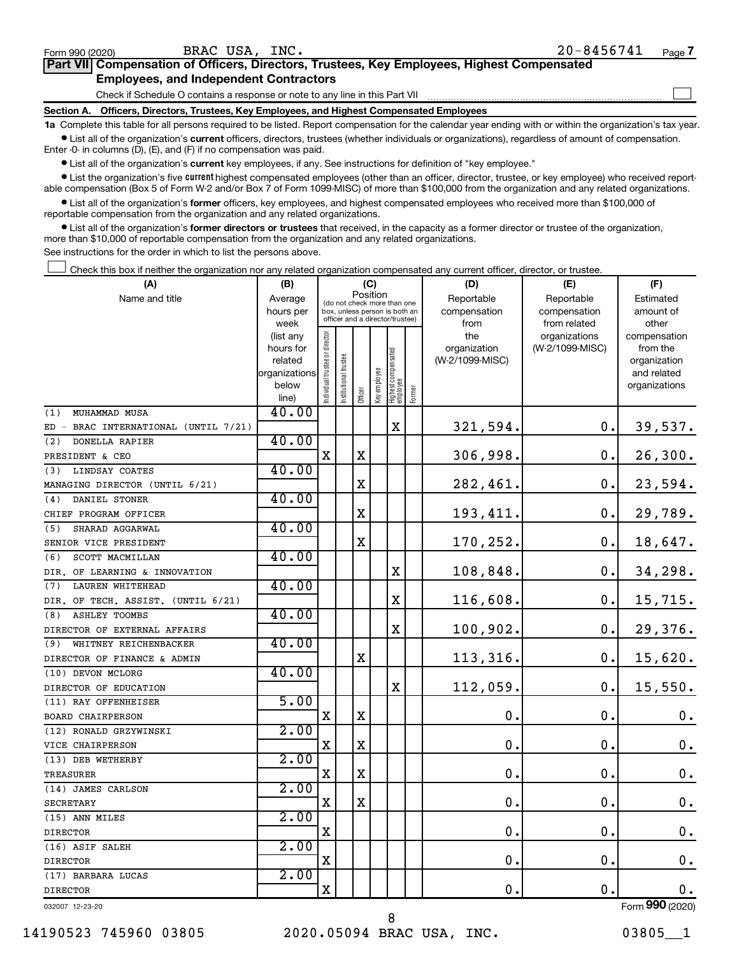| Form 990 (2020)                               | BRAC USA.<br>$INC$ .                                                                              |  | 20-8456741 | Page |  |  |  |
|-----------------------------------------------|---------------------------------------------------------------------------------------------------|--|------------|------|--|--|--|
|                                               | <b>Part VII Compensation of Officers, Directors, Trustees, Key Employees, Highest Compensated</b> |  |            |      |  |  |  |
| <b>Employees, and Independent Contractors</b> |                                                                                                   |  |            |      |  |  |  |
|                                               | Check if Schedule O contains a response or note to any line in this Part VII                      |  |            |      |  |  |  |

**Section A. Officers, Directors, Trustees, Key Employees, and Highest Compensated Employees**

**1a**  Complete this table for all persons required to be listed. Report compensation for the calendar year ending with or within the organization's tax year.

 $\bullet$  List all of the organization's current officers, directors, trustees (whether individuals or organizations), regardless of amount of compensation. Enter -0- in columns (D), (E), and (F) if no compensation was paid.

**•** List all of the organization's current key employees, if any. See instructions for definition of "key employee."

• List the organization's five *current* highest compensated employees (other than an officer, director, trustee, or key employee) who received reportable compensation (Box 5 of Form W-2 and/or Box 7 of Form 1099-MISC) of more than \$100,000 from the organization and any related organizations.

 $\bullet$  List all of the organization's former officers, key employees, and highest compensated employees who received more than \$100,000 of reportable compensation from the organization and any related organizations.

**•** List all of the organization's former directors or trustees that received, in the capacity as a former director or trustee of the organization, more than \$10,000 of reportable compensation from the organization and any related organizations.

See instructions for the order in which to list the persons above.

Check this box if neither the organization nor any related organization compensated any current officer, director, or trustee.  $\Box$ 

| (A)                                       | (B)                    |                               |                                 | (C)         |                                         |                                   |        | (D)             | (E)             | (F)                          |
|-------------------------------------------|------------------------|-------------------------------|---------------------------------|-------------|-----------------------------------------|-----------------------------------|--------|-----------------|-----------------|------------------------------|
| Name and title                            | Average                |                               |                                 |             | Position<br>(do not check more than one |                                   |        | Reportable      | Reportable      | Estimated                    |
|                                           | hours per              |                               | box, unless person is both an   |             |                                         |                                   |        | compensation    | compensation    | amount of                    |
|                                           | week                   |                               | officer and a director/trustee) |             |                                         |                                   |        | from            | from related    | other                        |
|                                           | (list any              |                               |                                 |             |                                         |                                   |        | the             | organizations   | compensation                 |
|                                           | hours for              |                               |                                 |             |                                         |                                   |        | organization    | (W-2/1099-MISC) | from the                     |
|                                           | related                |                               |                                 |             |                                         |                                   |        | (W-2/1099-MISC) |                 | organization                 |
|                                           | organizations<br>below |                               |                                 |             |                                         |                                   |        |                 |                 | and related<br>organizations |
|                                           | line)                  | ndividual trustee or director | nstitutional trustee            | Officer     | Key employee                            | Highest compensated<br>  employee | Former |                 |                 |                              |
| MUHAMMAD MUSA<br>(1)                      | 40.00                  |                               |                                 |             |                                         |                                   |        |                 |                 |                              |
| BRAC INTERNATIONAL (UNTIL 7/21)<br>$ED -$ |                        |                               |                                 |             |                                         | X                                 |        | 321,594.        | 0.              | 39,537.                      |
| DONELLA RAPIER<br>(2)                     | 40.00                  |                               |                                 |             |                                         |                                   |        |                 |                 |                              |
| PRESIDENT & CEO                           |                        | х                             |                                 | $\mathbf X$ |                                         |                                   |        | 306,998.        | $\mathbf 0$ .   | 26,300.                      |
| LINDSAY COATES<br>(3)                     | 40.00                  |                               |                                 |             |                                         |                                   |        |                 |                 |                              |
| MANAGING DIRECTOR (UNTIL 6/21)            |                        |                               |                                 | X           |                                         |                                   |        | 282,461.        | 0.              | 23,594.                      |
| DANIEL STONER<br>(4)                      | 40.00                  |                               |                                 |             |                                         |                                   |        |                 |                 |                              |
| CHIEF PROGRAM OFFICER                     |                        |                               |                                 | $\mathbf X$ |                                         |                                   |        | 193,411.        | $\mathbf 0$ .   | 29,789.                      |
| (5)<br>SHARAD AGGARWAL                    | 40.00                  |                               |                                 |             |                                         |                                   |        |                 |                 |                              |
| SENIOR VICE PRESIDENT                     |                        |                               |                                 | X           |                                         |                                   |        | 170,252.        | 0.              | 18,647.                      |
| SCOTT MACMILLAN<br>(6)                    | 40.00                  |                               |                                 |             |                                         |                                   |        |                 |                 |                              |
| DIR. OF LEARNING & INNOVATION             |                        |                               |                                 |             |                                         | $\mathbf X$                       |        | 108,848.        | $\mathbf 0$ .   | 34,298.                      |
| (7)<br><b>LAUREN WHITEHEAD</b>            | 40.00                  |                               |                                 |             |                                         |                                   |        |                 |                 |                              |
| DIR. OF TECH. ASSIST. (UNTIL 6/21)        |                        |                               |                                 |             |                                         | $\mathbf X$                       |        | 116,608.        | $\mathbf 0$ .   | 15,715.                      |
| <b>ASHLEY TOOMBS</b><br>(8)               | 40.00                  |                               |                                 |             |                                         |                                   |        |                 |                 |                              |
| DIRECTOR OF EXTERNAL AFFAIRS              |                        |                               |                                 |             |                                         | $\mathbf X$                       |        | 100,902.        | $\mathbf 0$ .   | 29,376.                      |
| WHITNEY REICHENBACKER<br>(9)              | 40.00                  |                               |                                 |             |                                         |                                   |        |                 |                 |                              |
| DIRECTOR OF FINANCE & ADMIN               |                        |                               |                                 | $\mathbf X$ |                                         |                                   |        | 113,316.        | $\mathbf 0$ .   | 15,620.                      |
| (10) DEVON MCLORG                         | 40.00                  |                               |                                 |             |                                         |                                   |        |                 |                 |                              |
| DIRECTOR OF EDUCATION                     |                        |                               |                                 |             |                                         | $\mathbf X$                       |        | 112,059.        | Ο.              | 15,550.                      |
| (11) RAY OFFENHEISER                      | 5.00                   |                               |                                 |             |                                         |                                   |        |                 |                 |                              |
| BOARD CHAIRPERSON                         |                        | X                             |                                 | $\mathbf X$ |                                         |                                   |        | $\mathbf 0$     | $\mathbf 0$ .   | $\mathbf 0$ .                |
| (12) RONALD GRZYWINSKI                    | 2.00                   |                               |                                 |             |                                         |                                   |        |                 |                 |                              |
| VICE CHAIRPERSON                          |                        | X                             |                                 | X           |                                         |                                   |        | $\mathbf 0$ .   | 0.              | $\mathbf 0$ .                |
| (13) DEB WETHERBY                         | 2.00                   |                               |                                 |             |                                         |                                   |        |                 |                 |                              |
| <b>TREASURER</b>                          |                        | х                             |                                 | $\mathbf X$ |                                         |                                   |        | $\mathbf 0$ .   | $\mathbf 0$ .   | 0.                           |
| (14) JAMES CARLSON                        | 2.00                   |                               |                                 |             |                                         |                                   |        |                 |                 |                              |
| <b>SECRETARY</b>                          |                        | $\mathbf X$                   |                                 | $\mathbf X$ |                                         |                                   |        | $\mathbf 0$ .   | 0.              | $\mathbf 0$ .                |
| (15) ANN MILES                            | 2.00                   |                               |                                 |             |                                         |                                   |        |                 |                 |                              |
| <b>DIRECTOR</b>                           |                        | х                             |                                 |             |                                         |                                   |        | $\mathbf 0$ .   | О.              | $\mathbf 0$ .                |
| (16) ASIF SALEH                           | 2.00                   |                               |                                 |             |                                         |                                   |        |                 |                 |                              |
| <b>DIRECTOR</b>                           |                        | X                             |                                 |             |                                         |                                   |        | $\mathbf 0$ .   | $\mathbf 0$ .   | 0.                           |
| (17) BARBARA LUCAS                        | 2.00                   |                               |                                 |             |                                         |                                   |        |                 |                 |                              |
| <b>DIRECTOR</b>                           |                        | X                             |                                 |             |                                         |                                   |        | 0.              | $\mathbf 0$ .   | 0.                           |
| 032007 12-23-20                           |                        |                               |                                 |             |                                         |                                   |        |                 |                 | Form 990 (2020)              |

**7**

 $\Box$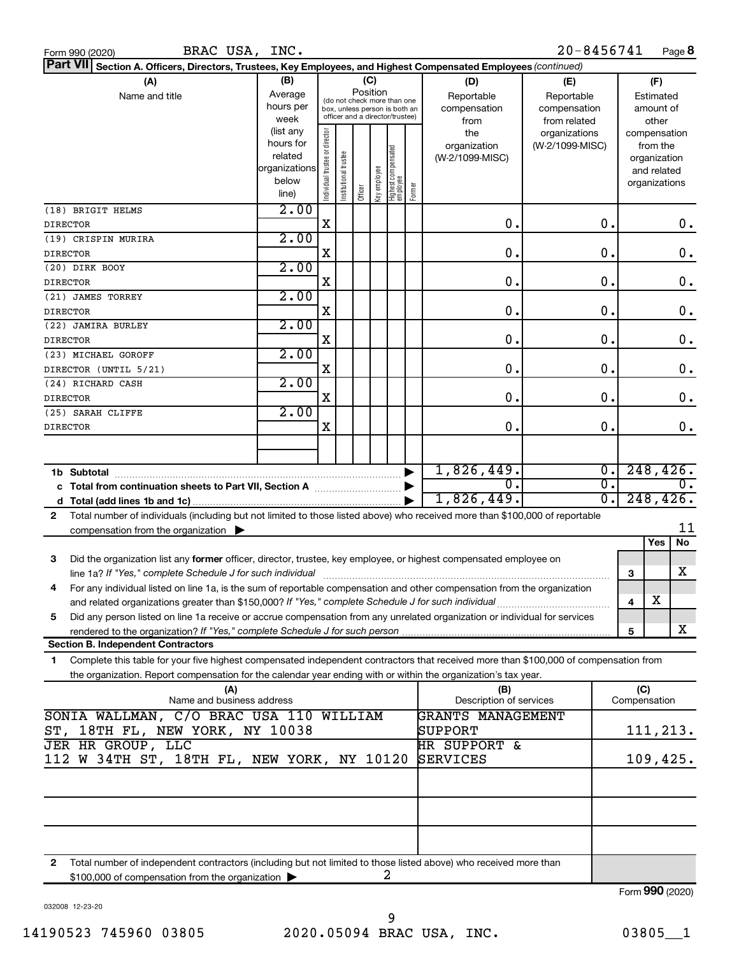| BRAC USA, INC.<br>Form 990 (2020)                                                                                                          |                        |                                |                       |         |              |                                   |        |                         | 20-8456741                  |                        |                             | Page 8        |  |
|--------------------------------------------------------------------------------------------------------------------------------------------|------------------------|--------------------------------|-----------------------|---------|--------------|-----------------------------------|--------|-------------------------|-----------------------------|------------------------|-----------------------------|---------------|--|
| Part VII Section A. Officers, Directors, Trustees, Key Employees, and Highest Compensated Employees (continued)                            |                        |                                |                       |         |              |                                   |        |                         |                             |                        |                             |               |  |
| (A)                                                                                                                                        | (B)                    |                                |                       | (C)     |              |                                   |        | (D)                     | (E)                         |                        | (F)                         |               |  |
| Name and title                                                                                                                             | Average                |                                |                       |         | Position     | (do not check more than one       |        | Reportable              | Reportable                  |                        | Estimated                   |               |  |
|                                                                                                                                            | hours per              |                                |                       |         |              | box, unless person is both an     |        | compensation            | compensation                |                        | amount of                   |               |  |
|                                                                                                                                            | week                   |                                |                       |         |              | officer and a director/trustee)   |        | from                    | from related                |                        | other                       |               |  |
|                                                                                                                                            | (list any<br>hours for |                                |                       |         |              |                                   |        | the                     | organizations               |                        |                             | compensation  |  |
|                                                                                                                                            | related                |                                |                       |         |              |                                   |        | organization            | (W-2/1099-MISC)             |                        | from the                    |               |  |
|                                                                                                                                            | organizations          |                                |                       |         |              |                                   |        | (W-2/1099-MISC)         |                             |                        | organization<br>and related |               |  |
|                                                                                                                                            | below                  |                                |                       |         |              |                                   |        |                         |                             |                        | organizations               |               |  |
|                                                                                                                                            | line)                  | Individual trustee or director | Institutional trustee | Officer | Key employee | Highest compensated<br>  employee | Former |                         |                             |                        |                             |               |  |
| (18) BRIGIT HELMS                                                                                                                          | 2.00                   |                                |                       |         |              |                                   |        |                         |                             |                        |                             |               |  |
| <b>DIRECTOR</b>                                                                                                                            |                        | X                              |                       |         |              |                                   |        | $\mathbf 0$ .           | $\mathbf 0$ .               |                        |                             | 0.            |  |
| (19) CRISPIN MURIRA                                                                                                                        | 2.00                   |                                |                       |         |              |                                   |        |                         |                             |                        |                             |               |  |
| <b>DIRECTOR</b>                                                                                                                            |                        | X                              |                       |         |              |                                   |        | $\mathbf 0$ .           | О.                          |                        |                             | $\mathbf 0$ . |  |
| (20) DIRK BOOY                                                                                                                             | 2.00                   |                                |                       |         |              |                                   |        |                         |                             |                        |                             |               |  |
| <b>DIRECTOR</b>                                                                                                                            |                        | X                              |                       |         |              |                                   |        | $\mathbf 0$ .           | О.                          |                        |                             | $\mathbf 0$ . |  |
| (21) JAMES TORREY                                                                                                                          | 2.00                   |                                |                       |         |              |                                   |        | $\mathbf 0$ .           | О.                          |                        |                             |               |  |
| <b>DIRECTOR</b><br>(22) JAMIRA BURLEY                                                                                                      | 2.00                   | X                              |                       |         |              |                                   |        |                         |                             |                        |                             | $\mathbf 0$ . |  |
| <b>DIRECTOR</b>                                                                                                                            |                        | X                              |                       |         |              |                                   |        | $\mathbf 0$ .           | $\mathbf 0$ .               |                        |                             | $\mathbf 0$ . |  |
| (23) MICHAEL GOROFF                                                                                                                        | 2.00                   |                                |                       |         |              |                                   |        |                         |                             |                        |                             |               |  |
| DIRECTOR (UNTIL 5/21)                                                                                                                      |                        | X                              |                       |         |              |                                   |        | $\mathbf 0$ .           | $\mathbf 0$ .               |                        |                             | $\mathbf 0$ . |  |
| (24) RICHARD CASH                                                                                                                          | 2.00                   |                                |                       |         |              |                                   |        |                         |                             |                        |                             |               |  |
| <b>DIRECTOR</b>                                                                                                                            |                        | X                              |                       |         |              |                                   |        | $\mathbf 0$ .           | $\mathbf 0$ .               |                        |                             | $\mathbf 0$ . |  |
| (25) SARAH CLIFFE                                                                                                                          | 2.00                   |                                |                       |         |              |                                   |        |                         |                             |                        |                             |               |  |
| <b>DIRECTOR</b>                                                                                                                            |                        | X                              |                       |         |              |                                   |        | $\mathbf 0$ .           | О.                          |                        |                             | $\mathbf 0$ . |  |
|                                                                                                                                            |                        |                                |                       |         |              |                                   |        |                         |                             |                        |                             |               |  |
|                                                                                                                                            |                        |                                |                       |         |              |                                   |        | 1,826,449.              | $\overline{\mathfrak{o}}$ . |                        |                             | 248, 426.     |  |
|                                                                                                                                            |                        |                                |                       |         |              |                                   |        | σ.                      |                             | σ.<br>$\overline{0}$ . |                             |               |  |
|                                                                                                                                            |                        |                                |                       |         |              |                                   |        | 1,826,449.              | $\overline{0}$ .            |                        |                             | 248, 426.     |  |
| Total number of individuals (including but not limited to those listed above) who received more than \$100,000 of reportable<br>2          |                        |                                |                       |         |              |                                   |        |                         |                             |                        |                             |               |  |
| compensation from the organization $\blacktriangleright$                                                                                   |                        |                                |                       |         |              |                                   |        |                         |                             |                        |                             | 11            |  |
|                                                                                                                                            |                        |                                |                       |         |              |                                   |        |                         |                             |                        | Yes                         | No            |  |
| 3<br>Did the organization list any former officer, director, trustee, key employee, or highest compensated employee on                     |                        |                                |                       |         |              |                                   |        |                         |                             |                        |                             |               |  |
| line 1a? If "Yes," complete Schedule J for such individual manufacture communications are not increased in the                             |                        |                                |                       |         |              |                                   |        |                         |                             |                        | 3                           | x             |  |
| For any individual listed on line 1a, is the sum of reportable compensation and other compensation from the organization                   |                        |                                |                       |         |              |                                   |        |                         |                             |                        |                             |               |  |
| and related organizations greater than \$150,000? If "Yes," complete Schedule J for such individual                                        |                        |                                |                       |         |              |                                   |        |                         |                             |                        | Χ<br>4                      |               |  |
| Did any person listed on line 1a receive or accrue compensation from any unrelated organization or individual for services<br>5            |                        |                                |                       |         |              |                                   |        |                         |                             |                        | 5                           | X             |  |
| <b>Section B. Independent Contractors</b>                                                                                                  |                        |                                |                       |         |              |                                   |        |                         |                             |                        |                             |               |  |
| Complete this table for your five highest compensated independent contractors that received more than \$100,000 of compensation from<br>1. |                        |                                |                       |         |              |                                   |        |                         |                             |                        |                             |               |  |
| the organization. Report compensation for the calendar year ending with or within the organization's tax year.                             |                        |                                |                       |         |              |                                   |        |                         |                             |                        |                             |               |  |
| (A)                                                                                                                                        |                        |                                |                       |         |              |                                   |        | (B)                     |                             |                        | (C)                         |               |  |
| Name and business address                                                                                                                  |                        |                                |                       |         |              |                                   |        | Description of services |                             |                        | Compensation                |               |  |
| SONIA WALLMAN, C/O BRAC USA 110 WILLIAM                                                                                                    |                        |                                |                       |         |              |                                   |        | GRANTS MANAGEMENT       |                             |                        |                             |               |  |
| 18TH FL, NEW YORK, NY 10038<br>ST,                                                                                                         |                        |                                |                       |         |              |                                   |        | SUPPORT                 |                             |                        |                             | 111,213.      |  |
| JER HR GROUP, LLC<br>112 W 34TH ST, 18TH FL, NEW YORK, NY 10120                                                                            |                        |                                |                       |         |              | HR SUPPORT &<br>SERVICES          |        |                         |                             | 109,425.               |                             |               |  |
|                                                                                                                                            |                        |                                |                       |         |              |                                   |        |                         |                             |                        |                             |               |  |
|                                                                                                                                            |                        |                                |                       |         |              |                                   |        |                         |                             |                        |                             |               |  |
|                                                                                                                                            |                        |                                |                       |         |              |                                   |        |                         |                             |                        |                             |               |  |
|                                                                                                                                            |                        |                                |                       |         |              |                                   |        |                         |                             |                        |                             |               |  |
|                                                                                                                                            |                        |                                |                       |         |              |                                   |        |                         |                             |                        |                             |               |  |
|                                                                                                                                            |                        |                                |                       |         |              |                                   |        |                         |                             |                        |                             |               |  |

**2** Total number of independent contractors (including but not limited to those listed above) who received more than \$100,000 of compensation from the organization 2

032008 12-23-20

Form (2020) **990**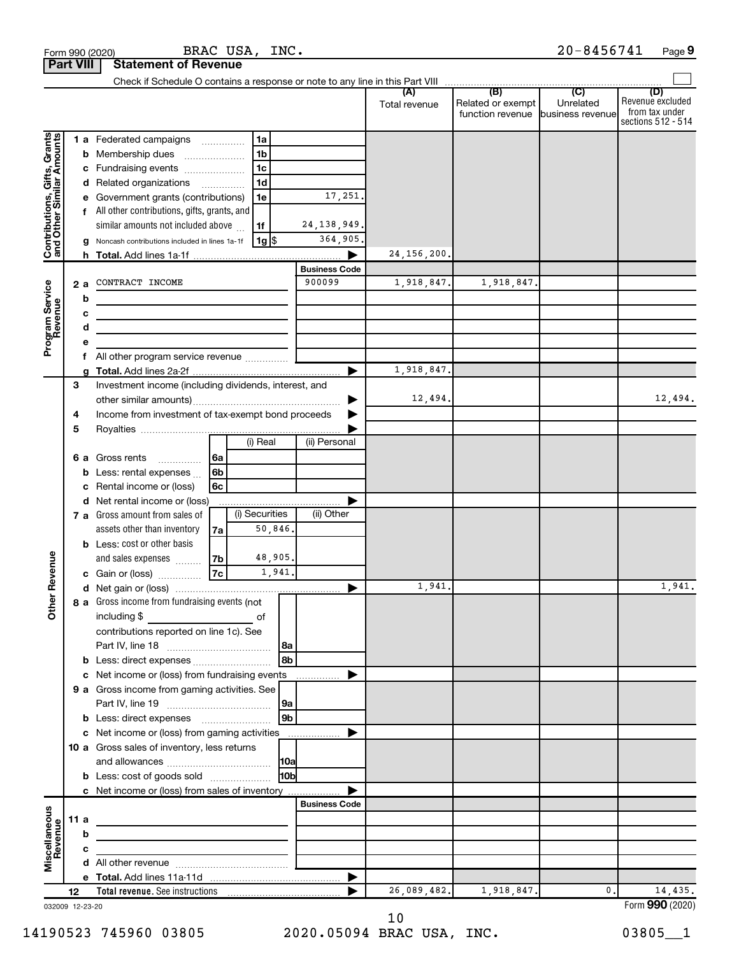|                                                           | <b>Part VIII</b> |                 | <b>Statement of Revenue</b>                                                                                          |                                      |                |                      |               |                                              |                                      |                                                                 |
|-----------------------------------------------------------|------------------|-----------------|----------------------------------------------------------------------------------------------------------------------|--------------------------------------|----------------|----------------------|---------------|----------------------------------------------|--------------------------------------|-----------------------------------------------------------------|
|                                                           |                  |                 |                                                                                                                      |                                      |                |                      |               |                                              |                                      |                                                                 |
|                                                           |                  |                 |                                                                                                                      |                                      |                |                      | Total revenue | (B)<br>Related or exempt<br>function revenue | (C)<br>Unrelated<br>business revenue | (D)<br>Revenue excluded<br>from tax under<br>sections 512 - 514 |
|                                                           |                  |                 | 1 a Federated campaigns                                                                                              |                                      | 1a             |                      |               |                                              |                                      |                                                                 |
| Contributions, Gifts, Grants<br>and Other Similar Amounts |                  | b               | Membership dues                                                                                                      | $\ldots \ldots \ldots \ldots \ldots$ | 1 <sub>b</sub> |                      |               |                                              |                                      |                                                                 |
|                                                           |                  | с               | Fundraising events                                                                                                   |                                      | 1 <sub>c</sub> |                      |               |                                              |                                      |                                                                 |
|                                                           |                  |                 | d Related organizations                                                                                              |                                      | 1 <sub>d</sub> |                      |               |                                              |                                      |                                                                 |
|                                                           |                  |                 | Government grants (contributions)                                                                                    |                                      | 1e             | 17,251               |               |                                              |                                      |                                                                 |
|                                                           |                  |                 | All other contributions, gifts, grants, and                                                                          |                                      |                |                      |               |                                              |                                      |                                                                 |
|                                                           |                  |                 | similar amounts not included above                                                                                   |                                      | 1f             | 24, 138, 949.        |               |                                              |                                      |                                                                 |
|                                                           |                  |                 | g Noncash contributions included in lines 1a-1f                                                                      |                                      | $1g$ \$        | 364,905.             |               |                                              |                                      |                                                                 |
|                                                           |                  |                 |                                                                                                                      |                                      |                |                      | 24, 156, 200. |                                              |                                      |                                                                 |
|                                                           |                  |                 |                                                                                                                      |                                      |                | <b>Business Code</b> |               |                                              |                                      |                                                                 |
|                                                           |                  | 2 a             | CONTRACT INCOME                                                                                                      |                                      |                | 900099               | 1,918,847.    | 1,918,847.                                   |                                      |                                                                 |
| Program Service<br>Revenue                                |                  | b               | <u> Alexandria de la contrada de la contrada de la contrada de la contrada de la contrada de la contrada de la c</u> |                                      |                |                      |               |                                              |                                      |                                                                 |
|                                                           |                  | с               | the control of the control of the control of the control of the control of                                           |                                      |                |                      |               |                                              |                                      |                                                                 |
|                                                           |                  | d               |                                                                                                                      |                                      |                |                      |               |                                              |                                      |                                                                 |
|                                                           |                  | е               |                                                                                                                      |                                      |                |                      |               |                                              |                                      |                                                                 |
|                                                           |                  | f               |                                                                                                                      |                                      |                |                      | 1,918,847.    |                                              |                                      |                                                                 |
|                                                           | 3                |                 | Investment income (including dividends, interest, and                                                                |                                      |                |                      |               |                                              |                                      |                                                                 |
|                                                           |                  |                 |                                                                                                                      |                                      |                |                      | 12,494.       |                                              |                                      | 12,494.                                                         |
|                                                           | 4                |                 | Income from investment of tax-exempt bond proceeds                                                                   |                                      |                |                      |               |                                              |                                      |                                                                 |
|                                                           | 5                |                 |                                                                                                                      |                                      |                |                      |               |                                              |                                      |                                                                 |
|                                                           |                  |                 |                                                                                                                      |                                      | (i) Real       | (ii) Personal        |               |                                              |                                      |                                                                 |
|                                                           |                  | 6а              | Gross rents                                                                                                          | 6a                                   |                |                      |               |                                              |                                      |                                                                 |
|                                                           |                  | b               | Less: rental expenses                                                                                                | 6 <sub>b</sub>                       |                |                      |               |                                              |                                      |                                                                 |
|                                                           |                  | с               | Rental income or (loss)                                                                                              | 6c                                   |                |                      |               |                                              |                                      |                                                                 |
|                                                           |                  | d               | Net rental income or (loss)                                                                                          |                                      |                |                      |               |                                              |                                      |                                                                 |
|                                                           |                  |                 | 7 a Gross amount from sales of                                                                                       |                                      | (i) Securities | (ii) Other           |               |                                              |                                      |                                                                 |
|                                                           |                  |                 | assets other than inventory                                                                                          | 7a                                   | 50,846.        |                      |               |                                              |                                      |                                                                 |
|                                                           |                  |                 | <b>b</b> Less: cost or other basis                                                                                   |                                      |                |                      |               |                                              |                                      |                                                                 |
|                                                           |                  |                 | and sales expenses                                                                                                   | 7b                                   | 48,905.        |                      |               |                                              |                                      |                                                                 |
| Revenue                                                   |                  |                 | c Gain or (loss)                                                                                                     | 7c                                   | 1,941.         |                      |               |                                              |                                      |                                                                 |
|                                                           |                  |                 |                                                                                                                      |                                      |                |                      | 1,941.        |                                              |                                      | 1,941.                                                          |
| Other                                                     |                  |                 | 8 a Gross income from fundraising events (not                                                                        |                                      |                |                      |               |                                              |                                      |                                                                 |
|                                                           |                  |                 | including \$                                                                                                         |                                      | οf             |                      |               |                                              |                                      |                                                                 |
|                                                           |                  |                 | contributions reported on line 1c). See                                                                              |                                      |                |                      |               |                                              |                                      |                                                                 |
|                                                           |                  |                 |                                                                                                                      |                                      |                |                      |               |                                              |                                      |                                                                 |
|                                                           |                  |                 |                                                                                                                      |                                      | 8 <sub>b</sub> |                      |               |                                              |                                      |                                                                 |
|                                                           |                  | с               | Net income or (loss) from fundraising events                                                                         |                                      |                |                      |               |                                              |                                      |                                                                 |
|                                                           |                  |                 | 9 a Gross income from gaming activities. See                                                                         |                                      |                |                      |               |                                              |                                      |                                                                 |
|                                                           |                  |                 |                                                                                                                      |                                      | 9a             |                      |               |                                              |                                      |                                                                 |
|                                                           |                  |                 |                                                                                                                      |                                      | l 9b           |                      |               |                                              |                                      |                                                                 |
|                                                           |                  |                 | c Net income or (loss) from gaming activities                                                                        |                                      |                |                      |               |                                              |                                      |                                                                 |
|                                                           |                  |                 | 10 a Gross sales of inventory, less returns                                                                          |                                      |                |                      |               |                                              |                                      |                                                                 |
|                                                           |                  |                 |                                                                                                                      |                                      |                |                      |               |                                              |                                      |                                                                 |
|                                                           |                  |                 | <b>b</b> Less: cost of goods sold                                                                                    |                                      | 10bl           |                      |               |                                              |                                      |                                                                 |
|                                                           |                  |                 | c Net income or (loss) from sales of inventory                                                                       |                                      |                |                      |               |                                              |                                      |                                                                 |
|                                                           |                  |                 |                                                                                                                      |                                      |                | <b>Business Code</b> |               |                                              |                                      |                                                                 |
| Miscellaneous<br>Revenue                                  |                  | 11a             |                                                                                                                      |                                      |                |                      |               |                                              |                                      |                                                                 |
|                                                           |                  | b               |                                                                                                                      |                                      |                |                      |               |                                              |                                      |                                                                 |
|                                                           |                  | С               |                                                                                                                      |                                      |                |                      |               |                                              |                                      |                                                                 |
|                                                           |                  |                 |                                                                                                                      |                                      |                |                      |               |                                              |                                      |                                                                 |
|                                                           |                  |                 |                                                                                                                      |                                      |                |                      |               |                                              | 0.                                   | 14,435.                                                         |
|                                                           | 12               | 032009 12-23-20 |                                                                                                                      |                                      |                |                      | 26,089,482.   | 1,918,847.                                   |                                      | Form 990 (2020)                                                 |

032009 12-23-20

BRAC USA, INC.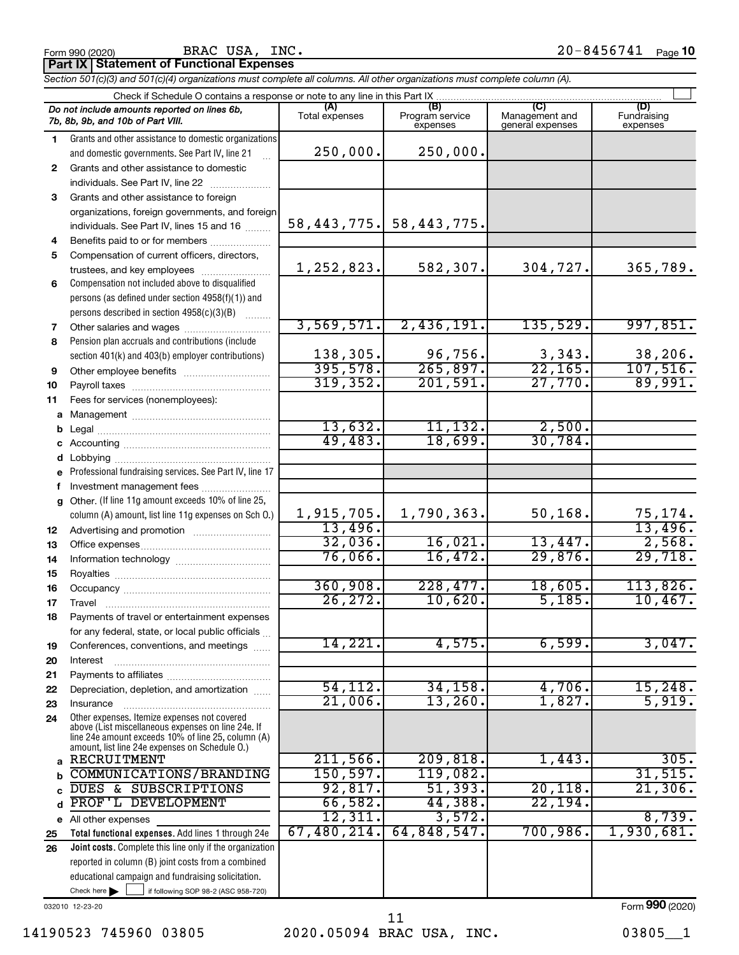**Part IX Statement of Functional Expenses** BRAC USA, INC.

*Section 501(c)(3) and 501(c)(4) organizations must complete all columns. All other organizations must complete column (A).*

|              | Check if Schedule O contains a response or note to any line in this Part IX                              |                       |                                    |                                           |                                |  |  |  |  |  |
|--------------|----------------------------------------------------------------------------------------------------------|-----------------------|------------------------------------|-------------------------------------------|--------------------------------|--|--|--|--|--|
|              | Do not include amounts reported on lines 6b,<br>7b, 8b, 9b, and 10b of Part VIII.                        | (A)<br>Total expenses | (B)<br>Program service<br>expenses | (C)<br>Management and<br>general expenses | (D)<br>Fundraising<br>expenses |  |  |  |  |  |
| 1.           | Grants and other assistance to domestic organizations                                                    |                       |                                    |                                           |                                |  |  |  |  |  |
|              | and domestic governments. See Part IV, line 21                                                           | 250,000.              | 250,000.                           |                                           |                                |  |  |  |  |  |
| $\mathbf{2}$ | Grants and other assistance to domestic                                                                  |                       |                                    |                                           |                                |  |  |  |  |  |
|              | individuals. See Part IV, line 22                                                                        |                       |                                    |                                           |                                |  |  |  |  |  |
| 3            | Grants and other assistance to foreign                                                                   |                       |                                    |                                           |                                |  |  |  |  |  |
|              | organizations, foreign governments, and foreign                                                          |                       |                                    |                                           |                                |  |  |  |  |  |
|              | individuals. See Part IV, lines 15 and 16                                                                | 58, 443, 775.         | 58,443,775.                        |                                           |                                |  |  |  |  |  |
| 4            | Benefits paid to or for members                                                                          |                       |                                    |                                           |                                |  |  |  |  |  |
| 5            | Compensation of current officers, directors,                                                             |                       |                                    |                                           |                                |  |  |  |  |  |
|              | trustees, and key employees                                                                              | 1,252,823.            | 582,307.                           | 304,727.                                  | 365,789.                       |  |  |  |  |  |
| 6            | Compensation not included above to disqualified                                                          |                       |                                    |                                           |                                |  |  |  |  |  |
|              | persons (as defined under section 4958(f)(1)) and                                                        |                       |                                    |                                           |                                |  |  |  |  |  |
|              | persons described in section 4958(c)(3)(B)                                                               |                       |                                    |                                           |                                |  |  |  |  |  |
| 7            |                                                                                                          | 3,569,571.            | 2,436,191.                         | 135,529.                                  | 997,851.                       |  |  |  |  |  |
| 8            | Pension plan accruals and contributions (include                                                         |                       |                                    |                                           |                                |  |  |  |  |  |
|              | section 401(k) and 403(b) employer contributions)                                                        | 138,305.<br>395,578.  | 96,756.<br>265,897.                | $\frac{3,343}{22,165}$                    | 38,206.<br>107,516.            |  |  |  |  |  |
| 9            |                                                                                                          | 319,352.              | 201,591.                           | 27,770.                                   | 89,991.                        |  |  |  |  |  |
| 10           |                                                                                                          |                       |                                    |                                           |                                |  |  |  |  |  |
| 11           | Fees for services (nonemployees):                                                                        |                       |                                    |                                           |                                |  |  |  |  |  |
| a            |                                                                                                          | 13,632.               | 11,132.                            | 2,500.                                    |                                |  |  |  |  |  |
| b            |                                                                                                          | 49,483.               | 18,699.                            | 30,784.                                   |                                |  |  |  |  |  |
|              |                                                                                                          |                       |                                    |                                           |                                |  |  |  |  |  |
|              | Professional fundraising services. See Part IV, line 17                                                  |                       |                                    |                                           |                                |  |  |  |  |  |
| f            | Investment management fees                                                                               |                       |                                    |                                           |                                |  |  |  |  |  |
| g            | Other. (If line 11g amount exceeds 10% of line 25,                                                       |                       |                                    |                                           |                                |  |  |  |  |  |
|              | column (A) amount, list line 11g expenses on Sch O.)                                                     | 1,915,705.            | 1,790,363.                         | 50, 168.                                  | 75,174.                        |  |  |  |  |  |
| 12           |                                                                                                          | 13,496.               |                                    |                                           | 13,496.                        |  |  |  |  |  |
| 13           |                                                                                                          | 32,036.               | 16,021.                            | 13,447.                                   | 2,568.                         |  |  |  |  |  |
| 14           |                                                                                                          | 76,066.               | 16,472.                            | 29,876.                                   | 29,718.                        |  |  |  |  |  |
| 15           |                                                                                                          |                       |                                    |                                           |                                |  |  |  |  |  |
| 16           |                                                                                                          | 360,908.              | 228,477.                           | 18,605.                                   | 113,826.                       |  |  |  |  |  |
| 17           |                                                                                                          | 26, 272.              | 10,620.                            | 5,185.                                    | 10,467.                        |  |  |  |  |  |
| 18           | Payments of travel or entertainment expenses                                                             |                       |                                    |                                           |                                |  |  |  |  |  |
|              | for any federal, state, or local public officials                                                        |                       |                                    |                                           |                                |  |  |  |  |  |
| 19           | Conferences, conventions, and meetings                                                                   | 14,221.               | 4,575.                             | 6,599.                                    | 3,047.                         |  |  |  |  |  |
| 20           | Interest                                                                                                 |                       |                                    |                                           |                                |  |  |  |  |  |
| 21           |                                                                                                          | 54, 112.              | 34,158.                            | 4,706.                                    | 15,248.                        |  |  |  |  |  |
| 22           | Depreciation, depletion, and amortization                                                                | $21,006$ .            | 13,260.                            | 1,827                                     | 5,919.                         |  |  |  |  |  |
| 23           | Insurance<br>Other expenses. Itemize expenses not covered                                                |                       |                                    |                                           |                                |  |  |  |  |  |
| 24           | above (List miscellaneous expenses on line 24e. If<br>line 24e amount exceeds 10% of line 25, column (A) |                       |                                    |                                           |                                |  |  |  |  |  |
|              | amount, list line 24e expenses on Schedule O.)                                                           |                       |                                    |                                           |                                |  |  |  |  |  |
| a            | RECRUITMENT                                                                                              | 211,566.              | 209,818.                           | 1,443.                                    | 305.                           |  |  |  |  |  |
| b            | <b>COMMUNICATIONS/BRANDING</b><br>DUES & SUBSCRIPTIONS                                                   | 150, 597.<br>92,817.  | 119,082.<br>51,393.                | 20, 118                                   | 31,515.<br>21,306.             |  |  |  |  |  |
|              | PROF'L DEVELOPMENT                                                                                       | 66,582.               | 44,388.                            | 22, 194.                                  |                                |  |  |  |  |  |
| d            |                                                                                                          | 12,311.               | 3,572.                             |                                           | 8,739.                         |  |  |  |  |  |
|              | e All other expenses<br>Total functional expenses. Add lines 1 through 24e                               | 67,480,214.           | 64,848,547.                        | 700,986.                                  | 1,930,681.                     |  |  |  |  |  |
| 25<br>26     | Joint costs. Complete this line only if the organization                                                 |                       |                                    |                                           |                                |  |  |  |  |  |
|              | reported in column (B) joint costs from a combined                                                       |                       |                                    |                                           |                                |  |  |  |  |  |
|              | educational campaign and fundraising solicitation.                                                       |                       |                                    |                                           |                                |  |  |  |  |  |
|              | Check here $\blacktriangleright$<br>if following SOP 98-2 (ASC 958-720)                                  |                       |                                    |                                           |                                |  |  |  |  |  |
|              |                                                                                                          |                       |                                    |                                           |                                |  |  |  |  |  |

032010 12-23-20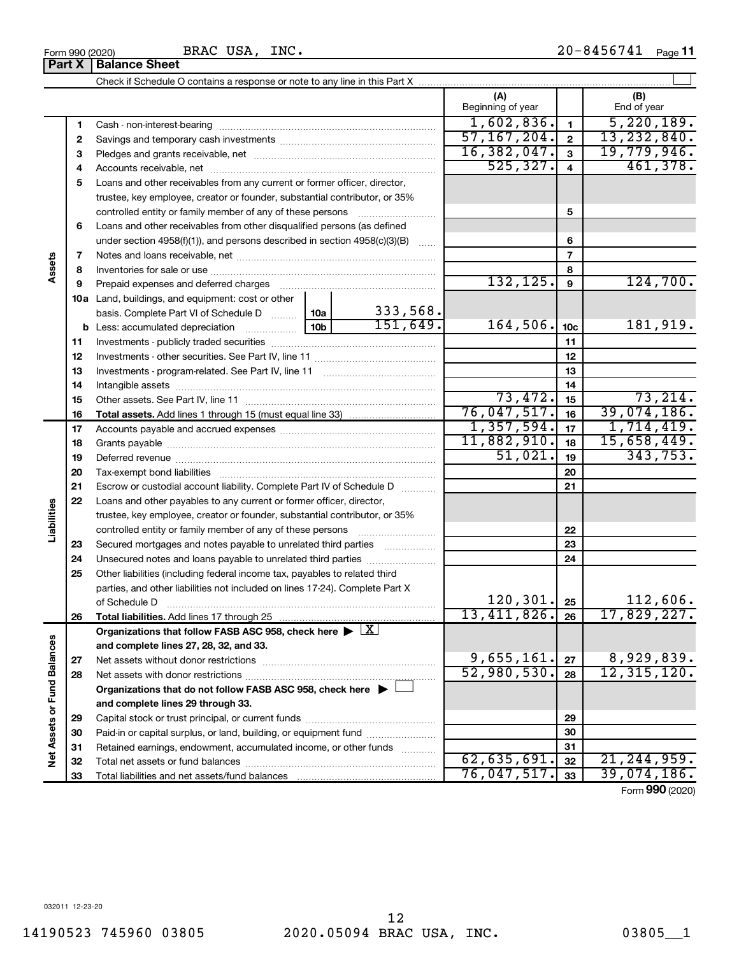Form 990 (2020) BRAC USA, INC .  $20-8456741$  Page BRAC USA, INC.

20-8456741 Page 11

|                             |    | <b>Part X   Balance Sheet</b>                                                                          |                 |          |                          |                 |                    |
|-----------------------------|----|--------------------------------------------------------------------------------------------------------|-----------------|----------|--------------------------|-----------------|--------------------|
|                             |    |                                                                                                        |                 |          |                          |                 |                    |
|                             |    |                                                                                                        |                 |          | (A)<br>Beginning of year |                 | (B)<br>End of year |
|                             | 1  |                                                                                                        |                 |          | 1,602,836.               | $\mathbf{1}$    | 5,220,189.         |
|                             | 2  |                                                                                                        |                 |          | 57, 167, 204.            | $\mathbf{2}$    | 13, 232, 840.      |
|                             | З  |                                                                                                        |                 |          | 16,382,047.              | $\mathbf{3}$    | 19,779,946.        |
|                             | 4  |                                                                                                        |                 |          | 525, 327.                | 4               | 461,378.           |
|                             | 5  | Loans and other receivables from any current or former officer, director,                              |                 |          |                          |                 |                    |
|                             |    | trustee, key employee, creator or founder, substantial contributor, or 35%                             |                 |          |                          |                 |                    |
|                             |    | controlled entity or family member of any of these persons                                             |                 |          |                          | 5               |                    |
|                             | 6  | Loans and other receivables from other disqualified persons (as defined                                |                 |          |                          |                 |                    |
|                             |    | under section $4958(f)(1)$ , and persons described in section $4958(c)(3)(B)$                          |                 | $\sim$   |                          | 6               |                    |
|                             | 7  |                                                                                                        |                 |          | $\overline{7}$           |                 |                    |
| Assets                      | 8  |                                                                                                        |                 |          |                          | 8               |                    |
|                             | 9  | Prepaid expenses and deferred charges                                                                  | 132, 125.       | 9        | 124,700.                 |                 |                    |
|                             |    | <b>10a</b> Land, buildings, and equipment: cost or other                                               |                 |          |                          |                 |                    |
|                             |    | basis. Complete Part VI of Schedule D  10a                                                             |                 | 333,568. |                          |                 |                    |
|                             | b  | Less: accumulated depreciation<br>$\ldots \ldots \ldots \ldots \ldots$                                 | 10 <sub>b</sub> | 151,649. | 164,506.                 | 10 <sub>c</sub> | 181,919.           |
|                             | 11 |                                                                                                        |                 |          |                          | 11              |                    |
|                             | 12 |                                                                                                        |                 |          | 12                       |                 |                    |
|                             | 13 |                                                                                                        |                 |          |                          | 13              |                    |
|                             | 14 |                                                                                                        |                 |          |                          | 14              |                    |
|                             | 15 |                                                                                                        |                 |          | 73,472.                  | 15              | 73,214.            |
|                             | 16 |                                                                                                        |                 |          | 76,047,517.              | 16              | 39,074,186.        |
|                             | 17 |                                                                                                        |                 |          | 1,357,594.               | 17              | 1,714,419.         |
|                             | 18 |                                                                                                        | 11,882,910.     | 18       | 15,658,449.              |                 |                    |
|                             | 19 |                                                                                                        |                 | 51,021.  | 19                       | 343,753.        |                    |
|                             | 20 |                                                                                                        |                 |          |                          | 20              |                    |
|                             | 21 | Escrow or custodial account liability. Complete Part IV of Schedule D                                  |                 |          | 21                       |                 |                    |
| Liabilities                 | 22 | Loans and other payables to any current or former officer, director,                                   |                 |          |                          |                 |                    |
|                             |    | trustee, key employee, creator or founder, substantial contributor, or 35%                             |                 |          |                          |                 |                    |
|                             |    |                                                                                                        |                 |          |                          | 22              |                    |
|                             | 23 | Secured mortgages and notes payable to unrelated third parties                                         |                 |          |                          | 23              |                    |
|                             | 24 |                                                                                                        |                 |          |                          | 24              |                    |
|                             | 25 | Other liabilities (including federal income tax, payables to related third                             |                 |          |                          |                 |                    |
|                             |    | parties, and other liabilities not included on lines 17-24). Complete Part X<br>of Schedule D          |                 |          | 120, 301.                | 25              | 112,606.           |
|                             | 26 | Total liabilities. Add lines 17 through 25                                                             |                 |          | 13,411,826.              | 26              | 17,829,227.        |
|                             |    | Organizations that follow FASB ASC 958, check here $\blacktriangleright \lfloor \underline{X} \rfloor$ |                 |          |                          |                 |                    |
|                             |    | and complete lines 27, 28, 32, and 33.                                                                 |                 |          |                          |                 |                    |
|                             | 27 | Net assets without donor restrictions                                                                  |                 |          | 9,655,161.               | 27              | 8,929,839.         |
|                             | 28 |                                                                                                        |                 |          | $\overline{52,980,530.}$ | 28              | 12, 315, 120.      |
|                             |    | Organizations that do not follow FASB ASC 958, check here $\blacktriangleright$                        |                 |          |                          |                 |                    |
|                             |    | and complete lines 29 through 33.                                                                      |                 |          |                          |                 |                    |
| Net Assets or Fund Balances | 29 |                                                                                                        |                 |          |                          | 29              |                    |
|                             | 30 | Paid-in or capital surplus, or land, building, or equipment fund                                       |                 |          |                          | 30              |                    |
|                             | 31 | Retained earnings, endowment, accumulated income, or other funds                                       |                 |          |                          | 31              |                    |
|                             | 32 |                                                                                                        |                 |          | 62,635,691.              | 32              | 21, 244, 959.      |
|                             | 33 |                                                                                                        |                 |          | 76,047,517.              | 33              | 39,074,186.        |
|                             |    |                                                                                                        |                 |          |                          |                 |                    |

Form (2020) **990**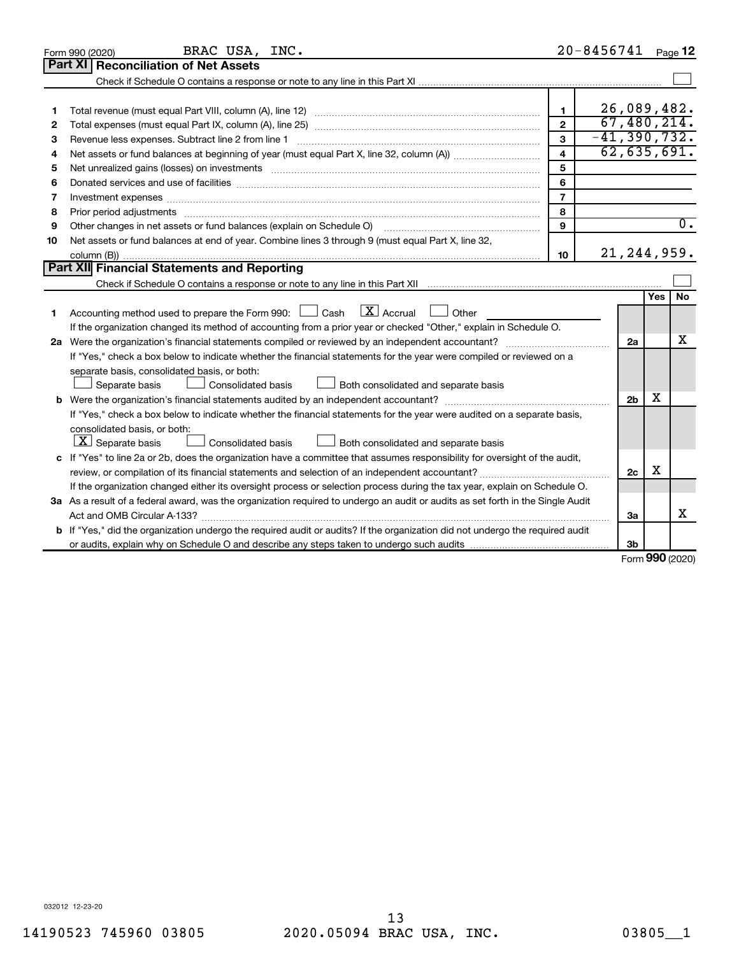|    | BRAC USA, INC.<br>Form 990 (2020)                                                                                                                                                                                              |                         | $20 - 8456741$ |                |     | Page 12          |
|----|--------------------------------------------------------------------------------------------------------------------------------------------------------------------------------------------------------------------------------|-------------------------|----------------|----------------|-----|------------------|
|    | <b>Part XI Reconciliation of Net Assets</b>                                                                                                                                                                                    |                         |                |                |     |                  |
|    |                                                                                                                                                                                                                                |                         |                |                |     |                  |
|    |                                                                                                                                                                                                                                |                         |                |                |     |                  |
| 1  |                                                                                                                                                                                                                                | $\mathbf{1}$            |                | 26,089,482.    |     |                  |
| 2  |                                                                                                                                                                                                                                | $\mathbf{2}$            |                | 67,480,214.    |     |                  |
| З  | Revenue less expenses. Subtract line 2 from line 1                                                                                                                                                                             | $\mathbf{3}$            |                | $-41,390,732.$ |     |                  |
| 4  |                                                                                                                                                                                                                                | $\overline{\mathbf{4}}$ |                | 62,635,691.    |     |                  |
| 5  | Net unrealized gains (losses) on investments [11] matter contracts and the state of the state of the state of the state of the state of the state of the state of the state of the state of the state of the state of the stat | 5                       |                |                |     |                  |
| 6  | Donated services and use of facilities [[111][12] matter is a series and service in the services and use of facilities [[11][12] matter is a service of facilities [[11] matter is a service of the service of the service of  | 6                       |                |                |     |                  |
| 7  | Investment expenses www.communication.com/www.communication.com/www.communication.com/www.com                                                                                                                                  | $\overline{7}$          |                |                |     |                  |
| 8  | Prior period adjustments www.communication.communication.communications.com                                                                                                                                                    | 8                       |                |                |     |                  |
| 9  | Other changes in net assets or fund balances (explain on Schedule O)                                                                                                                                                           | 9                       |                |                |     | $\overline{0}$ . |
| 10 | Net assets or fund balances at end of year. Combine lines 3 through 9 (must equal Part X, line 32,                                                                                                                             |                         |                |                |     |                  |
|    |                                                                                                                                                                                                                                | 10                      |                | 21, 244, 959.  |     |                  |
|    | Part XII Financial Statements and Reporting                                                                                                                                                                                    |                         |                |                |     |                  |
|    |                                                                                                                                                                                                                                |                         |                |                |     |                  |
|    |                                                                                                                                                                                                                                |                         |                |                | Yes | <b>No</b>        |
| 1  | Accounting method used to prepare the Form 990: $\Box$ Cash $\Box X$ Accrual<br>$\Box$ Other                                                                                                                                   |                         |                |                |     |                  |
|    | If the organization changed its method of accounting from a prior year or checked "Other," explain in Schedule O.                                                                                                              |                         |                |                |     |                  |
|    |                                                                                                                                                                                                                                |                         |                | 2a             |     | х                |
|    | If "Yes," check a box below to indicate whether the financial statements for the year were compiled or reviewed on a                                                                                                           |                         |                |                |     |                  |
|    | separate basis, consolidated basis, or both:                                                                                                                                                                                   |                         |                |                |     |                  |
|    | Both consolidated and separate basis<br>Separate basis<br>Consolidated basis                                                                                                                                                   |                         |                |                |     |                  |
|    |                                                                                                                                                                                                                                |                         |                | 2 <sub>b</sub> | х   |                  |
|    | If "Yes," check a box below to indicate whether the financial statements for the year were audited on a separate basis,                                                                                                        |                         |                |                |     |                  |
|    | consolidated basis, or both:                                                                                                                                                                                                   |                         |                |                |     |                  |
|    | $\lfloor \underline{X} \rfloor$ Separate basis<br>Consolidated basis<br>Both consolidated and separate basis                                                                                                                   |                         |                |                |     |                  |
|    | c If "Yes" to line 2a or 2b, does the organization have a committee that assumes responsibility for oversight of the audit,                                                                                                    |                         |                |                |     |                  |
|    | review, or compilation of its financial statements and selection of an independent accountant?                                                                                                                                 |                         |                | 2c             | X   |                  |
|    | If the organization changed either its oversight process or selection process during the tax year, explain on Schedule O.                                                                                                      |                         |                |                |     |                  |
|    | 3a As a result of a federal award, was the organization required to undergo an audit or audits as set forth in the Single Audit                                                                                                |                         |                |                |     |                  |
|    | Act and OMB Circular A-133?                                                                                                                                                                                                    |                         |                | 3a             |     | х                |
|    | b If "Yes," did the organization undergo the required audit or audits? If the organization did not undergo the required audit                                                                                                  |                         |                |                |     |                  |
|    |                                                                                                                                                                                                                                |                         |                | 3b             |     |                  |

Form (2020) **990**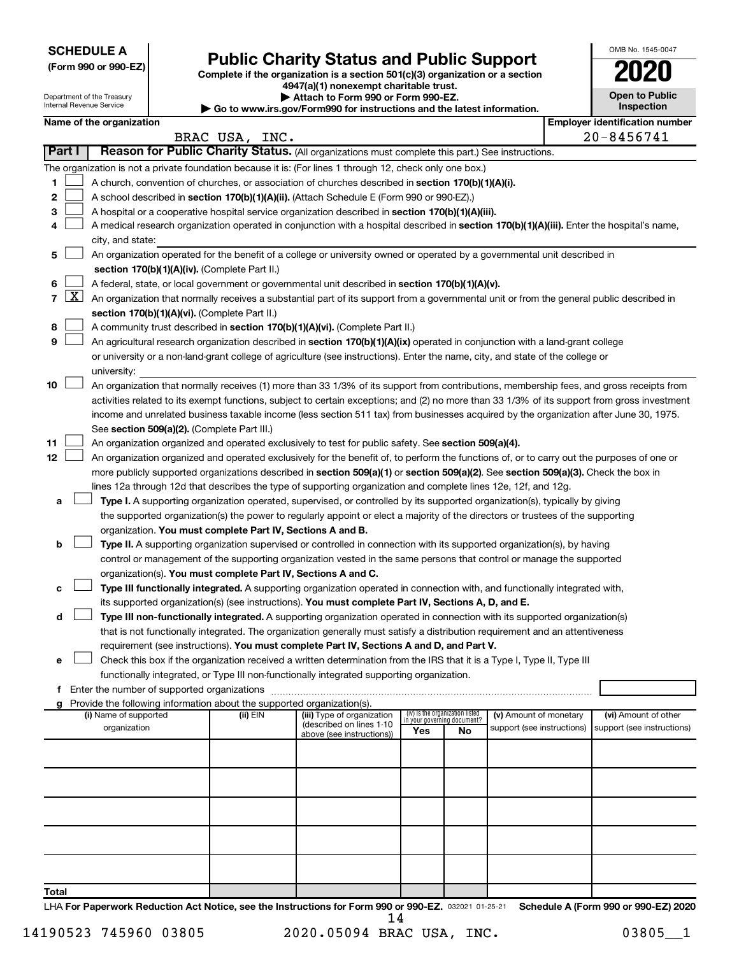**SCHEDULE A**

Department of the Treasury Internal Revenue Service

| (Form 990 or 990-EZ) |  |  |  |  |
|----------------------|--|--|--|--|
|----------------------|--|--|--|--|

# Form 990 or 990-EZ) **Public Charity Status and Public Support**<br>
Complete if the organization is a section 501(c)(3) organization or a section<br> **2020**

**4947(a)(1) nonexempt charitable trust. | Attach to Form 990 or Form 990-EZ.** 

**| Go to www.irs.gov/Form990 for instructions and the latest information.**

| U                                   |
|-------------------------------------|
| <b>Open to Public</b><br>Inspection |
| r identification num                |

OMB No. 1545-0047

|        | Name of the organization |                                                                                                                                                                                                                                                                                          |                |                                                        |                                                                |    |                                                      |  | <b>Employer identification number</b>              |  |
|--------|--------------------------|------------------------------------------------------------------------------------------------------------------------------------------------------------------------------------------------------------------------------------------------------------------------------------------|----------------|--------------------------------------------------------|----------------------------------------------------------------|----|------------------------------------------------------|--|----------------------------------------------------|--|
|        |                          |                                                                                                                                                                                                                                                                                          | BRAC USA, INC. |                                                        |                                                                |    |                                                      |  | 20-8456741                                         |  |
| Part I |                          | Reason for Public Charity Status. (All organizations must complete this part.) See instructions.                                                                                                                                                                                         |                |                                                        |                                                                |    |                                                      |  |                                                    |  |
|        |                          | The organization is not a private foundation because it is: (For lines 1 through 12, check only one box.)                                                                                                                                                                                |                |                                                        |                                                                |    |                                                      |  |                                                    |  |
| 1      |                          | A church, convention of churches, or association of churches described in section 170(b)(1)(A)(i).                                                                                                                                                                                       |                |                                                        |                                                                |    |                                                      |  |                                                    |  |
| 2      |                          | A school described in section 170(b)(1)(A)(ii). (Attach Schedule E (Form 990 or 990-EZ).)                                                                                                                                                                                                |                |                                                        |                                                                |    |                                                      |  |                                                    |  |
| 3      |                          | A hospital or a cooperative hospital service organization described in section 170(b)(1)(A)(iii).                                                                                                                                                                                        |                |                                                        |                                                                |    |                                                      |  |                                                    |  |
| 4      |                          | A medical research organization operated in conjunction with a hospital described in section 170(b)(1)(A)(iii). Enter the hospital's name,                                                                                                                                               |                |                                                        |                                                                |    |                                                      |  |                                                    |  |
|        |                          | city, and state:                                                                                                                                                                                                                                                                         |                |                                                        |                                                                |    |                                                      |  |                                                    |  |
| 5      |                          | An organization operated for the benefit of a college or university owned or operated by a governmental unit described in                                                                                                                                                                |                |                                                        |                                                                |    |                                                      |  |                                                    |  |
|        |                          | section 170(b)(1)(A)(iv). (Complete Part II.)                                                                                                                                                                                                                                            |                |                                                        |                                                                |    |                                                      |  |                                                    |  |
| 6      |                          | A federal, state, or local government or governmental unit described in section 170(b)(1)(A)(v).                                                                                                                                                                                         |                |                                                        |                                                                |    |                                                      |  |                                                    |  |
| 7      | $\boxed{\text{X}}$       | An organization that normally receives a substantial part of its support from a governmental unit or from the general public described in                                                                                                                                                |                |                                                        |                                                                |    |                                                      |  |                                                    |  |
|        |                          | section 170(b)(1)(A)(vi). (Complete Part II.)                                                                                                                                                                                                                                            |                |                                                        |                                                                |    |                                                      |  |                                                    |  |
| 8      |                          | A community trust described in section 170(b)(1)(A)(vi). (Complete Part II.)                                                                                                                                                                                                             |                |                                                        |                                                                |    |                                                      |  |                                                    |  |
| 9      |                          | An agricultural research organization described in section 170(b)(1)(A)(ix) operated in conjunction with a land-grant college                                                                                                                                                            |                |                                                        |                                                                |    |                                                      |  |                                                    |  |
|        |                          | or university or a non-land-grant college of agriculture (see instructions). Enter the name, city, and state of the college or                                                                                                                                                           |                |                                                        |                                                                |    |                                                      |  |                                                    |  |
|        |                          | university:                                                                                                                                                                                                                                                                              |                |                                                        |                                                                |    |                                                      |  |                                                    |  |
| 10     |                          | An organization that normally receives (1) more than 33 1/3% of its support from contributions, membership fees, and gross receipts from<br>activities related to its exempt functions, subject to certain exceptions; and (2) no more than 33 1/3% of its support from gross investment |                |                                                        |                                                                |    |                                                      |  |                                                    |  |
|        |                          |                                                                                                                                                                                                                                                                                          |                |                                                        |                                                                |    |                                                      |  |                                                    |  |
|        |                          | income and unrelated business taxable income (less section 511 tax) from businesses acquired by the organization after June 30, 1975.                                                                                                                                                    |                |                                                        |                                                                |    |                                                      |  |                                                    |  |
| 11     |                          | See section 509(a)(2). (Complete Part III.)<br>An organization organized and operated exclusively to test for public safety. See section 509(a)(4).                                                                                                                                      |                |                                                        |                                                                |    |                                                      |  |                                                    |  |
| 12     |                          | An organization organized and operated exclusively for the benefit of, to perform the functions of, or to carry out the purposes of one or                                                                                                                                               |                |                                                        |                                                                |    |                                                      |  |                                                    |  |
|        |                          | more publicly supported organizations described in section 509(a)(1) or section 509(a)(2). See section 509(a)(3). Check the box in                                                                                                                                                       |                |                                                        |                                                                |    |                                                      |  |                                                    |  |
|        |                          | lines 12a through 12d that describes the type of supporting organization and complete lines 12e, 12f, and 12g.                                                                                                                                                                           |                |                                                        |                                                                |    |                                                      |  |                                                    |  |
| а      |                          | Type I. A supporting organization operated, supervised, or controlled by its supported organization(s), typically by giving                                                                                                                                                              |                |                                                        |                                                                |    |                                                      |  |                                                    |  |
|        |                          | the supported organization(s) the power to regularly appoint or elect a majority of the directors or trustees of the supporting                                                                                                                                                          |                |                                                        |                                                                |    |                                                      |  |                                                    |  |
|        |                          | organization. You must complete Part IV, Sections A and B.                                                                                                                                                                                                                               |                |                                                        |                                                                |    |                                                      |  |                                                    |  |
| b      |                          | Type II. A supporting organization supervised or controlled in connection with its supported organization(s), by having                                                                                                                                                                  |                |                                                        |                                                                |    |                                                      |  |                                                    |  |
|        |                          | control or management of the supporting organization vested in the same persons that control or manage the supported                                                                                                                                                                     |                |                                                        |                                                                |    |                                                      |  |                                                    |  |
|        |                          | organization(s). You must complete Part IV, Sections A and C.                                                                                                                                                                                                                            |                |                                                        |                                                                |    |                                                      |  |                                                    |  |
|        |                          | Type III functionally integrated. A supporting organization operated in connection with, and functionally integrated with,                                                                                                                                                               |                |                                                        |                                                                |    |                                                      |  |                                                    |  |
|        |                          | its supported organization(s) (see instructions). You must complete Part IV, Sections A, D, and E.                                                                                                                                                                                       |                |                                                        |                                                                |    |                                                      |  |                                                    |  |
| d      |                          | Type III non-functionally integrated. A supporting organization operated in connection with its supported organization(s)                                                                                                                                                                |                |                                                        |                                                                |    |                                                      |  |                                                    |  |
|        |                          | that is not functionally integrated. The organization generally must satisfy a distribution requirement and an attentiveness                                                                                                                                                             |                |                                                        |                                                                |    |                                                      |  |                                                    |  |
|        |                          | requirement (see instructions). You must complete Part IV, Sections A and D, and Part V.                                                                                                                                                                                                 |                |                                                        |                                                                |    |                                                      |  |                                                    |  |
| е      |                          | Check this box if the organization received a written determination from the IRS that it is a Type I, Type II, Type III                                                                                                                                                                  |                |                                                        |                                                                |    |                                                      |  |                                                    |  |
|        |                          | functionally integrated, or Type III non-functionally integrated supporting organization.                                                                                                                                                                                                |                |                                                        |                                                                |    |                                                      |  |                                                    |  |
|        |                          |                                                                                                                                                                                                                                                                                          |                |                                                        |                                                                |    |                                                      |  |                                                    |  |
|        |                          | Provide the following information about the supported organization(s).                                                                                                                                                                                                                   |                |                                                        |                                                                |    |                                                      |  |                                                    |  |
|        |                          | (i) Name of supported<br>organization                                                                                                                                                                                                                                                    | (ii) EIN       | (iii) Type of organization<br>(described on lines 1-10 | (iv) Is the organization listed<br>in your governing document? |    | (v) Amount of monetary<br>support (see instructions) |  | (vi) Amount of other<br>support (see instructions) |  |
|        |                          |                                                                                                                                                                                                                                                                                          |                | above (see instructions))                              | Yes                                                            | No |                                                      |  |                                                    |  |
|        |                          |                                                                                                                                                                                                                                                                                          |                |                                                        |                                                                |    |                                                      |  |                                                    |  |
|        |                          |                                                                                                                                                                                                                                                                                          |                |                                                        |                                                                |    |                                                      |  |                                                    |  |
|        |                          |                                                                                                                                                                                                                                                                                          |                |                                                        |                                                                |    |                                                      |  |                                                    |  |
|        |                          |                                                                                                                                                                                                                                                                                          |                |                                                        |                                                                |    |                                                      |  |                                                    |  |
|        |                          |                                                                                                                                                                                                                                                                                          |                |                                                        |                                                                |    |                                                      |  |                                                    |  |
|        |                          |                                                                                                                                                                                                                                                                                          |                |                                                        |                                                                |    |                                                      |  |                                                    |  |
|        |                          |                                                                                                                                                                                                                                                                                          |                |                                                        |                                                                |    |                                                      |  |                                                    |  |
|        |                          |                                                                                                                                                                                                                                                                                          |                |                                                        |                                                                |    |                                                      |  |                                                    |  |
|        |                          |                                                                                                                                                                                                                                                                                          |                |                                                        |                                                                |    |                                                      |  |                                                    |  |
| Total  |                          |                                                                                                                                                                                                                                                                                          |                |                                                        |                                                                |    |                                                      |  |                                                    |  |

LHA For Paperwork Reduction Act Notice, see the Instructions for Form 990 or 990-EZ. 032021 01-25-21 Schedule A (Form 990 or 990-EZ) 2020 14

14190523 745960 03805 2020.05094 BRAC USA, INC. 03805\_\_1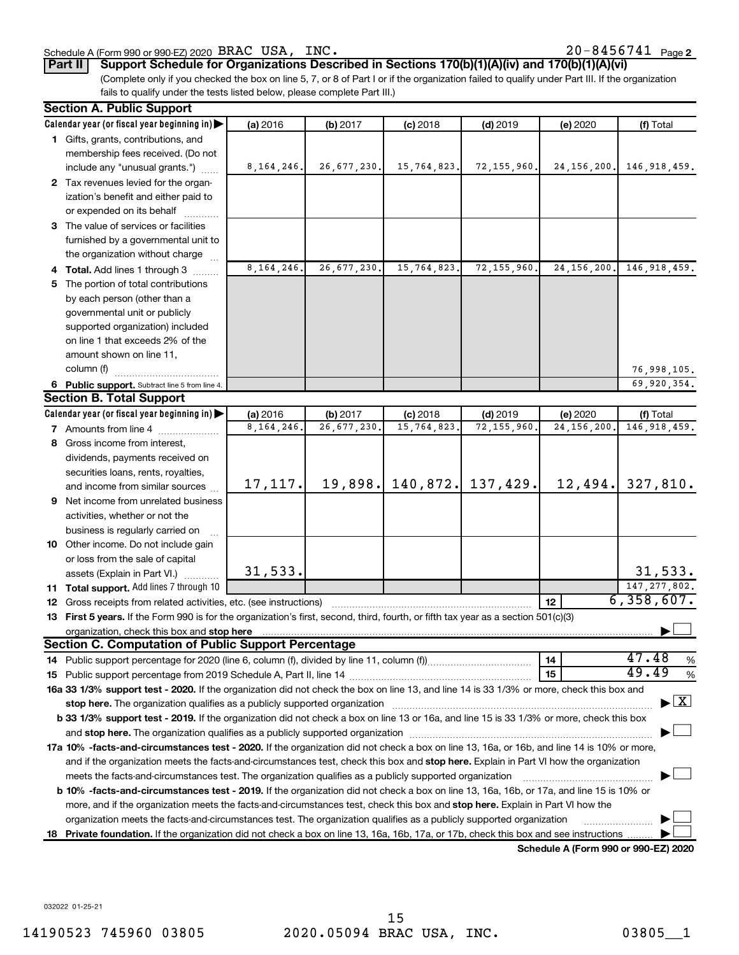#### Schedule A (Form 990 or 990-EZ) 2020 Page BRAC USA, INC. 20-8456741

20-8456741 Page 2

**Part II Support Schedule for Organizations Described in Sections 170(b)(1)(A)(iv) and 170(b)(1)(A)(vi)**

(Complete only if you checked the box on line 5, 7, or 8 of Part I or if the organization failed to qualify under Part III. If the organization fails to qualify under the tests listed below, please complete Part III.)

| <b>Section A. Public Support</b>                                                                                                                                                                                                    |              |               |             |               |                                      |                                    |
|-------------------------------------------------------------------------------------------------------------------------------------------------------------------------------------------------------------------------------------|--------------|---------------|-------------|---------------|--------------------------------------|------------------------------------|
| Calendar year (or fiscal year beginning in)                                                                                                                                                                                         | (a) 2016     | (b) 2017      | $(c)$ 2018  | $(d)$ 2019    | (e) 2020                             | (f) Total                          |
| 1 Gifts, grants, contributions, and                                                                                                                                                                                                 |              |               |             |               |                                      |                                    |
| membership fees received. (Do not                                                                                                                                                                                                   |              |               |             |               |                                      |                                    |
| include any "unusual grants.")                                                                                                                                                                                                      | 8, 164, 246. | 26,677,230.   | 15,764,823. | 72, 155, 960. | 24, 156, 200.                        | 146, 918, 459.                     |
| 2 Tax revenues levied for the organ-                                                                                                                                                                                                |              |               |             |               |                                      |                                    |
| ization's benefit and either paid to                                                                                                                                                                                                |              |               |             |               |                                      |                                    |
| or expended on its behalf                                                                                                                                                                                                           |              |               |             |               |                                      |                                    |
| 3 The value of services or facilities                                                                                                                                                                                               |              |               |             |               |                                      |                                    |
| furnished by a governmental unit to                                                                                                                                                                                                 |              |               |             |               |                                      |                                    |
| the organization without charge                                                                                                                                                                                                     |              |               |             |               |                                      |                                    |
| 4 Total. Add lines 1 through 3                                                                                                                                                                                                      | 8, 164, 246. | 26,677,230.   | 15,764,823  | 72, 155, 960. | 24, 156, 200.                        | 146, 918, 459.                     |
| 5 The portion of total contributions                                                                                                                                                                                                |              |               |             |               |                                      |                                    |
| by each person (other than a                                                                                                                                                                                                        |              |               |             |               |                                      |                                    |
| governmental unit or publicly                                                                                                                                                                                                       |              |               |             |               |                                      |                                    |
| supported organization) included                                                                                                                                                                                                    |              |               |             |               |                                      |                                    |
| on line 1 that exceeds 2% of the                                                                                                                                                                                                    |              |               |             |               |                                      |                                    |
| amount shown on line 11,                                                                                                                                                                                                            |              |               |             |               |                                      |                                    |
| column (f)                                                                                                                                                                                                                          |              |               |             |               |                                      | 76,998,105.                        |
|                                                                                                                                                                                                                                     |              |               |             |               |                                      |                                    |
| 6 Public support. Subtract line 5 from line 4.<br><b>Section B. Total Support</b>                                                                                                                                                   |              |               |             |               |                                      | 69,920,354.                        |
|                                                                                                                                                                                                                                     |              |               |             |               |                                      |                                    |
| Calendar year (or fiscal year beginning in)                                                                                                                                                                                         | (a) 2016     | (b) 2017      | $(c)$ 2018  | $(d)$ 2019    | (e) 2020                             | (f) Total<br>146, 918, 459.        |
| <b>7</b> Amounts from line 4                                                                                                                                                                                                        | 8, 164, 246  | 26, 677, 230. | 15,764,823  | 72, 155, 960  | 24, 156, 200                         |                                    |
| 8 Gross income from interest,                                                                                                                                                                                                       |              |               |             |               |                                      |                                    |
| dividends, payments received on                                                                                                                                                                                                     |              |               |             |               |                                      |                                    |
| securities loans, rents, royalties,                                                                                                                                                                                                 |              |               |             |               |                                      |                                    |
| and income from similar sources                                                                                                                                                                                                     | 17, 117.     | 19,898.       | 140,872.    | 137,429.      | 12,494.                              | 327,810.                           |
| 9 Net income from unrelated business                                                                                                                                                                                                |              |               |             |               |                                      |                                    |
| activities, whether or not the                                                                                                                                                                                                      |              |               |             |               |                                      |                                    |
| business is regularly carried on                                                                                                                                                                                                    |              |               |             |               |                                      |                                    |
| 10 Other income. Do not include gain                                                                                                                                                                                                |              |               |             |               |                                      |                                    |
| or loss from the sale of capital                                                                                                                                                                                                    |              |               |             |               |                                      |                                    |
| assets (Explain in Part VI.)                                                                                                                                                                                                        | 31,533.      |               |             |               |                                      | 31,533.                            |
| 11 Total support. Add lines 7 through 10                                                                                                                                                                                            |              |               |             |               |                                      | 147, 277, 802.                     |
| <b>12</b> Gross receipts from related activities, etc. (see instructions)                                                                                                                                                           |              |               |             |               | 12                                   | 6,358,607.                         |
| 13 First 5 years. If the Form 990 is for the organization's first, second, third, fourth, or fifth tax year as a section 501(c)(3)                                                                                                  |              |               |             |               |                                      |                                    |
| organization, check this box and stop here <b>construction and construction</b> construction of the state of the state of the state of the state of the state of the state of the state of the state of the state of the state of t |              |               |             |               |                                      |                                    |
| <b>Section C. Computation of Public Support Percentage</b>                                                                                                                                                                          |              |               |             |               |                                      |                                    |
|                                                                                                                                                                                                                                     |              |               |             |               | 14                                   | 47.48<br>%                         |
|                                                                                                                                                                                                                                     |              |               |             |               | 15                                   | 49.49<br>%                         |
| 16a 33 1/3% support test - 2020. If the organization did not check the box on line 13, and line 14 is 33 1/3% or more, check this box and                                                                                           |              |               |             |               |                                      |                                    |
| stop here. The organization qualifies as a publicly supported organization manufactured content and the organization manufactured and the state of the state of the state of the state of the state of the state of the state       |              |               |             |               |                                      | $\blacktriangleright$ $\mathbf{X}$ |
| b 33 1/3% support test - 2019. If the organization did not check a box on line 13 or 16a, and line 15 is 33 1/3% or more, check this box                                                                                            |              |               |             |               |                                      |                                    |
|                                                                                                                                                                                                                                     |              |               |             |               |                                      |                                    |
| 17a 10% -facts-and-circumstances test - 2020. If the organization did not check a box on line 13, 16a, or 16b, and line 14 is 10% or more,                                                                                          |              |               |             |               |                                      |                                    |
| and if the organization meets the facts-and-circumstances test, check this box and stop here. Explain in Part VI how the organization                                                                                               |              |               |             |               |                                      |                                    |
| meets the facts-and-circumstances test. The organization qualifies as a publicly supported organization                                                                                                                             |              |               |             |               |                                      |                                    |
| <b>b 10%</b> -facts-and-circumstances test - 2019. If the organization did not check a box on line 13, 16a, 16b, or 17a, and line 15 is 10% or                                                                                      |              |               |             |               |                                      |                                    |
| more, and if the organization meets the facts-and-circumstances test, check this box and stop here. Explain in Part VI how the                                                                                                      |              |               |             |               |                                      |                                    |
| organization meets the facts-and-circumstances test. The organization qualifies as a publicly supported organization                                                                                                                |              |               |             |               |                                      |                                    |
| 18 Private foundation. If the organization did not check a box on line 13, 16a, 16b, 17a, or 17b, check this box and see instructions.                                                                                              |              |               |             |               |                                      |                                    |
|                                                                                                                                                                                                                                     |              |               |             |               | Schodule A (Form 000 or 000 EZ) 2020 |                                    |

**Schedule A (Form 990 or 990-EZ) 2020**

032022 01-25-21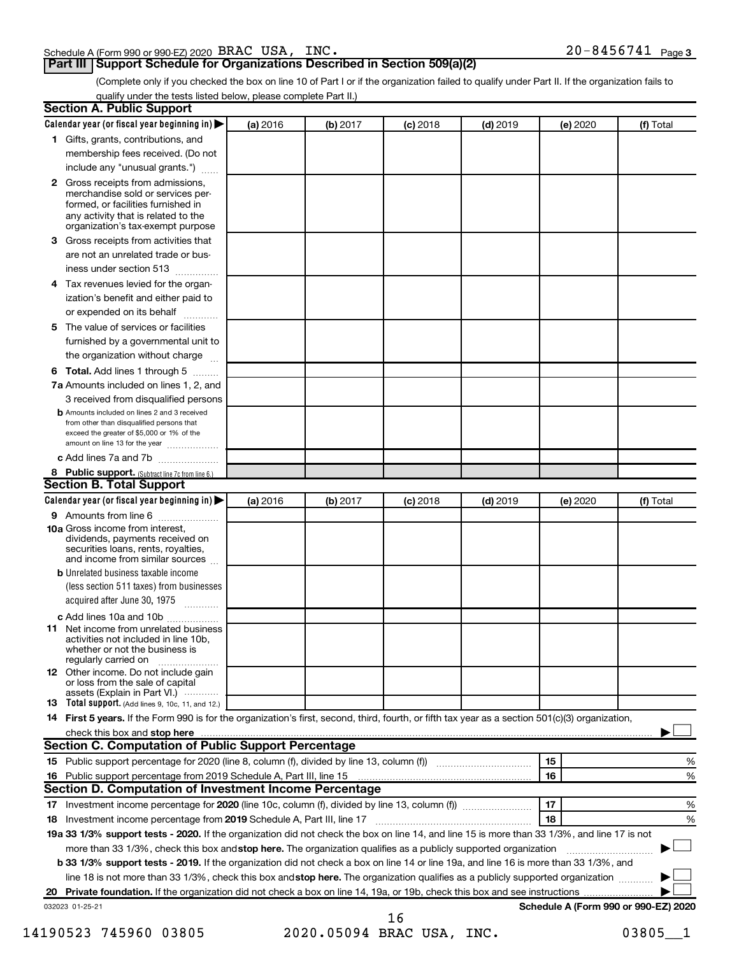| Schedule A (Form 990 or 990-EZ) 2020 $\,$ BRAC $\,$ USA, $\,$ INC $\,$ | $20 - 8456741$ Page 3 |
|------------------------------------------------------------------------|-----------------------|
|------------------------------------------------------------------------|-----------------------|

(Complete only if you checked the box on line 10 of Part I or if the organization failed to qualify under Part II. If the organization fails to qualify under the tests listed below, please complete Part II.)

|    | <b>Section A. Public Support</b>                                                                                                                                                                                              |          |          |            |            |          |                                      |
|----|-------------------------------------------------------------------------------------------------------------------------------------------------------------------------------------------------------------------------------|----------|----------|------------|------------|----------|--------------------------------------|
|    | Calendar year (or fiscal year beginning in)                                                                                                                                                                                   | (a) 2016 | (b) 2017 | $(c)$ 2018 | $(d)$ 2019 | (e) 2020 | (f) Total                            |
|    | 1 Gifts, grants, contributions, and                                                                                                                                                                                           |          |          |            |            |          |                                      |
|    | membership fees received. (Do not                                                                                                                                                                                             |          |          |            |            |          |                                      |
|    | include any "unusual grants.")                                                                                                                                                                                                |          |          |            |            |          |                                      |
|    | 2 Gross receipts from admissions,<br>merchandise sold or services per-<br>formed, or facilities furnished in<br>any activity that is related to the<br>organization's tax-exempt purpose                                      |          |          |            |            |          |                                      |
|    | 3 Gross receipts from activities that                                                                                                                                                                                         |          |          |            |            |          |                                      |
|    | are not an unrelated trade or bus-                                                                                                                                                                                            |          |          |            |            |          |                                      |
|    | iness under section 513                                                                                                                                                                                                       |          |          |            |            |          |                                      |
|    |                                                                                                                                                                                                                               |          |          |            |            |          |                                      |
|    | 4 Tax revenues levied for the organ-<br>ization's benefit and either paid to                                                                                                                                                  |          |          |            |            |          |                                      |
|    | or expended on its behalf                                                                                                                                                                                                     |          |          |            |            |          |                                      |
|    | 5 The value of services or facilities                                                                                                                                                                                         |          |          |            |            |          |                                      |
|    | furnished by a governmental unit to                                                                                                                                                                                           |          |          |            |            |          |                                      |
|    | the organization without charge                                                                                                                                                                                               |          |          |            |            |          |                                      |
|    |                                                                                                                                                                                                                               |          |          |            |            |          |                                      |
|    | <b>6 Total.</b> Add lines 1 through 5<br>7a Amounts included on lines 1, 2, and                                                                                                                                               |          |          |            |            |          |                                      |
|    | 3 received from disqualified persons                                                                                                                                                                                          |          |          |            |            |          |                                      |
|    | <b>b</b> Amounts included on lines 2 and 3 received<br>from other than disqualified persons that<br>exceed the greater of \$5,000 or 1% of the<br>amount on line 13 for the year                                              |          |          |            |            |          |                                      |
|    | c Add lines 7a and 7b                                                                                                                                                                                                         |          |          |            |            |          |                                      |
|    | 8 Public support. (Subtract line 7c from line 6.)                                                                                                                                                                             |          |          |            |            |          |                                      |
|    | <b>Section B. Total Support</b>                                                                                                                                                                                               |          |          |            |            |          |                                      |
|    | Calendar year (or fiscal year beginning in)                                                                                                                                                                                   | (a) 2016 | (b) 2017 | $(c)$ 2018 | $(d)$ 2019 | (e) 2020 | (f) Total                            |
|    | 9 Amounts from line 6                                                                                                                                                                                                         |          |          |            |            |          |                                      |
|    | <b>10a</b> Gross income from interest,<br>dividends, payments received on<br>securities loans, rents, royalties,<br>and income from similar sources                                                                           |          |          |            |            |          |                                      |
|    | <b>b</b> Unrelated business taxable income                                                                                                                                                                                    |          |          |            |            |          |                                      |
|    | (less section 511 taxes) from businesses<br>acquired after June 30, 1975                                                                                                                                                      |          |          |            |            |          |                                      |
|    | c Add lines 10a and 10b                                                                                                                                                                                                       |          |          |            |            |          |                                      |
|    | <b>11</b> Net income from unrelated business<br>activities not included in line 10b,<br>whether or not the business is<br>regularly carried on                                                                                |          |          |            |            |          |                                      |
|    | 12 Other income. Do not include gain<br>or loss from the sale of capital<br>assets (Explain in Part VI.)                                                                                                                      |          |          |            |            |          |                                      |
|    | <b>13</b> Total support. (Add lines 9, 10c, 11, and 12.)                                                                                                                                                                      |          |          |            |            |          |                                      |
|    | 14 First 5 years. If the Form 990 is for the organization's first, second, third, fourth, or fifth tax year as a section 501(c)(3) organization,                                                                              |          |          |            |            |          |                                      |
|    | check this box and stop here manufactured and stop here and stop here are manufactured and stop here and stop here and stop here and stop here and stop here and stop here and stop here and stop here and stop here and stop |          |          |            |            |          |                                      |
|    | Section C. Computation of Public Support Percentage                                                                                                                                                                           |          |          |            |            |          |                                      |
|    |                                                                                                                                                                                                                               |          |          |            |            | 15       | %                                    |
|    |                                                                                                                                                                                                                               |          |          |            |            | 16       | %                                    |
|    | Section D. Computation of Investment Income Percentage                                                                                                                                                                        |          |          |            |            |          |                                      |
|    |                                                                                                                                                                                                                               |          |          |            |            | 17       | %                                    |
|    | 18 Investment income percentage from 2019 Schedule A, Part III, line 17                                                                                                                                                       |          |          |            |            | 18       | %                                    |
|    | 19a 33 1/3% support tests - 2020. If the organization did not check the box on line 14, and line 15 is more than 33 1/3%, and line 17 is not                                                                                  |          |          |            |            |          |                                      |
|    | more than 33 1/3%, check this box and stop here. The organization qualifies as a publicly supported organization                                                                                                              |          |          |            |            |          |                                      |
|    | b 33 1/3% support tests - 2019. If the organization did not check a box on line 14 or line 19a, and line 16 is more than 33 1/3%, and                                                                                         |          |          |            |            |          |                                      |
|    | line 18 is not more than 33 1/3%, check this box and stop here. The organization qualifies as a publicly supported organization                                                                                               |          |          |            |            |          |                                      |
| 20 |                                                                                                                                                                                                                               |          |          |            |            |          |                                      |
|    | 032023 01-25-21                                                                                                                                                                                                               |          |          | 16         |            |          | Schedule A (Form 990 or 990-EZ) 2020 |

14190523 745960 03805 2020.05094 BRAC USA, INC. 03805\_1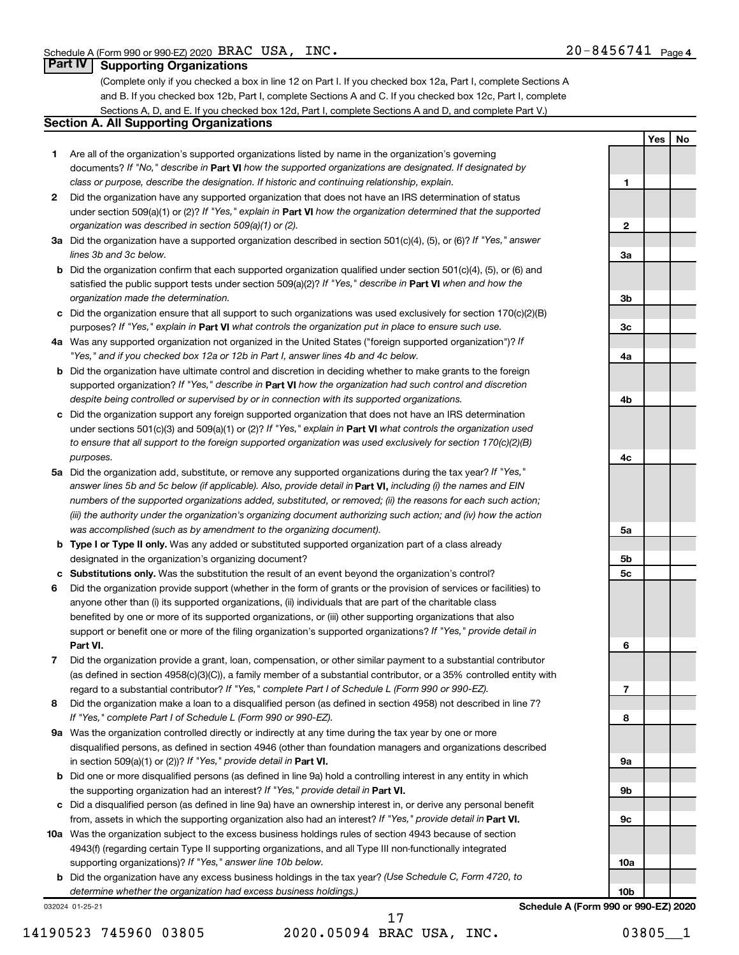**1**

**Yes No**

#### **Part IV Supporting Organizations**

(Complete only if you checked a box in line 12 on Part I. If you checked box 12a, Part I, complete Sections A and B. If you checked box 12b, Part I, complete Sections A and C. If you checked box 12c, Part I, complete Sections A, D, and E. If you checked box 12d, Part I, complete Sections A and D, and complete Part V.)

### **Section A. All Supporting Organizations**

- **1** Are all of the organization's supported organizations listed by name in the organization's governing documents? If "No," describe in Part VI how the supported organizations are designated. If designated by *class or purpose, describe the designation. If historic and continuing relationship, explain.*
- **2** Did the organization have any supported organization that does not have an IRS determination of status under section 509(a)(1) or (2)? If "Yes," explain in Part **VI** how the organization determined that the supported *organization was described in section 509(a)(1) or (2).*
- **3a** Did the organization have a supported organization described in section 501(c)(4), (5), or (6)? If "Yes," answer *lines 3b and 3c below.*
- **b** Did the organization confirm that each supported organization qualified under section 501(c)(4), (5), or (6) and satisfied the public support tests under section 509(a)(2)? If "Yes," describe in Part VI when and how the *organization made the determination.*
- **c** Did the organization ensure that all support to such organizations was used exclusively for section 170(c)(2)(B) purposes? If "Yes," explain in Part VI what controls the organization put in place to ensure such use.
- **4 a** *If* Was any supported organization not organized in the United States ("foreign supported organization")? *"Yes," and if you checked box 12a or 12b in Part I, answer lines 4b and 4c below.*
- **b** Did the organization have ultimate control and discretion in deciding whether to make grants to the foreign supported organization? If "Yes," describe in Part VI how the organization had such control and discretion *despite being controlled or supervised by or in connection with its supported organizations.*
- **c** Did the organization support any foreign supported organization that does not have an IRS determination under sections 501(c)(3) and 509(a)(1) or (2)? If "Yes," explain in Part VI what controls the organization used *to ensure that all support to the foreign supported organization was used exclusively for section 170(c)(2)(B) purposes.*
- **5a** Did the organization add, substitute, or remove any supported organizations during the tax year? If "Yes," answer lines 5b and 5c below (if applicable). Also, provide detail in **Part VI,** including (i) the names and EIN *numbers of the supported organizations added, substituted, or removed; (ii) the reasons for each such action; (iii) the authority under the organization's organizing document authorizing such action; and (iv) how the action was accomplished (such as by amendment to the organizing document).*
- **b** Type I or Type II only. Was any added or substituted supported organization part of a class already designated in the organization's organizing document?
- **c Substitutions only.**  Was the substitution the result of an event beyond the organization's control?
- **6** Did the organization provide support (whether in the form of grants or the provision of services or facilities) to **Part VI.** support or benefit one or more of the filing organization's supported organizations? If "Yes," provide detail in anyone other than (i) its supported organizations, (ii) individuals that are part of the charitable class benefited by one or more of its supported organizations, or (iii) other supporting organizations that also
- **7** Did the organization provide a grant, loan, compensation, or other similar payment to a substantial contributor regard to a substantial contributor? If "Yes," complete Part I of Schedule L (Form 990 or 990-EZ). (as defined in section 4958(c)(3)(C)), a family member of a substantial contributor, or a 35% controlled entity with
- **8** Did the organization make a loan to a disqualified person (as defined in section 4958) not described in line 7? *If "Yes," complete Part I of Schedule L (Form 990 or 990-EZ).*
- **9 a** Was the organization controlled directly or indirectly at any time during the tax year by one or more in section 509(a)(1) or (2))? If "Yes," provide detail in **Part VI.** disqualified persons, as defined in section 4946 (other than foundation managers and organizations described
- **b** Did one or more disqualified persons (as defined in line 9a) hold a controlling interest in any entity in which the supporting organization had an interest? If "Yes," provide detail in Part VI.
- **c** Did a disqualified person (as defined in line 9a) have an ownership interest in, or derive any personal benefit from, assets in which the supporting organization also had an interest? If "Yes," provide detail in Part VI.
- **10 a** Was the organization subject to the excess business holdings rules of section 4943 because of section supporting organizations)? If "Yes," answer line 10b below. 4943(f) (regarding certain Type II supporting organizations, and all Type III non-functionally integrated
	- **b** Did the organization have any excess business holdings in the tax year? (Use Schedule C, Form 4720, to *determine whether the organization had excess business holdings.)*

032024 01-25-21

14190523 745960 03805 2020.05094 BRAC USA, INC. 03805\_\_1 17

**2 3a 3b 3c 4a 4b 4c 5a 5b 5c 6 7 8 9a 9b 9c 10a 10b**

**Schedule A (Form 990 or 990-EZ) 2020**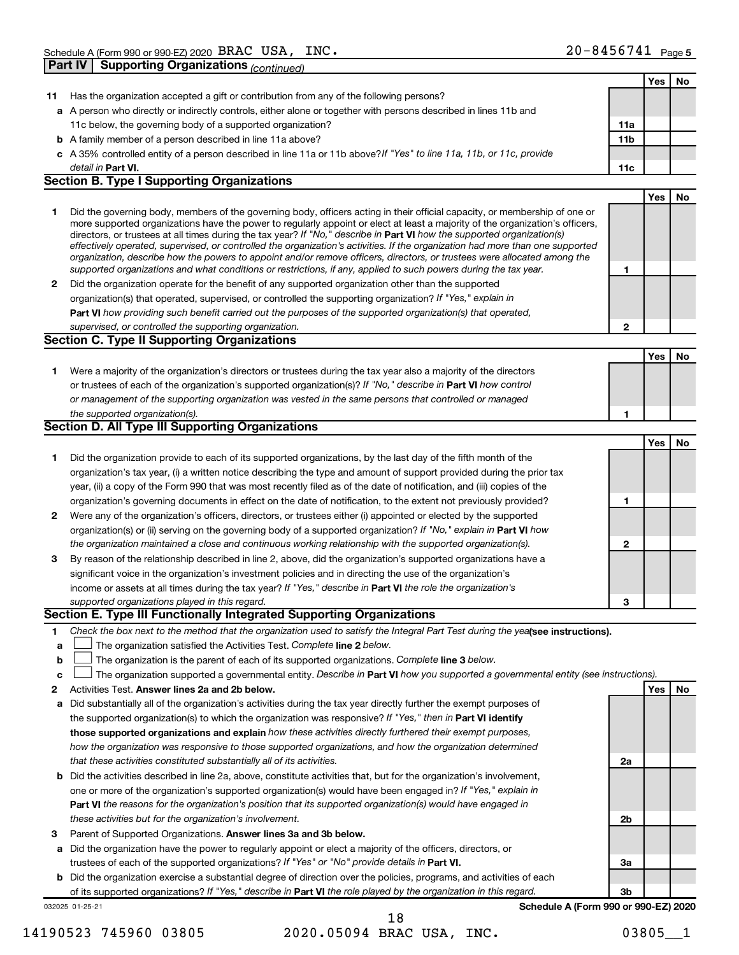**Part IV Supporting Organizations** *(continued)*

|        |                                                                                                                                                                                                                                                            |                 | Yes | No |
|--------|------------------------------------------------------------------------------------------------------------------------------------------------------------------------------------------------------------------------------------------------------------|-----------------|-----|----|
| 11     | Has the organization accepted a gift or contribution from any of the following persons?                                                                                                                                                                    |                 |     |    |
|        | a A person who directly or indirectly controls, either alone or together with persons described in lines 11b and                                                                                                                                           |                 |     |    |
|        | 11c below, the governing body of a supported organization?                                                                                                                                                                                                 | 11a             |     |    |
|        | <b>b</b> A family member of a person described in line 11a above?                                                                                                                                                                                          | 11 <sub>b</sub> |     |    |
|        | c A 35% controlled entity of a person described in line 11a or 11b above?If "Yes" to line 11a, 11b, or 11c, provide                                                                                                                                        |                 |     |    |
|        | detail in Part VI.                                                                                                                                                                                                                                         | 11c             |     |    |
|        | <b>Section B. Type I Supporting Organizations</b>                                                                                                                                                                                                          |                 |     |    |
|        |                                                                                                                                                                                                                                                            |                 | Yes | No |
| 1      | Did the governing body, members of the governing body, officers acting in their official capacity, or membership of one or                                                                                                                                 |                 |     |    |
|        | more supported organizations have the power to regularly appoint or elect at least a majority of the organization's officers,                                                                                                                              |                 |     |    |
|        | directors, or trustees at all times during the tax year? If "No," describe in Part VI how the supported organization(s)                                                                                                                                    |                 |     |    |
|        | effectively operated, supervised, or controlled the organization's activities. If the organization had more than one supported<br>organization, describe how the powers to appoint and/or remove officers, directors, or trustees were allocated among the |                 |     |    |
|        | supported organizations and what conditions or restrictions, if any, applied to such powers during the tax year.                                                                                                                                           | 1               |     |    |
| 2      | Did the organization operate for the benefit of any supported organization other than the supported                                                                                                                                                        |                 |     |    |
|        | organization(s) that operated, supervised, or controlled the supporting organization? If "Yes," explain in                                                                                                                                                 |                 |     |    |
|        | Part VI how providing such benefit carried out the purposes of the supported organization(s) that operated,                                                                                                                                                |                 |     |    |
|        | supervised, or controlled the supporting organization.                                                                                                                                                                                                     | 2               |     |    |
|        | <b>Section C. Type II Supporting Organizations</b>                                                                                                                                                                                                         |                 |     |    |
|        |                                                                                                                                                                                                                                                            |                 | Yes | No |
| 1      | Were a majority of the organization's directors or trustees during the tax year also a majority of the directors                                                                                                                                           |                 |     |    |
|        | or trustees of each of the organization's supported organization(s)? If "No," describe in Part VI how control                                                                                                                                              |                 |     |    |
|        | or management of the supporting organization was vested in the same persons that controlled or managed                                                                                                                                                     |                 |     |    |
|        | the supported organization(s).                                                                                                                                                                                                                             | 1               |     |    |
|        | <b>Section D. All Type III Supporting Organizations</b>                                                                                                                                                                                                    |                 |     |    |
|        |                                                                                                                                                                                                                                                            |                 | Yes | No |
| 1      | Did the organization provide to each of its supported organizations, by the last day of the fifth month of the                                                                                                                                             |                 |     |    |
|        | organization's tax year, (i) a written notice describing the type and amount of support provided during the prior tax                                                                                                                                      |                 |     |    |
|        | year, (ii) a copy of the Form 990 that was most recently filed as of the date of notification, and (iii) copies of the                                                                                                                                     |                 |     |    |
|        | organization's governing documents in effect on the date of notification, to the extent not previously provided?                                                                                                                                           | 1               |     |    |
| 2      | Were any of the organization's officers, directors, or trustees either (i) appointed or elected by the supported                                                                                                                                           |                 |     |    |
|        | organization(s) or (ii) serving on the governing body of a supported organization? If "No," explain in Part VI how                                                                                                                                         |                 |     |    |
|        | the organization maintained a close and continuous working relationship with the supported organization(s).                                                                                                                                                | 2               |     |    |
| 3      | By reason of the relationship described in line 2, above, did the organization's supported organizations have a                                                                                                                                            |                 |     |    |
|        | significant voice in the organization's investment policies and in directing the use of the organization's                                                                                                                                                 |                 |     |    |
|        | income or assets at all times during the tax year? If "Yes," describe in Part VI the role the organization's                                                                                                                                               |                 |     |    |
|        | supported organizations played in this regard.                                                                                                                                                                                                             | 3               |     |    |
|        | Section E. Type III Functionally Integrated Supporting Organizations                                                                                                                                                                                       |                 |     |    |
| 1      | Check the box next to the method that the organization used to satisfy the Integral Part Test during the yealsee instructions).                                                                                                                            |                 |     |    |
|        | The organization satisfied the Activities Test. Complete line 2 below.                                                                                                                                                                                     |                 |     |    |
| а<br>b | The organization is the parent of each of its supported organizations. Complete line 3 below.                                                                                                                                                              |                 |     |    |
|        | The organization supported a governmental entity. Describe in Part VI how you supported a governmental entity (see instructions).                                                                                                                          |                 |     |    |
| с      | Activities Test. Answer lines 2a and 2b below.                                                                                                                                                                                                             |                 |     | No |
| 2      | Did substantially all of the organization's activities during the tax year directly further the exempt purposes of                                                                                                                                         |                 | Yes |    |
| а      | the supported organization(s) to which the organization was responsive? If "Yes," then in Part VI identify                                                                                                                                                 |                 |     |    |
|        | those supported organizations and explain how these activities directly furthered their exempt purposes,                                                                                                                                                   |                 |     |    |
|        | how the organization was responsive to those supported organizations, and how the organization determined                                                                                                                                                  |                 |     |    |
|        |                                                                                                                                                                                                                                                            |                 |     |    |
|        | that these activities constituted substantially all of its activities.                                                                                                                                                                                     | 2a              |     |    |
| b      | Did the activities described in line 2a, above, constitute activities that, but for the organization's involvement,                                                                                                                                        |                 |     |    |
|        | one or more of the organization's supported organization(s) would have been engaged in? If "Yes," explain in                                                                                                                                               |                 |     |    |
|        | <b>Part VI</b> the reasons for the organization's position that its supported organization(s) would have engaged in                                                                                                                                        |                 |     |    |
|        | these activities but for the organization's involvement.                                                                                                                                                                                                   | 2b              |     |    |
| з      | Parent of Supported Organizations. Answer lines 3a and 3b below.                                                                                                                                                                                           |                 |     |    |
| а      | Did the organization have the power to regularly appoint or elect a majority of the officers, directors, or                                                                                                                                                |                 |     |    |
|        | trustees of each of the supported organizations? If "Yes" or "No" provide details in Part VI.                                                                                                                                                              | За              |     |    |
| b      | Did the organization exercise a substantial degree of direction over the policies, programs, and activities of each                                                                                                                                        |                 |     |    |
|        | of its supported organizations? If "Yes," describe in Part VI the role played by the organization in this regard.                                                                                                                                          | 3b              |     |    |
|        | Schedule A (Form 990 or 990-EZ) 2020<br>032025 01-25-21<br>18                                                                                                                                                                                              |                 |     |    |
|        |                                                                                                                                                                                                                                                            |                 |     |    |

<sup>14190523 745960 03805 2020.05094</sup> BRAC USA, INC. 03805\_\_1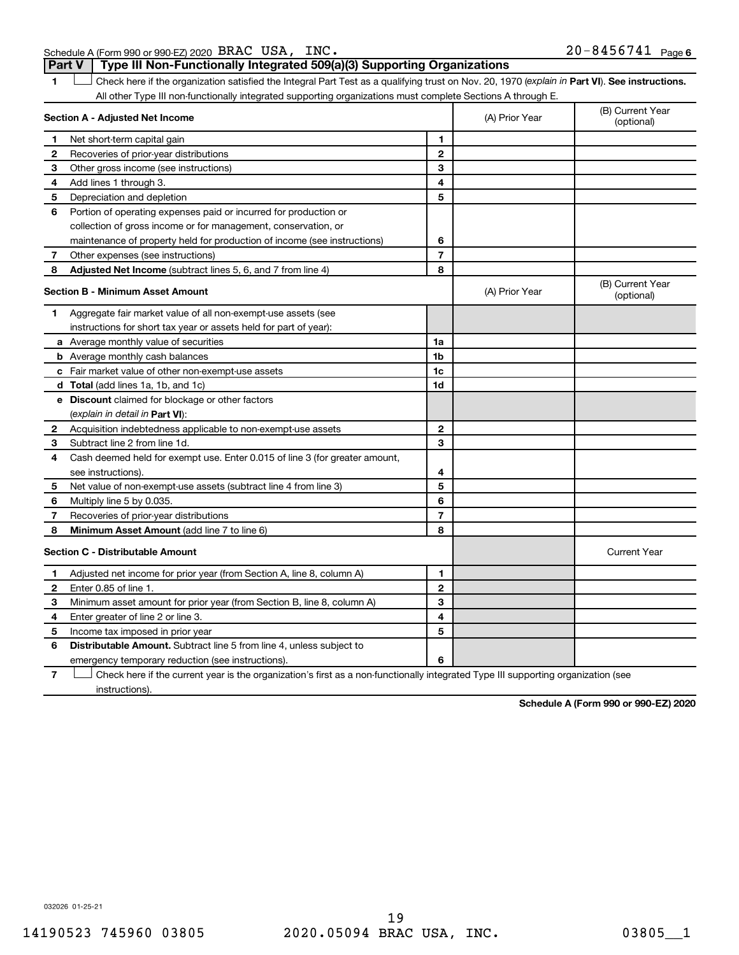Schedule A (Form 990 or 990-EZ) 2020 BRAC USA, INC. **Part V Type III Non-Functionally Integrated 509(a)(3) Supporting Organizations** 

1 **Letter See instructions.** Check here if the organization satisfied the Integral Part Test as a qualifying trust on Nov. 20, 1970 (*explain in* Part **VI**). See instructions. All other Type III non-functionally integrated supporting organizations must complete Sections A through E.

| Section A - Adjusted Net Income |                                                                                                                                   | (A) Prior Year | (B) Current Year<br>(optional) |                                |  |
|---------------------------------|-----------------------------------------------------------------------------------------------------------------------------------|----------------|--------------------------------|--------------------------------|--|
| 1                               | Net short-term capital gain                                                                                                       | 1              |                                |                                |  |
| $\mathbf{2}$                    | Recoveries of prior-year distributions                                                                                            | $\mathbf{2}$   |                                |                                |  |
| 3                               | Other gross income (see instructions)                                                                                             | 3              |                                |                                |  |
| 4                               | Add lines 1 through 3.                                                                                                            | 4              |                                |                                |  |
| 5                               | Depreciation and depletion                                                                                                        | 5              |                                |                                |  |
| 6                               | Portion of operating expenses paid or incurred for production or                                                                  |                |                                |                                |  |
|                                 | collection of gross income or for management, conservation, or                                                                    |                |                                |                                |  |
|                                 | maintenance of property held for production of income (see instructions)                                                          | 6              |                                |                                |  |
| 7                               | Other expenses (see instructions)                                                                                                 | $\overline{7}$ |                                |                                |  |
| 8                               | Adjusted Net Income (subtract lines 5, 6, and 7 from line 4)                                                                      | 8              |                                |                                |  |
|                                 | <b>Section B - Minimum Asset Amount</b>                                                                                           |                | (A) Prior Year                 | (B) Current Year<br>(optional) |  |
| 1                               | Aggregate fair market value of all non-exempt-use assets (see                                                                     |                |                                |                                |  |
|                                 | instructions for short tax year or assets held for part of year):                                                                 |                |                                |                                |  |
|                                 | <b>a</b> Average monthly value of securities                                                                                      | 1a             |                                |                                |  |
|                                 | <b>b</b> Average monthly cash balances                                                                                            | 1b             |                                |                                |  |
|                                 | <b>c</b> Fair market value of other non-exempt-use assets                                                                         | 1c             |                                |                                |  |
|                                 | <b>d</b> Total (add lines 1a, 1b, and 1c)                                                                                         | 1d             |                                |                                |  |
|                                 | e Discount claimed for blockage or other factors                                                                                  |                |                                |                                |  |
|                                 | (explain in detail in <b>Part VI</b> ):                                                                                           |                |                                |                                |  |
| 2                               | Acquisition indebtedness applicable to non-exempt-use assets                                                                      | $\mathbf{2}$   |                                |                                |  |
| 3                               | Subtract line 2 from line 1d.                                                                                                     | 3              |                                |                                |  |
| 4                               | Cash deemed held for exempt use. Enter 0.015 of line 3 (for greater amount,                                                       |                |                                |                                |  |
|                                 | see instructions).                                                                                                                | 4              |                                |                                |  |
| 5                               | Net value of non-exempt-use assets (subtract line 4 from line 3)                                                                  | 5              |                                |                                |  |
| 6                               | Multiply line 5 by 0.035.                                                                                                         | 6              |                                |                                |  |
| 7                               | Recoveries of prior-year distributions                                                                                            | $\overline{7}$ |                                |                                |  |
| 8                               | Minimum Asset Amount (add line 7 to line 6)                                                                                       | 8              |                                |                                |  |
|                                 | <b>Section C - Distributable Amount</b>                                                                                           |                |                                | <b>Current Year</b>            |  |
| 1                               | Adjusted net income for prior year (from Section A, line 8, column A)                                                             | 1              |                                |                                |  |
| 2                               | Enter 0.85 of line 1.                                                                                                             | $\mathbf{2}$   |                                |                                |  |
| з                               | Minimum asset amount for prior year (from Section B, line 8, column A)                                                            | 3              |                                |                                |  |
| 4                               | Enter greater of line 2 or line 3.                                                                                                | 4              |                                |                                |  |
| 5                               | Income tax imposed in prior year                                                                                                  | 5              |                                |                                |  |
| 6                               | <b>Distributable Amount.</b> Subtract line 5 from line 4, unless subject to                                                       |                |                                |                                |  |
|                                 | emergency temporary reduction (see instructions).                                                                                 | 6              |                                |                                |  |
| 7                               | Check here if the current year is the organization's first as a non-functionally integrated Type III supporting organization (see |                |                                |                                |  |

instructions).

**Schedule A (Form 990 or 990-EZ) 2020**

032026 01-25-21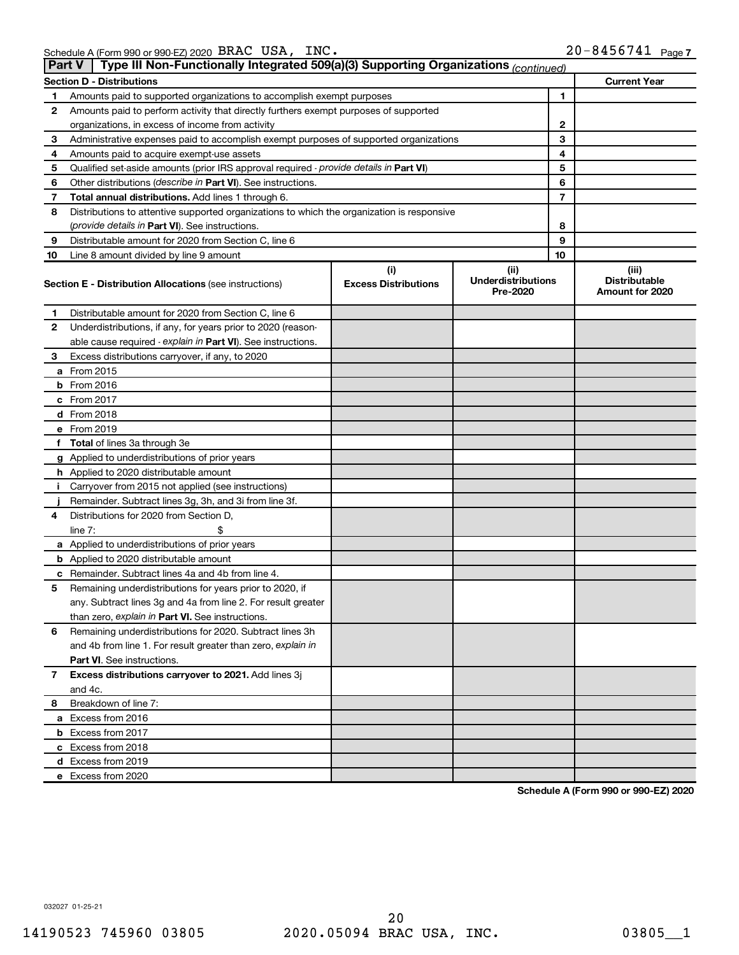| <b>Part V</b> | Type III Non-Functionally Integrated 509(a)(3) Supporting Organizations (continued)                                                                   |   |   |    |                                                  |
|---------------|-------------------------------------------------------------------------------------------------------------------------------------------------------|---|---|----|--------------------------------------------------|
|               | <b>Section D - Distributions</b>                                                                                                                      |   |   |    | <b>Current Year</b>                              |
| 1             | Amounts paid to supported organizations to accomplish exempt purposes                                                                                 |   | 1 |    |                                                  |
| 2             | Amounts paid to perform activity that directly furthers exempt purposes of supported                                                                  |   |   |    |                                                  |
|               | organizations, in excess of income from activity                                                                                                      | 2 |   |    |                                                  |
| 3             | Administrative expenses paid to accomplish exempt purposes of supported organizations                                                                 |   |   | 3  |                                                  |
| 4             | Amounts paid to acquire exempt-use assets                                                                                                             |   |   | 4  |                                                  |
| 5             | Qualified set-aside amounts (prior IRS approval required - provide details in Part VI)                                                                |   |   | 5  |                                                  |
| 6             | Other distributions ( <i>describe in Part VI</i> ). See instructions.                                                                                 |   |   | 6  |                                                  |
| 7             | Total annual distributions. Add lines 1 through 6.                                                                                                    |   |   | 7  |                                                  |
| 8             | Distributions to attentive supported organizations to which the organization is responsive                                                            |   |   |    |                                                  |
|               | (provide details in Part VI). See instructions.                                                                                                       |   |   | 8  |                                                  |
| 9             | Distributable amount for 2020 from Section C, line 6                                                                                                  |   |   | 9  |                                                  |
| 10            | Line 8 amount divided by line 9 amount                                                                                                                |   |   | 10 |                                                  |
|               | (i)<br>(ii)<br><b>Underdistributions</b><br><b>Excess Distributions</b><br><b>Section E - Distribution Allocations (see instructions)</b><br>Pre-2020 |   |   |    | (iii)<br><b>Distributable</b><br>Amount for 2020 |
| 1             | Distributable amount for 2020 from Section C, line 6                                                                                                  |   |   |    |                                                  |
| 2             | Underdistributions, if any, for years prior to 2020 (reason-                                                                                          |   |   |    |                                                  |
|               | able cause required - explain in Part VI). See instructions.                                                                                          |   |   |    |                                                  |
| 3             | Excess distributions carryover, if any, to 2020                                                                                                       |   |   |    |                                                  |
|               | a From 2015                                                                                                                                           |   |   |    |                                                  |
|               | <b>b</b> From 2016                                                                                                                                    |   |   |    |                                                  |
|               | c From 2017                                                                                                                                           |   |   |    |                                                  |
|               | d From 2018                                                                                                                                           |   |   |    |                                                  |
|               | e From 2019                                                                                                                                           |   |   |    |                                                  |
|               | f Total of lines 3a through 3e                                                                                                                        |   |   |    |                                                  |
|               | g Applied to underdistributions of prior years                                                                                                        |   |   |    |                                                  |
|               | <b>h</b> Applied to 2020 distributable amount                                                                                                         |   |   |    |                                                  |
| Ť.            | Carryover from 2015 not applied (see instructions)                                                                                                    |   |   |    |                                                  |
|               | Remainder. Subtract lines 3g, 3h, and 3i from line 3f.                                                                                                |   |   |    |                                                  |
| 4             | Distributions for 2020 from Section D,                                                                                                                |   |   |    |                                                  |
|               | line $7:$                                                                                                                                             |   |   |    |                                                  |
|               | a Applied to underdistributions of prior years                                                                                                        |   |   |    |                                                  |
|               | <b>b</b> Applied to 2020 distributable amount                                                                                                         |   |   |    |                                                  |
|               | c Remainder. Subtract lines 4a and 4b from line 4.                                                                                                    |   |   |    |                                                  |
| 5             | Remaining underdistributions for years prior to 2020, if                                                                                              |   |   |    |                                                  |
|               | any. Subtract lines 3g and 4a from line 2. For result greater                                                                                         |   |   |    |                                                  |
|               | than zero, explain in Part VI. See instructions.                                                                                                      |   |   |    |                                                  |
| 6             | Remaining underdistributions for 2020. Subtract lines 3h                                                                                              |   |   |    |                                                  |
|               | and 4b from line 1. For result greater than zero, explain in                                                                                          |   |   |    |                                                  |
|               | <b>Part VI.</b> See instructions.                                                                                                                     |   |   |    |                                                  |
| 7             | Excess distributions carryover to 2021. Add lines 3j                                                                                                  |   |   |    |                                                  |
|               | and 4c.                                                                                                                                               |   |   |    |                                                  |
| 8             | Breakdown of line 7:                                                                                                                                  |   |   |    |                                                  |
|               | a Excess from 2016                                                                                                                                    |   |   |    |                                                  |
|               | <b>b</b> Excess from 2017                                                                                                                             |   |   |    |                                                  |
|               | c Excess from 2018                                                                                                                                    |   |   |    |                                                  |
|               | d Excess from 2019                                                                                                                                    |   |   |    |                                                  |
|               | e Excess from 2020                                                                                                                                    |   |   |    |                                                  |

**Schedule A (Form 990 or 990-EZ) 2020**

032027 01-25-21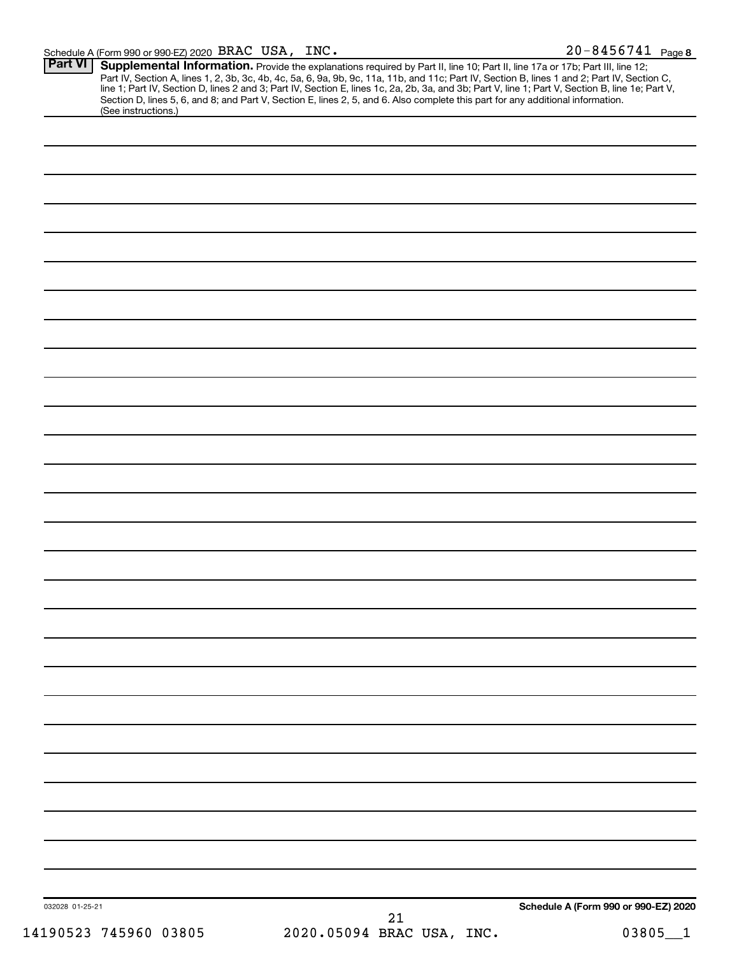| <b>Part VI</b>        | <b>Supplemental Information.</b> Provide the explanations required by Part II, line 10; Part II, line 17a or 17b; Part III, line 12; Part IV, Section A, lines 1, 2, 3b, 3c, 4b, 4c, 5a, 6, 9a, 9b, 9c, 11a, 11b, and 11c; Part IV, |                                      |
|-----------------------|-------------------------------------------------------------------------------------------------------------------------------------------------------------------------------------------------------------------------------------|--------------------------------------|
| (See instructions.)   |                                                                                                                                                                                                                                     |                                      |
|                       |                                                                                                                                                                                                                                     |                                      |
|                       |                                                                                                                                                                                                                                     |                                      |
|                       |                                                                                                                                                                                                                                     |                                      |
|                       |                                                                                                                                                                                                                                     |                                      |
|                       |                                                                                                                                                                                                                                     |                                      |
|                       |                                                                                                                                                                                                                                     |                                      |
|                       |                                                                                                                                                                                                                                     |                                      |
|                       |                                                                                                                                                                                                                                     |                                      |
|                       |                                                                                                                                                                                                                                     |                                      |
|                       |                                                                                                                                                                                                                                     |                                      |
|                       |                                                                                                                                                                                                                                     |                                      |
|                       |                                                                                                                                                                                                                                     |                                      |
|                       |                                                                                                                                                                                                                                     |                                      |
|                       |                                                                                                                                                                                                                                     |                                      |
|                       |                                                                                                                                                                                                                                     |                                      |
|                       |                                                                                                                                                                                                                                     |                                      |
|                       |                                                                                                                                                                                                                                     |                                      |
|                       |                                                                                                                                                                                                                                     |                                      |
|                       |                                                                                                                                                                                                                                     |                                      |
|                       |                                                                                                                                                                                                                                     |                                      |
|                       |                                                                                                                                                                                                                                     |                                      |
|                       |                                                                                                                                                                                                                                     |                                      |
|                       |                                                                                                                                                                                                                                     |                                      |
|                       |                                                                                                                                                                                                                                     |                                      |
|                       |                                                                                                                                                                                                                                     |                                      |
|                       |                                                                                                                                                                                                                                     |                                      |
|                       |                                                                                                                                                                                                                                     |                                      |
|                       |                                                                                                                                                                                                                                     |                                      |
|                       |                                                                                                                                                                                                                                     |                                      |
| 032028 01-25-21       |                                                                                                                                                                                                                                     | Schedule A (Form 990 or 990-EZ) 2020 |
| 14190523 745960 03805 | 21<br>2020.05094 BRAC USA, INC.                                                                                                                                                                                                     | 03805                                |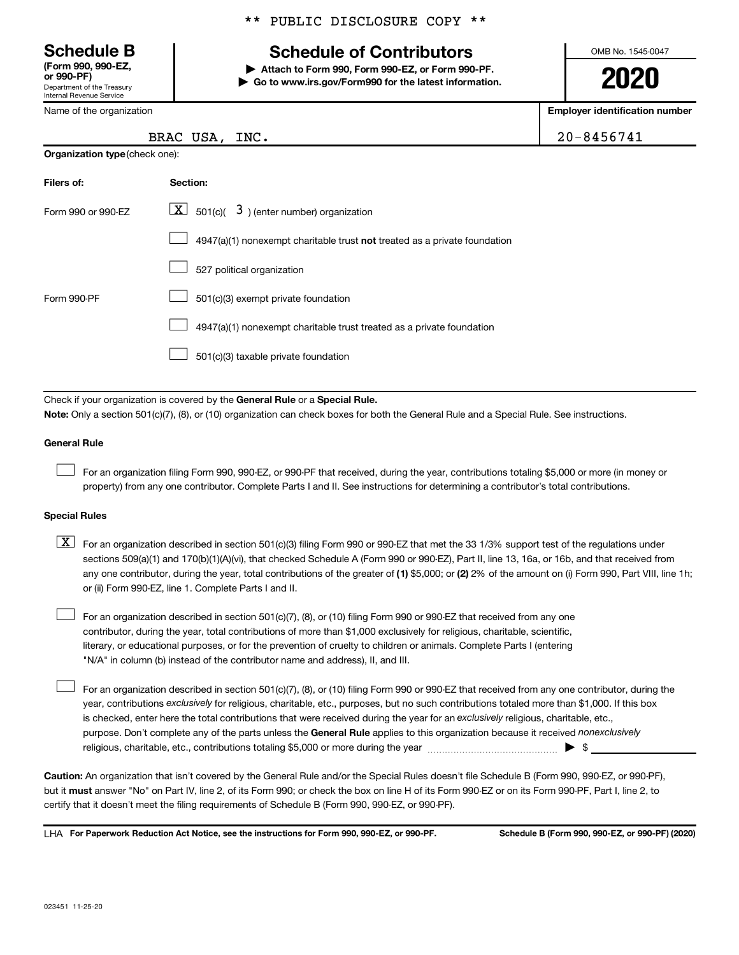Department of the Treasury Internal Revenue Service **(Form 990, 990-EZ,**

Name of the organization

**Organization type** (check one):

#### \*\* PUBLIC DISCLOSURE COPY \*\*

## **Schedule B Schedule of Contributors**

**or 990-PF) | Attach to Form 990, Form 990-EZ, or Form 990-PF. | Go to www.irs.gov/Form990 for the latest information.** OMB No. 1545-0047

**2020**

**Employer identification number**

| BRAC USA,<br>INC. | 20-8456741 |
|-------------------|------------|
|-------------------|------------|

| Filers of:         | Section:                                                                           |
|--------------------|------------------------------------------------------------------------------------|
| Form 990 or 990-FZ | $ \mathbf{X} $ 501(c)( 3) (enter number) organization                              |
|                    | $4947(a)(1)$ nonexempt charitable trust <b>not</b> treated as a private foundation |
|                    | 527 political organization                                                         |
| Form 990-PF        | 501(c)(3) exempt private foundation                                                |
|                    | 4947(a)(1) nonexempt charitable trust treated as a private foundation              |
|                    | 501(c)(3) taxable private foundation                                               |

Check if your organization is covered by the General Rule or a Special Rule.

**Note:**  Only a section 501(c)(7), (8), or (10) organization can check boxes for both the General Rule and a Special Rule. See instructions.

#### **General Rule**

 $\Box$ 

 $\Box$ 

For an organization filing Form 990, 990-EZ, or 990-PF that received, during the year, contributions totaling \$5,000 or more (in money or property) from any one contributor. Complete Parts I and II. See instructions for determining a contributor's total contributions.

#### **Special Rules**

any one contributor, during the year, total contributions of the greater of (1) \$5,000; or (2) 2% of the amount on (i) Form 990, Part VIII, line 1h;  $\boxed{\text{X}}$  For an organization described in section 501(c)(3) filing Form 990 or 990-EZ that met the 33 1/3% support test of the regulations under sections 509(a)(1) and 170(b)(1)(A)(vi), that checked Schedule A (Form 990 or 990-EZ), Part II, line 13, 16a, or 16b, and that received from or (ii) Form 990-EZ, line 1. Complete Parts I and II.

For an organization described in section 501(c)(7), (8), or (10) filing Form 990 or 990-EZ that received from any one contributor, during the year, total contributions of more than \$1,000 exclusively for religious, charitable, scientific, literary, or educational purposes, or for the prevention of cruelty to children or animals. Complete Parts I (entering "N/A" in column (b) instead of the contributor name and address), II, and III.  $\Box$ 

purpose. Don't complete any of the parts unless the General Rule applies to this organization because it received nonexclusively year, contributions exclusively for religious, charitable, etc., purposes, but no such contributions totaled more than \$1,000. If this box is checked, enter here the total contributions that were received during the year for an exclusively religious, charitable, etc., For an organization described in section 501(c)(7), (8), or (10) filing Form 990 or 990-EZ that received from any one contributor, during the religious, charitable, etc., contributions totaling \$5,000 or more during the year  $~\ldots\ldots\ldots\ldots\ldots\ldots\ldots\ldots\blacktriangleright~$ \$

**Caution:**  An organization that isn't covered by the General Rule and/or the Special Rules doesn't file Schedule B (Form 990, 990-EZ, or 990-PF),  **must** but it answer "No" on Part IV, line 2, of its Form 990; or check the box on line H of its Form 990-EZ or on its Form 990-PF, Part I, line 2, to certify that it doesn't meet the filing requirements of Schedule B (Form 990, 990-EZ, or 990-PF).

**For Paperwork Reduction Act Notice, see the instructions for Form 990, 990-EZ, or 990-PF. Schedule B (Form 990, 990-EZ, or 990-PF) (2020)** LHA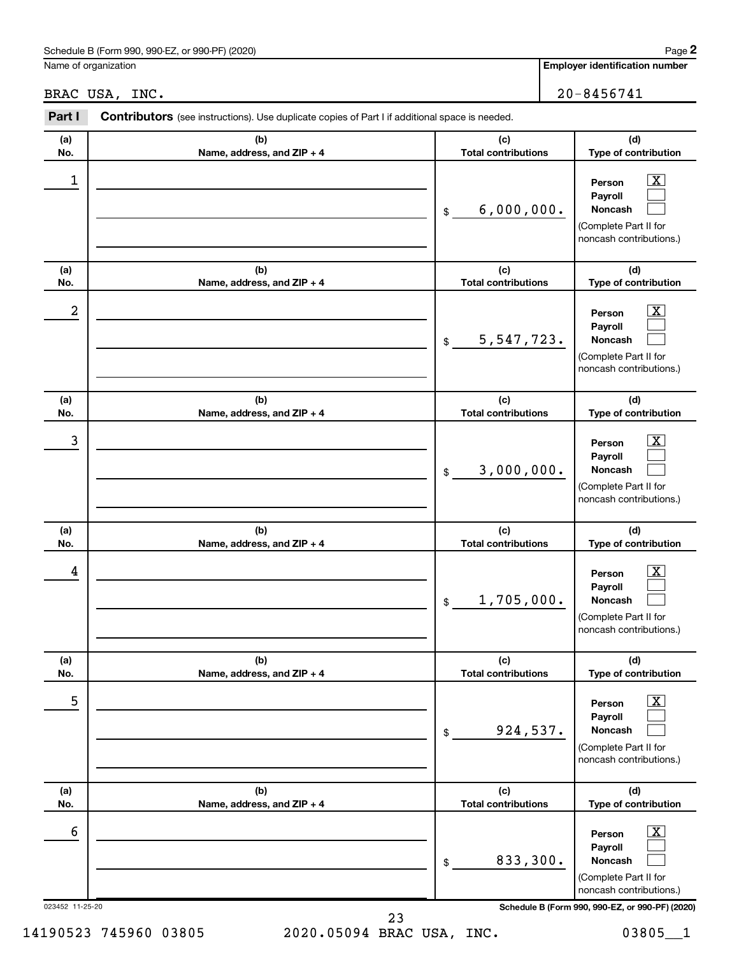#### Schedule B (Form 990, 990-EZ, or 990-PF) (2020)

Name of organization

**(a) No.**

 $\boxed{\text{X}}$  $\Box$  $\Box$ 

#### BRAC USA, INC. 20-8456741

**(b) Name, address, and ZIP + 4 (c) Total contributions (d) Type of contribution Person Payroll Noncash (b) (c) Part I** Contributors (see instructions). Use duplicate copies of Part I if additional space is needed. \$ (Complete Part II for  $\begin{array}{|c|c|c|c|c|}\hline \ \text{1} & \text{Person} & \text{X} \ \hline \end{array}$ 6,000,000.

|                  |                                   |                                   | noncash contributions.)                                                                                            |
|------------------|-----------------------------------|-----------------------------------|--------------------------------------------------------------------------------------------------------------------|
| (a)<br>No.       | (b)<br>Name, address, and ZIP + 4 | (c)<br><b>Total contributions</b> | (d)<br>Type of contribution                                                                                        |
| $\boldsymbol{2}$ |                                   | 5,547,723.<br>\$                  | $\overline{\textbf{X}}$<br>Person<br>Payroll<br>Noncash<br>(Complete Part II for<br>noncash contributions.)        |
| (a)<br>No.       | (b)<br>Name, address, and ZIP + 4 | (c)<br><b>Total contributions</b> | (d)<br>Type of contribution                                                                                        |
| 3                |                                   | 3,000,000.<br>\$                  | $\overline{\textbf{X}}$<br>Person<br>Payroll<br><b>Noncash</b><br>(Complete Part II for<br>noncash contributions.) |
| (a)<br>No.       | (b)<br>Name, address, and ZIP + 4 | (c)<br><b>Total contributions</b> | (d)<br>Type of contribution                                                                                        |
| 4                |                                   | 1,705,000.<br>\$                  | $\overline{\text{X}}$<br>Person<br>Payroll<br>Noncash<br>(Complete Part II for<br>noncash contributions.)          |
| (a)<br>No.       | (b)<br>Name, address, and ZIP + 4 | (c)<br><b>Total contributions</b> | (d)<br>Type of contribution                                                                                        |
| 5                |                                   | 924,537.<br>\$                    | x<br>Person<br>Payroll<br><b>Noncash</b><br>(Complete Part II for<br>noncash contributions.)                       |
| (a)<br>No.       | (b)<br>Name, address, and ZIP + 4 | (c)<br><b>Total contributions</b> | (d)<br>Type of contribution                                                                                        |
| 6                |                                   | 833,300.<br>\$                    | $\overline{\text{X}}$<br>Person<br>Payroll<br>Noncash<br>(Complete Part II for<br>noncash contributions.)          |
| 023452 11-25-20  | 23                                |                                   | Schedule B (Form 990, 990-EZ, or 990-PF) (2020)                                                                    |

14190523 745960 03805 2020.05094 BRAC USA, INC. 03805\_\_1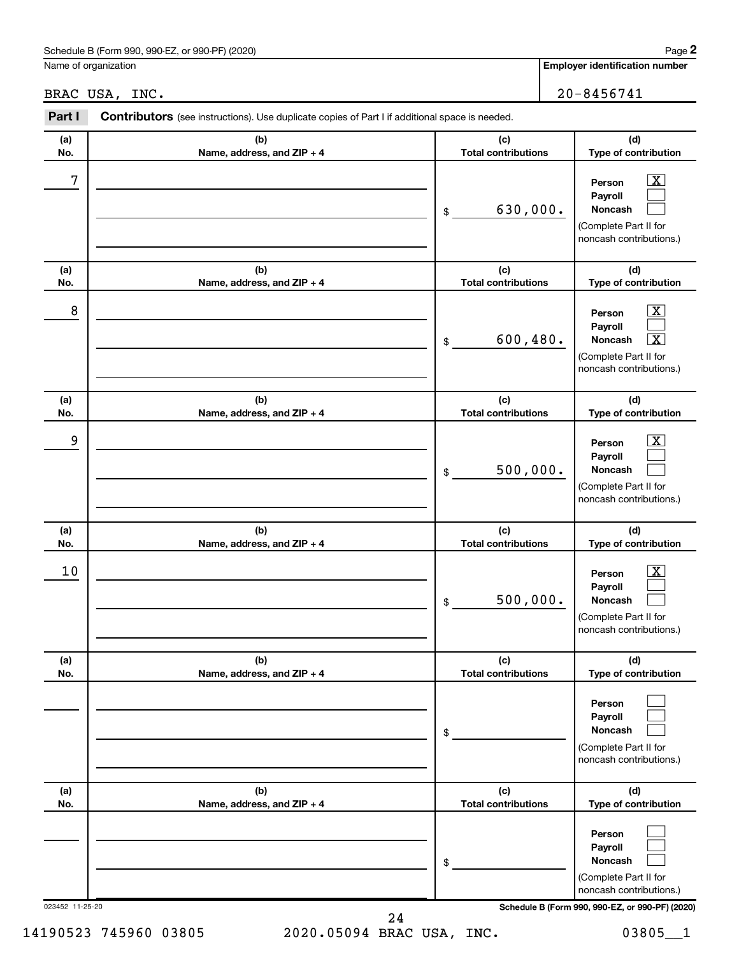#### Schedule B (Form 990, 990-EZ, or 990-PF) (2020)

Name of organization

|            | BRAC USA, INC.                                                                                 |                                   | $20 - 8456741$                                                                                                          |
|------------|------------------------------------------------------------------------------------------------|-----------------------------------|-------------------------------------------------------------------------------------------------------------------------|
| Part I     | Contributors (see instructions). Use duplicate copies of Part I if additional space is needed. |                                   |                                                                                                                         |
| (a)<br>No. | (b)<br>Name, address, and ZIP + 4                                                              | (c)<br><b>Total contributions</b> | (d)<br>Type of contribution                                                                                             |
| 7          |                                                                                                | 630,000.<br>\$                    | X<br>Person<br>Payroll<br><b>Noncash</b><br>(Complete Part II for<br>noncash contributions.)                            |
| (a)<br>No. | (b)<br>Name, address, and ZIP + 4                                                              | (c)<br><b>Total contributions</b> | (d)<br>Type of contribution                                                                                             |
| 8          |                                                                                                | 600, 480.<br>\$                   | <u>x</u><br>Person<br>Payroll<br>$\overline{\textbf{x}}$<br>Noncash<br>(Complete Part II for<br>noncash contributions.) |
| (a)<br>No. | (b)<br>Name, address, and ZIP + 4                                                              | (c)<br><b>Total contributions</b> | (d)<br>Type of contribution                                                                                             |
| 9          |                                                                                                | 500,000.<br>\$                    | x<br>Person<br>Payroll<br>Noncash<br>(Complete Part II for<br>noncash contributions.)                                   |
| (a)<br>No. | (b)<br>Name, address, and ZIP + 4                                                              | (c)<br><b>Total contributions</b> | (d)<br>Type of contribution                                                                                             |
| 10         |                                                                                                | 500,000.<br>\$                    | x<br>Person<br>Payroll<br>Noncash<br>(Complete Part II for<br>noncash contributions.)                                   |
| (a)<br>No. | (b)<br>Name, address, and ZIP + 4                                                              | (c)<br><b>Total contributions</b> | (d)<br>Type of contribution                                                                                             |
|            |                                                                                                | \$                                | Person<br>Payroll<br>Noncash<br>(Complete Part II for<br>noncash contributions.)                                        |
| (a)<br>No. | (b)<br>Name, address, and ZIP + 4                                                              | (c)<br><b>Total contributions</b> | (d)<br>Type of contribution                                                                                             |
|            |                                                                                                |                                   | Person<br>Payroll                                                                                                       |

**Noncash**

(Complete Part II for noncash contributions.)

24

\$

 $\Box$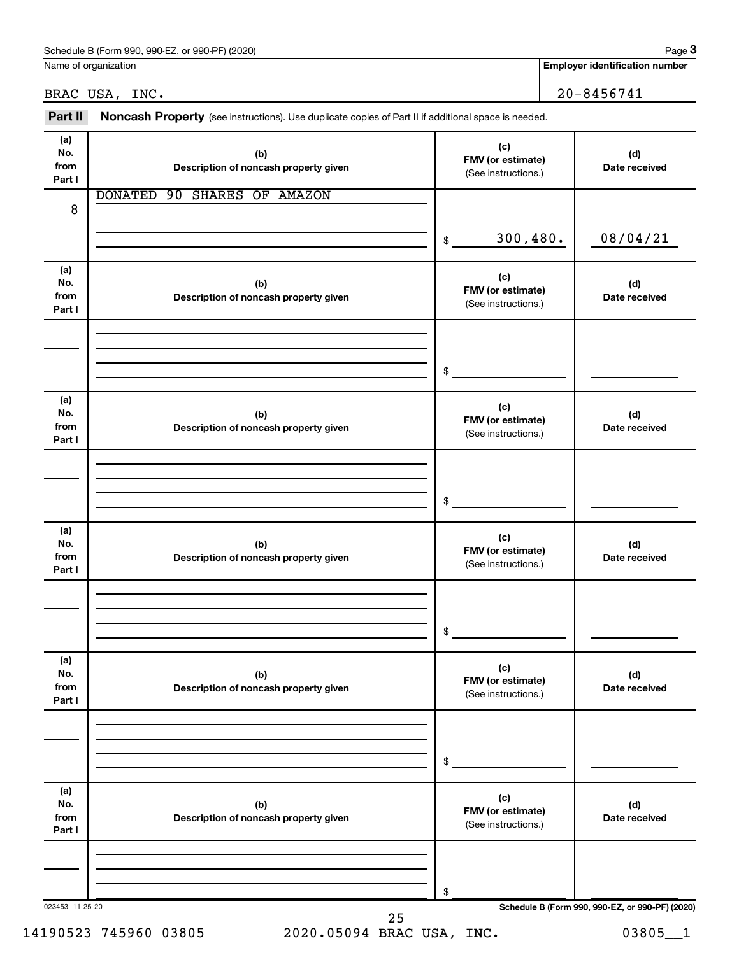Name of organization

### BRAC USA, INC. 20-8456741

Part II Noncash Property (see instructions). Use duplicate copies of Part II if additional space is needed.

| (a)<br>No.<br>from<br>Part I | (b)<br>Description of noncash property given | (c)<br>FMV (or estimate)<br>(See instructions.) | (d)<br>Date received                            |
|------------------------------|----------------------------------------------|-------------------------------------------------|-------------------------------------------------|
|                              | DONATED 90 SHARES OF AMAZON                  |                                                 |                                                 |
| 8                            |                                              |                                                 |                                                 |
|                              |                                              | 300, 480.<br>\$                                 | 08/04/21                                        |
| (a)<br>No.<br>from<br>Part I | (b)<br>Description of noncash property given | (c)<br>FMV (or estimate)<br>(See instructions.) | (d)<br>Date received                            |
|                              |                                              |                                                 |                                                 |
|                              |                                              | \$                                              |                                                 |
| (a)<br>No.<br>from<br>Part I | (b)<br>Description of noncash property given | (c)<br>FMV (or estimate)<br>(See instructions.) | (d)<br>Date received                            |
|                              |                                              |                                                 |                                                 |
|                              |                                              | \$                                              |                                                 |
| (a)<br>No.<br>from<br>Part I | (b)<br>Description of noncash property given | (c)<br>FMV (or estimate)<br>(See instructions.) | (d)<br>Date received                            |
|                              |                                              |                                                 |                                                 |
|                              |                                              | \$                                              |                                                 |
| (a)<br>No.<br>from<br>Part I | (b)<br>Description of noncash property given | (c)<br>FMV (or estimate)<br>(See instructions.) | (d)<br>Date received                            |
|                              |                                              |                                                 |                                                 |
|                              |                                              | \$                                              |                                                 |
| (a)<br>No.<br>from<br>Part I | (b)<br>Description of noncash property given | (c)<br>FMV (or estimate)<br>(See instructions.) | (d)<br>Date received                            |
|                              |                                              |                                                 |                                                 |
|                              |                                              | \$                                              |                                                 |
| 023453 11-25-20              | 25                                           |                                                 | Schedule B (Form 990, 990-EZ, or 990-PF) (2020) |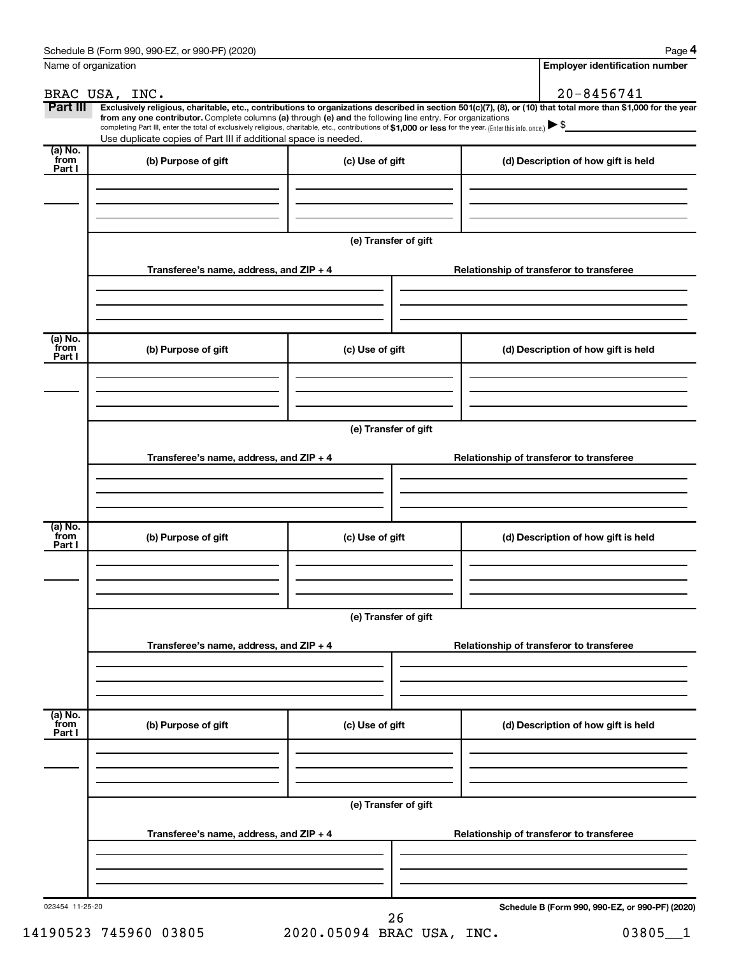| Name of organization      |                                                                                                                                                                                                                                                      |                      | <b>Employer identification number</b>                                                                                                                          |  |  |
|---------------------------|------------------------------------------------------------------------------------------------------------------------------------------------------------------------------------------------------------------------------------------------------|----------------------|----------------------------------------------------------------------------------------------------------------------------------------------------------------|--|--|
|                           | BRAC USA, INC.                                                                                                                                                                                                                                       |                      | $20 - 8456741$                                                                                                                                                 |  |  |
| Part III                  | from any one contributor. Complete columns (a) through (e) and the following line entry. For organizations                                                                                                                                           |                      | Exclusively religious, charitable, etc., contributions to organizations described in section 501(c)(7), (8), or (10) that total more than \$1,000 for the year |  |  |
|                           | completing Part III, enter the total of exclusively religious, charitable, etc., contributions of \$1,000 or less for the year. (Enter this info. once.) $\blacktriangleright$ \$<br>Use duplicate copies of Part III if additional space is needed. |                      |                                                                                                                                                                |  |  |
| (a) No.<br>from<br>Part I | (b) Purpose of gift                                                                                                                                                                                                                                  | (c) Use of gift      | (d) Description of how gift is held                                                                                                                            |  |  |
|                           |                                                                                                                                                                                                                                                      |                      |                                                                                                                                                                |  |  |
|                           |                                                                                                                                                                                                                                                      | (e) Transfer of gift |                                                                                                                                                                |  |  |
|                           | Transferee's name, address, and $ZIP + 4$                                                                                                                                                                                                            |                      | Relationship of transferor to transferee                                                                                                                       |  |  |
|                           |                                                                                                                                                                                                                                                      |                      |                                                                                                                                                                |  |  |
| (a) No.<br>from<br>Part I | (b) Purpose of gift                                                                                                                                                                                                                                  | (c) Use of gift      | (d) Description of how gift is held                                                                                                                            |  |  |
|                           |                                                                                                                                                                                                                                                      |                      |                                                                                                                                                                |  |  |
|                           |                                                                                                                                                                                                                                                      | (e) Transfer of gift |                                                                                                                                                                |  |  |
|                           | Transferee's name, address, and $ZIP + 4$                                                                                                                                                                                                            |                      | Relationship of transferor to transferee                                                                                                                       |  |  |
|                           |                                                                                                                                                                                                                                                      |                      |                                                                                                                                                                |  |  |
| (a) No.<br>from<br>Part I | (b) Purpose of gift                                                                                                                                                                                                                                  | (c) Use of gift      | (d) Description of how gift is held                                                                                                                            |  |  |
|                           |                                                                                                                                                                                                                                                      |                      |                                                                                                                                                                |  |  |
|                           | (e) Transfer of gift                                                                                                                                                                                                                                 |                      |                                                                                                                                                                |  |  |
|                           | Transferee's name, address, and ZIP + 4                                                                                                                                                                                                              |                      | Relationship of transferor to transferee                                                                                                                       |  |  |
|                           |                                                                                                                                                                                                                                                      |                      |                                                                                                                                                                |  |  |
| (a) No.<br>from<br>Part I | (b) Purpose of gift                                                                                                                                                                                                                                  | (c) Use of gift      | (d) Description of how gift is held                                                                                                                            |  |  |
|                           |                                                                                                                                                                                                                                                      |                      |                                                                                                                                                                |  |  |
|                           |                                                                                                                                                                                                                                                      | (e) Transfer of gift |                                                                                                                                                                |  |  |
|                           | Transferee's name, address, and ZIP + 4                                                                                                                                                                                                              |                      | Relationship of transferor to transferee                                                                                                                       |  |  |
|                           |                                                                                                                                                                                                                                                      |                      |                                                                                                                                                                |  |  |
| 023454 11-25-20           |                                                                                                                                                                                                                                                      | 26                   | Schedule B (Form 990, 990-EZ, or 990-PF) (2020)                                                                                                                |  |  |

14190523 745960 03805 2020.05094 BRAC USA, INC. 03805\_\_1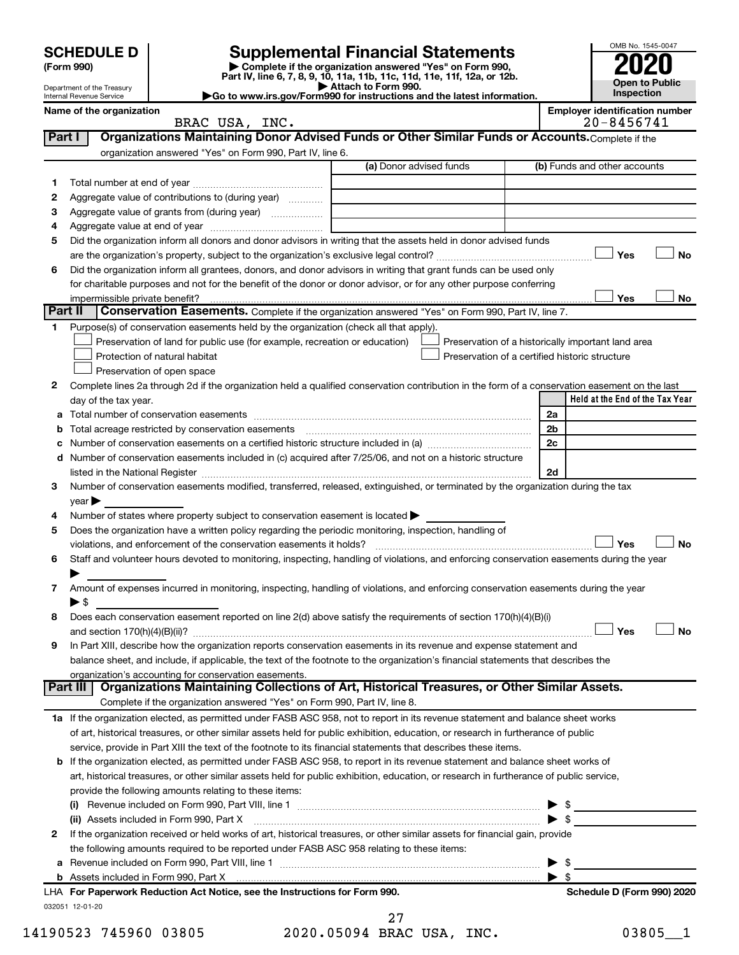| <b>SCHEDULE D</b> |  |
|-------------------|--|
|-------------------|--|

# **SCHEDULE D Supplemental Financial Statements**<br> **Form 990 2020**<br> **Part IV** line 6.7.8.9.10, 11a, 11b, 11d, 11d, 11d, 11d, 11d, 12a, 0r, 12b

**(Form 990) | Complete if the organization answered "Yes" on Form 990, Part IV, line 6, 7, 8, 9, 10, 11a, 11b, 11c, 11d, 11e, 11f, 12a, or 12b.**

**| Attach to Form 990. |Go to www.irs.gov/Form990 for instructions and the latest information.**



Department of the Treasury Internal Revenue Service

|                | Name of the organization                                                                                           | <b>Employer identification number</b> |                              |  |
|----------------|--------------------------------------------------------------------------------------------------------------------|---------------------------------------|------------------------------|--|
|                | BRAC USA, INC.                                                                                                     |                                       | $20 - 8456741$               |  |
| <b>Part</b> I  | Organizations Maintaining Donor Advised Funds or Other Similar Funds or Accounts. Complete if the                  |                                       |                              |  |
|                | organization answered "Yes" on Form 990, Part IV, line 6.                                                          |                                       |                              |  |
|                |                                                                                                                    | (a) Donor advised funds               | (b) Funds and other accounts |  |
|                |                                                                                                                    |                                       |                              |  |
| 2              | Aggregate value of contributions to (during year)                                                                  |                                       |                              |  |
| 3              | Aggregate value of grants from (during year)                                                                       |                                       |                              |  |
| 4              |                                                                                                                    |                                       |                              |  |
| 5              | Did the organization inform all donors and donor advisors in writing that the assets held in donor advised funds   |                                       |                              |  |
|                |                                                                                                                    |                                       | Yes<br>Nο                    |  |
| 6              | Did the organization inform all grantees, donors, and donor advisors in writing that grant funds can be used only  |                                       |                              |  |
|                | for charitable purposes and not for the benefit of the donor or donor advisor, or for any other purpose conferring |                                       |                              |  |
|                |                                                                                                                    |                                       | Yes<br>No                    |  |
| <b>Part II</b> | Conservation Easements. Complete if the organization answered "Yes" on Form 990, Part IV, line 7.                  |                                       |                              |  |
|                | Purpose(s) of conservation easements held by the organization (check all that apply).                              |                                       |                              |  |

| Preservation of land for public use (for example, recreation or education) [16] Preservation of a historically important land area |                                                       |
|------------------------------------------------------------------------------------------------------------------------------------|-------------------------------------------------------|
| $\Box$ Protection of natural habitat                                                                                               | $\Box$ Preservation of a certified historic structure |
| $\Box$ Preservation of open space                                                                                                  |                                                       |

| Complete lines 2a through 2d if the organization held a qualified conservation contribution in the form of a conservation easement on the last |                                 |
|------------------------------------------------------------------------------------------------------------------------------------------------|---------------------------------|
| day of the tax year.                                                                                                                           | Held at the End of the Tax Year |

| а |                                                                                                                                                                                                                                | 2a                         |
|---|--------------------------------------------------------------------------------------------------------------------------------------------------------------------------------------------------------------------------------|----------------------------|
| b | Total acreage restricted by conservation easements [11] matter conservation conservation of the set of the set of the set of the set of the set of the set of the set of the set of the set of the set of the set of the set o | 2b                         |
| с |                                                                                                                                                                                                                                | 2 <sub>c</sub>             |
| d | Number of conservation easements included in (c) acquired after 7/25/06, and not on a historic structure                                                                                                                       |                            |
|   |                                                                                                                                                                                                                                | 2d                         |
| З | Number of conservation easements modified, transferred, released, extinguished, or terminated by the organization during the tax                                                                                               |                            |
|   | year                                                                                                                                                                                                                           |                            |
| 4 | Number of states where property subject to conservation easement is located >                                                                                                                                                  |                            |
| 5 | Does the organization have a written policy regarding the periodic monitoring, inspection, handling of                                                                                                                         |                            |
|   | violations, and enforcement of the conservation easements it holds?                                                                                                                                                            | Yes<br>Nο                  |
| 6 | Staff and volunteer hours devoted to monitoring, inspecting, handling of violations, and enforcing conservation easements during the year                                                                                      |                            |
|   |                                                                                                                                                                                                                                |                            |
| 7 | Amount of expenses incurred in monitoring, inspecting, handling of violations, and enforcing conservation easements during the year                                                                                            |                            |
|   | $\blacktriangleright$ \$                                                                                                                                                                                                       |                            |
| 8 | Does each conservation easement reported on line 2(d) above satisfy the requirements of section 170(h)(4)(B)(i)                                                                                                                |                            |
|   |                                                                                                                                                                                                                                | Yes<br>No                  |
| 9 | In Part XIII, describe how the organization reports conservation easements in its revenue and expense statement and                                                                                                            |                            |
|   | balance sheet, and include, if applicable, the text of the footnote to the organization's financial statements that describes the                                                                                              |                            |
|   | organization's accounting for conservation easements.                                                                                                                                                                          |                            |
|   | Organizations Maintaining Collections of Art, Historical Treasures, or Other Similar Assets.<br>Part III I                                                                                                                     |                            |
|   | Complete if the organization answered "Yes" on Form 990, Part IV, line 8.                                                                                                                                                      |                            |
|   | 1a If the organization elected, as permitted under FASB ASC 958, not to report in its revenue statement and balance sheet works                                                                                                |                            |
|   | of art, historical treasures, or other similar assets held for public exhibition, education, or research in furtherance of public                                                                                              |                            |
|   | service, provide in Part XIII the text of the footnote to its financial statements that describes these items.                                                                                                                 |                            |
|   | <b>b</b> If the organization elected, as permitted under FASB ASC 958, to report in its revenue statement and balance sheet works of                                                                                           |                            |
|   | art, historical treasures, or other similar assets held for public exhibition, education, or research in furtherance of public service,                                                                                        |                            |
|   | provide the following amounts relating to these items:                                                                                                                                                                         |                            |
|   | (i)                                                                                                                                                                                                                            |                            |
|   | (ii) Assets included in Form 990, Part X                                                                                                                                                                                       |                            |
| 2 | If the organization received or held works of art, historical treasures, or other similar assets for financial gain, provide                                                                                                   |                            |
|   | the following amounts required to be reported under FASB ASC 958 relating to these items:                                                                                                                                      |                            |
|   |                                                                                                                                                                                                                                |                            |
|   |                                                                                                                                                                                                                                |                            |
|   | LHA For Paperwork Reduction Act Notice, see the Instructions for Form 990.                                                                                                                                                     | Schedule D (Form 990) 2020 |
|   | 032051 12-01-20                                                                                                                                                                                                                |                            |

14190523 745960 03805 2020.05094 BRAC USA, INC. 03805\_\_1 27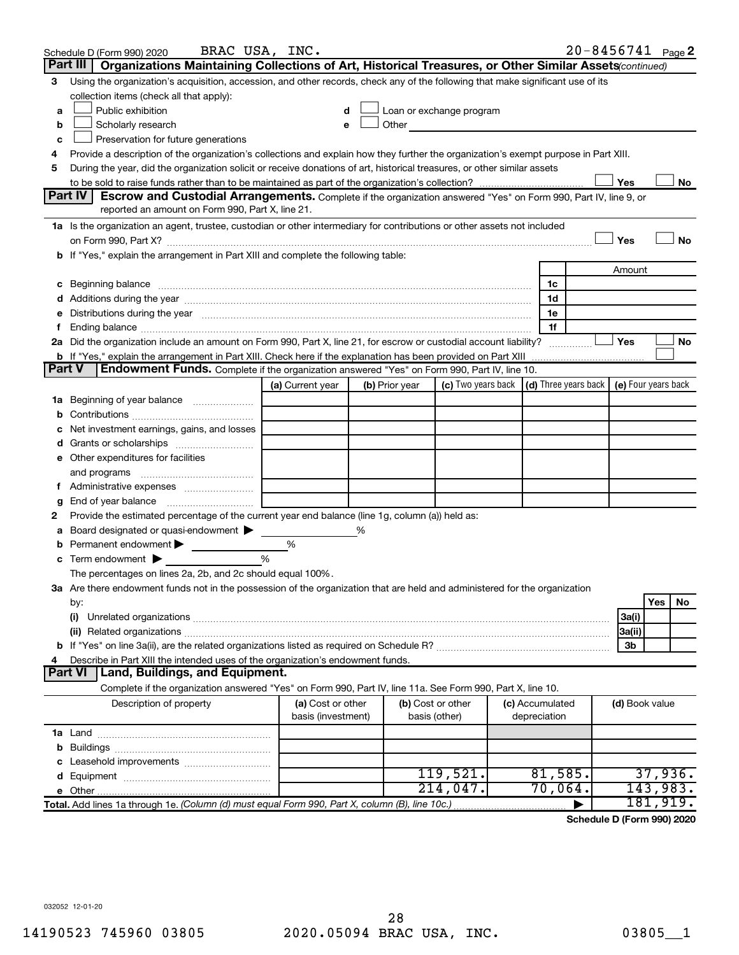|               | BRAC USA, INC.<br>Schedule D (Form 990) 2020                                                                                                                                                                                   |                                         |   |                |                                                                                                                                                                                                                                |                                 | $20 - 8456741$ Page 2                             |         |    |
|---------------|--------------------------------------------------------------------------------------------------------------------------------------------------------------------------------------------------------------------------------|-----------------------------------------|---|----------------|--------------------------------------------------------------------------------------------------------------------------------------------------------------------------------------------------------------------------------|---------------------------------|---------------------------------------------------|---------|----|
|               | Part III   Organizations Maintaining Collections of Art, Historical Treasures, or Other Similar Assets continued)                                                                                                              |                                         |   |                |                                                                                                                                                                                                                                |                                 |                                                   |         |    |
| 3             | Using the organization's acquisition, accession, and other records, check any of the following that make significant use of its                                                                                                |                                         |   |                |                                                                                                                                                                                                                                |                                 |                                                   |         |    |
|               | collection items (check all that apply):                                                                                                                                                                                       |                                         |   |                |                                                                                                                                                                                                                                |                                 |                                                   |         |    |
| a             | Public exhibition                                                                                                                                                                                                              | d                                       |   |                | Loan or exchange program                                                                                                                                                                                                       |                                 |                                                   |         |    |
| b             | Scholarly research                                                                                                                                                                                                             | e                                       |   |                | Other and the control of the control of the control of the control of the control of the control of the control of the control of the control of the control of the control of the control of the control of the control of th |                                 |                                                   |         |    |
| с             | Preservation for future generations                                                                                                                                                                                            |                                         |   |                |                                                                                                                                                                                                                                |                                 |                                                   |         |    |
| 4             | Provide a description of the organization's collections and explain how they further the organization's exempt purpose in Part XIII.                                                                                           |                                         |   |                |                                                                                                                                                                                                                                |                                 |                                                   |         |    |
| 5             | During the year, did the organization solicit or receive donations of art, historical treasures, or other similar assets                                                                                                       |                                         |   |                |                                                                                                                                                                                                                                |                                 |                                                   |         |    |
|               |                                                                                                                                                                                                                                |                                         |   |                |                                                                                                                                                                                                                                |                                 | Yes                                               |         | No |
|               | Part IV<br><b>Escrow and Custodial Arrangements.</b> Complete if the organization answered "Yes" on Form 990, Part IV, line 9, or                                                                                              |                                         |   |                |                                                                                                                                                                                                                                |                                 |                                                   |         |    |
|               | reported an amount on Form 990, Part X, line 21.                                                                                                                                                                               |                                         |   |                |                                                                                                                                                                                                                                |                                 |                                                   |         |    |
|               | 1a Is the organization an agent, trustee, custodian or other intermediary for contributions or other assets not included                                                                                                       |                                         |   |                |                                                                                                                                                                                                                                |                                 |                                                   |         |    |
|               |                                                                                                                                                                                                                                |                                         |   |                |                                                                                                                                                                                                                                |                                 | Yes                                               |         | No |
|               | b If "Yes," explain the arrangement in Part XIII and complete the following table:                                                                                                                                             |                                         |   |                |                                                                                                                                                                                                                                |                                 |                                                   |         |    |
|               |                                                                                                                                                                                                                                |                                         |   |                |                                                                                                                                                                                                                                |                                 | Amount                                            |         |    |
|               | c Beginning balance measurements and the contract of the contract of the contract of the contract of the contract of the contract of the contract of the contract of the contract of the contract of the contract of the contr |                                         |   |                |                                                                                                                                                                                                                                | 1c                              |                                                   |         |    |
|               |                                                                                                                                                                                                                                |                                         |   |                |                                                                                                                                                                                                                                | 1d                              |                                                   |         |    |
|               | e Distributions during the year manufactured and continuum control of the control of the control of the state of the state of the control of the control of the control of the control of the control of the control of the co |                                         |   |                |                                                                                                                                                                                                                                | 1e                              |                                                   |         |    |
| t.            | 2a Did the organization include an amount on Form 990, Part X, line 21, for escrow or custodial account liability?                                                                                                             |                                         |   |                |                                                                                                                                                                                                                                | 1f                              |                                                   |         |    |
|               | b If "Yes," explain the arrangement in Part XIII. Check here if the explanation has been provided on Part XIII                                                                                                                 |                                         |   |                |                                                                                                                                                                                                                                |                                 | Yes                                               |         | No |
| <b>Part V</b> | Endowment Funds. Complete if the organization answered "Yes" on Form 990, Part IV, line 10.                                                                                                                                    |                                         |   |                |                                                                                                                                                                                                                                |                                 |                                                   |         |    |
|               |                                                                                                                                                                                                                                | (a) Current year                        |   | (b) Prior year | (c) Two years back                                                                                                                                                                                                             |                                 | $(d)$ Three years back $\mid$ (e) Four years back |         |    |
|               | 1a Beginning of year balance                                                                                                                                                                                                   |                                         |   |                |                                                                                                                                                                                                                                |                                 |                                                   |         |    |
|               |                                                                                                                                                                                                                                |                                         |   |                |                                                                                                                                                                                                                                |                                 |                                                   |         |    |
|               | Net investment earnings, gains, and losses                                                                                                                                                                                     |                                         |   |                |                                                                                                                                                                                                                                |                                 |                                                   |         |    |
|               |                                                                                                                                                                                                                                |                                         |   |                |                                                                                                                                                                                                                                |                                 |                                                   |         |    |
|               | e Other expenditures for facilities                                                                                                                                                                                            |                                         |   |                |                                                                                                                                                                                                                                |                                 |                                                   |         |    |
|               |                                                                                                                                                                                                                                |                                         |   |                |                                                                                                                                                                                                                                |                                 |                                                   |         |    |
|               |                                                                                                                                                                                                                                |                                         |   |                |                                                                                                                                                                                                                                |                                 |                                                   |         |    |
| g             |                                                                                                                                                                                                                                |                                         |   |                |                                                                                                                                                                                                                                |                                 |                                                   |         |    |
| 2             | Provide the estimated percentage of the current year end balance (line 1g, column (a)) held as:                                                                                                                                |                                         |   |                |                                                                                                                                                                                                                                |                                 |                                                   |         |    |
| а             | Board designated or quasi-endowment                                                                                                                                                                                            |                                         | % |                |                                                                                                                                                                                                                                |                                 |                                                   |         |    |
|               | <b>b</b> Permanent endowment $\blacktriangleright$                                                                                                                                                                             | %                                       |   |                |                                                                                                                                                                                                                                |                                 |                                                   |         |    |
|               | <b>c</b> Term endowment $\blacktriangleright$                                                                                                                                                                                  | %                                       |   |                |                                                                                                                                                                                                                                |                                 |                                                   |         |    |
|               | The percentages on lines 2a, 2b, and 2c should equal 100%.                                                                                                                                                                     |                                         |   |                |                                                                                                                                                                                                                                |                                 |                                                   |         |    |
|               | 3a Are there endowment funds not in the possession of the organization that are held and administered for the organization                                                                                                     |                                         |   |                |                                                                                                                                                                                                                                |                                 |                                                   |         |    |
|               | by:                                                                                                                                                                                                                            |                                         |   |                |                                                                                                                                                                                                                                |                                 |                                                   | Yes     | No |
|               | (i)                                                                                                                                                                                                                            |                                         |   |                |                                                                                                                                                                                                                                |                                 | 3a(i)                                             |         |    |
|               |                                                                                                                                                                                                                                |                                         |   |                |                                                                                                                                                                                                                                |                                 | 3a(ii)                                            |         |    |
|               |                                                                                                                                                                                                                                |                                         |   |                |                                                                                                                                                                                                                                |                                 | 3b                                                |         |    |
| 4             | Describe in Part XIII the intended uses of the organization's endowment funds.                                                                                                                                                 |                                         |   |                |                                                                                                                                                                                                                                |                                 |                                                   |         |    |
|               | Land, Buildings, and Equipment.<br><b>Part VI</b>                                                                                                                                                                              |                                         |   |                |                                                                                                                                                                                                                                |                                 |                                                   |         |    |
|               | Complete if the organization answered "Yes" on Form 990, Part IV, line 11a. See Form 990, Part X, line 10.                                                                                                                     |                                         |   |                |                                                                                                                                                                                                                                |                                 |                                                   |         |    |
|               | Description of property                                                                                                                                                                                                        | (a) Cost or other<br>basis (investment) |   |                | (b) Cost or other<br>basis (other)                                                                                                                                                                                             | (c) Accumulated<br>depreciation | (d) Book value                                    |         |    |
|               |                                                                                                                                                                                                                                |                                         |   |                |                                                                                                                                                                                                                                |                                 |                                                   |         |    |
|               |                                                                                                                                                                                                                                |                                         |   |                |                                                                                                                                                                                                                                |                                 |                                                   |         |    |
|               |                                                                                                                                                                                                                                |                                         |   |                |                                                                                                                                                                                                                                |                                 |                                                   |         |    |
|               |                                                                                                                                                                                                                                |                                         |   |                | 119,521.                                                                                                                                                                                                                       | 81,585.                         |                                                   | 37,936. |    |
|               |                                                                                                                                                                                                                                |                                         |   |                | 214,047.                                                                                                                                                                                                                       | 70,064.                         | 143,983.                                          |         |    |
|               | Total. Add lines 1a through 1e. (Column (d) must equal Form 990, Part X, column (B), line 10c.)                                                                                                                                |                                         |   |                |                                                                                                                                                                                                                                |                                 | 181,919.                                          |         |    |

**Schedule D (Form 990) 2020**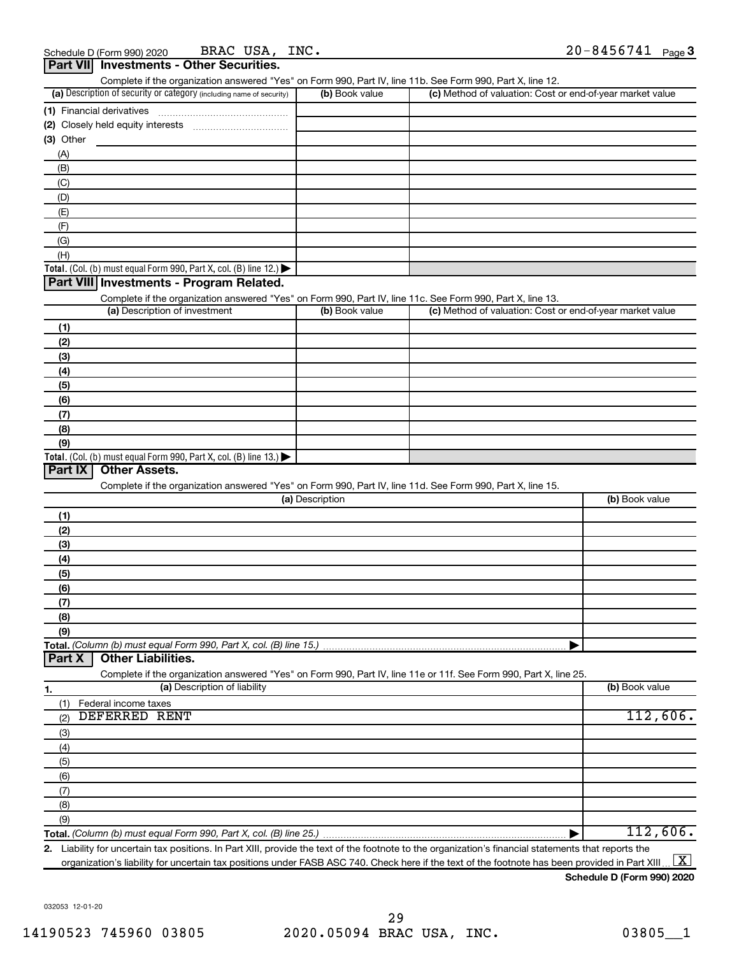| .<br>Complete if the organization answered "Yes" on Form 990, Part IV, line 11b. See Form 990, Part X, line 12.   |                 |                                                           |                |
|-------------------------------------------------------------------------------------------------------------------|-----------------|-----------------------------------------------------------|----------------|
| (a) Description of security or category (including name of security)                                              | (b) Book value  | (c) Method of valuation: Cost or end-of-year market value |                |
|                                                                                                                   |                 |                                                           |                |
|                                                                                                                   |                 |                                                           |                |
| (3) Other                                                                                                         |                 |                                                           |                |
| (A)                                                                                                               |                 |                                                           |                |
| (B)                                                                                                               |                 |                                                           |                |
| (C)                                                                                                               |                 |                                                           |                |
| (D)                                                                                                               |                 |                                                           |                |
|                                                                                                                   |                 |                                                           |                |
| (E)                                                                                                               |                 |                                                           |                |
| (F)                                                                                                               |                 |                                                           |                |
| (G)                                                                                                               |                 |                                                           |                |
| (H)                                                                                                               |                 |                                                           |                |
| Total. (Col. (b) must equal Form 990, Part X, col. (B) line 12.)                                                  |                 |                                                           |                |
| Part VIII Investments - Program Related.                                                                          |                 |                                                           |                |
| Complete if the organization answered "Yes" on Form 990, Part IV, line 11c. See Form 990, Part X, line 13.        |                 |                                                           |                |
| (a) Description of investment                                                                                     | (b) Book value  | (c) Method of valuation: Cost or end-of-year market value |                |
| (1)                                                                                                               |                 |                                                           |                |
| (2)                                                                                                               |                 |                                                           |                |
| (3)                                                                                                               |                 |                                                           |                |
| (4)                                                                                                               |                 |                                                           |                |
| (5)                                                                                                               |                 |                                                           |                |
| (6)                                                                                                               |                 |                                                           |                |
| (7)                                                                                                               |                 |                                                           |                |
| (8)                                                                                                               |                 |                                                           |                |
| (9)                                                                                                               |                 |                                                           |                |
| Total. (Col. (b) must equal Form 990, Part X, col. (B) line 13.) $\blacktriangleright$                            |                 |                                                           |                |
| <b>Other Assets.</b><br>Part IX                                                                                   |                 |                                                           |                |
| Complete if the organization answered "Yes" on Form 990, Part IV, line 11d. See Form 990, Part X, line 15.        |                 |                                                           |                |
|                                                                                                                   | (a) Description |                                                           | (b) Book value |
|                                                                                                                   |                 |                                                           |                |
| (1)                                                                                                               |                 |                                                           |                |
| (2)                                                                                                               |                 |                                                           |                |
| (3)                                                                                                               |                 |                                                           |                |
| (4)                                                                                                               |                 |                                                           |                |
| (5)                                                                                                               |                 |                                                           |                |
| (6)                                                                                                               |                 |                                                           |                |
| (7)                                                                                                               |                 |                                                           |                |
| (8)                                                                                                               |                 |                                                           |                |
| (9)                                                                                                               |                 |                                                           |                |
| Total. (Column (b) must equal Form 990, Part X, col. (B) line 15.)<br><b>Other Liabilities.</b><br>Part X         |                 |                                                           |                |
| Complete if the organization answered "Yes" on Form 990, Part IV, line 11e or 11f. See Form 990, Part X, line 25. |                 |                                                           |                |
| (a) Description of liability<br>1.                                                                                |                 |                                                           | (b) Book value |
| (1)<br>Federal income taxes                                                                                       |                 |                                                           |                |
| <b>DEFERRED RENT</b><br>(2)                                                                                       |                 |                                                           | 112,606.       |
| (3)                                                                                                               |                 |                                                           |                |
| (4)                                                                                                               |                 |                                                           |                |
| (5)                                                                                                               |                 |                                                           |                |
|                                                                                                                   |                 |                                                           |                |
| (6)                                                                                                               |                 |                                                           |                |
| (7)                                                                                                               |                 |                                                           |                |
| (8)                                                                                                               |                 |                                                           |                |
| (9)                                                                                                               |                 |                                                           |                |
| Total. (Column (b) must equal Form 990, Part X, col. (B) line 25.)                                                |                 | ▶                                                         | 112,606.       |

**2.** Liability for uncertain tax positions. In Part XIII, provide the text of the footnote to the organization's financial statements that reports the organization's liability for uncertain tax positions under FASB ASC 740. Check here if the text of the footnote has been provided in Part XIII ...  $\fbox{\bf X}$ 

#### **Schedule D (Form 990) 2020**

032053 12-01-20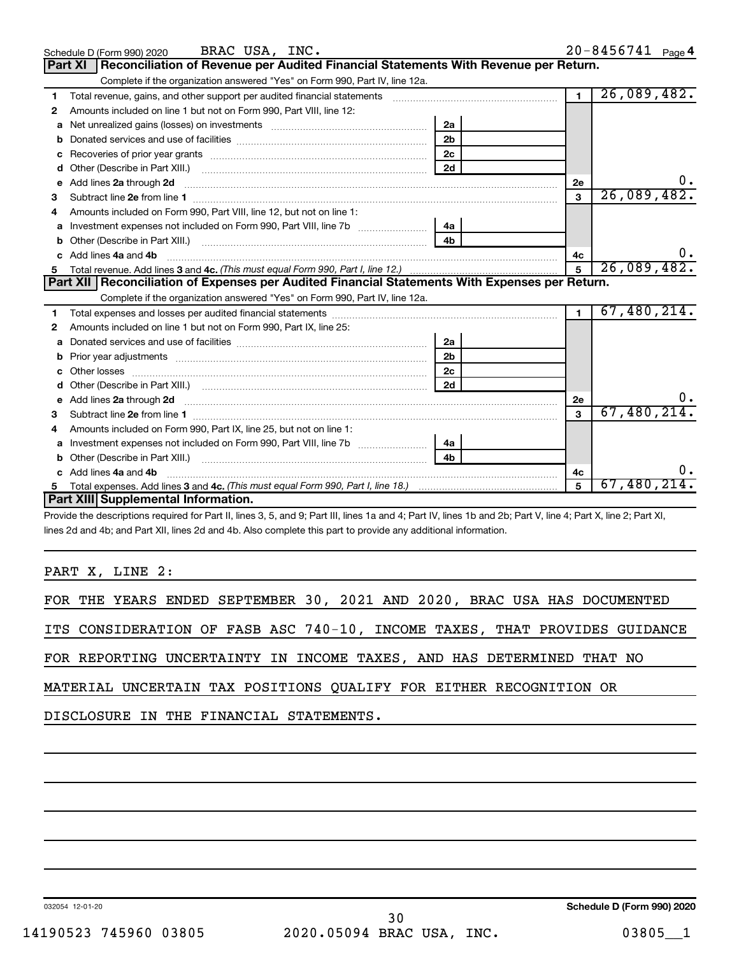|    | BRAC USA, INC.<br>Schedule D (Form 990) 2020                                                                           |                |                | 20-8456741 Page 4 |
|----|------------------------------------------------------------------------------------------------------------------------|----------------|----------------|-------------------|
|    | Part XI   Reconciliation of Revenue per Audited Financial Statements With Revenue per Return.                          |                |                |                   |
|    | Complete if the organization answered "Yes" on Form 990, Part IV, line 12a.                                            |                |                |                   |
| 1  | Total revenue, gains, and other support per audited financial statements                                               |                | $\overline{1}$ | 26,089,482.       |
| 2  | Amounts included on line 1 but not on Form 990, Part VIII, line 12:                                                    |                |                |                   |
|    |                                                                                                                        | 2a             |                |                   |
| b  |                                                                                                                        | 2 <sub>b</sub> |                |                   |
| c  |                                                                                                                        | 2c             |                |                   |
| d  |                                                                                                                        | 2d             |                |                   |
| e  | Add lines 2a through 2d <b>contained a contained a contained a contained a</b> contained a contained a contact the set |                | <b>2e</b>      |                   |
| 3  |                                                                                                                        |                | 3              | 26,089,482.       |
|    | Amounts included on Form 990, Part VIII, line 12, but not on line 1:                                                   |                |                |                   |
| a  | Investment expenses not included on Form 990, Part VIII, line 7b                                                       | 4a             |                |                   |
|    |                                                                                                                        | 4 <sub>b</sub> |                |                   |
|    | Add lines 4a and 4b                                                                                                    |                | 4c             |                   |
| 5  |                                                                                                                        | 5              | 26,089,482.    |                   |
|    |                                                                                                                        |                |                |                   |
|    | Part XII   Reconciliation of Expenses per Audited Financial Statements With Expenses per Return.                       |                |                |                   |
|    | Complete if the organization answered "Yes" on Form 990, Part IV, line 12a.                                            |                |                |                   |
| 1. |                                                                                                                        |                | $\blacksquare$ | 67,480,214.       |
| 2  | Amounts included on line 1 but not on Form 990, Part IX, line 25:                                                      |                |                |                   |
| a  |                                                                                                                        | 2a             |                |                   |
|    |                                                                                                                        | 2 <sub>b</sub> |                |                   |
| c  |                                                                                                                        | 2с             |                |                   |
|    |                                                                                                                        | 2d             |                |                   |
|    |                                                                                                                        |                | 2e             |                   |
| 3  |                                                                                                                        |                | $\mathbf{a}$   | 67,480,214.       |
| 4  | Amounts included on Form 990, Part IX, line 25, but not on line 1:                                                     |                |                |                   |
| а  | Investment expenses not included on Form 990, Part VIII, line 7b [                                                     | 4a             |                |                   |
|    |                                                                                                                        | 4 <sub>h</sub> |                |                   |
|    | c Add lines 4a and 4b                                                                                                  |                | 4с             |                   |
|    | Part XIII Supplemental Information.                                                                                    |                | 5              | 67,480,214.       |

Provide the descriptions required for Part II, lines 3, 5, and 9; Part III, lines 1a and 4; Part IV, lines 1b and 2b; Part V, line 4; Part X, line 2; Part XI, lines 2d and 4b; and Part XII, lines 2d and 4b. Also complete this part to provide any additional information.

PART X, LINE 2:

|  |  |                                                                       |  |  |  |  | FOR THE YEARS ENDED SEPTEMBER 30, 2021 AND 2020, BRAC USA HAS DOCUMENTED   |
|--|--|-----------------------------------------------------------------------|--|--|--|--|----------------------------------------------------------------------------|
|  |  |                                                                       |  |  |  |  | ITS CONSIDERATION OF FASB ASC 740-10, INCOME TAXES, THAT PROVIDES GUIDANCE |
|  |  | FOR REPORTING UNCERTAINTY IN INCOME TAXES, AND HAS DETERMINED THAT NO |  |  |  |  |                                                                            |
|  |  | MATERIAL UNCERTAIN TAX POSITIONS QUALIFY FOR EITHER RECOGNITION OR    |  |  |  |  |                                                                            |

DISCLOSURE IN THE FINANCIAL STATEMENTS.

032054 12-01-20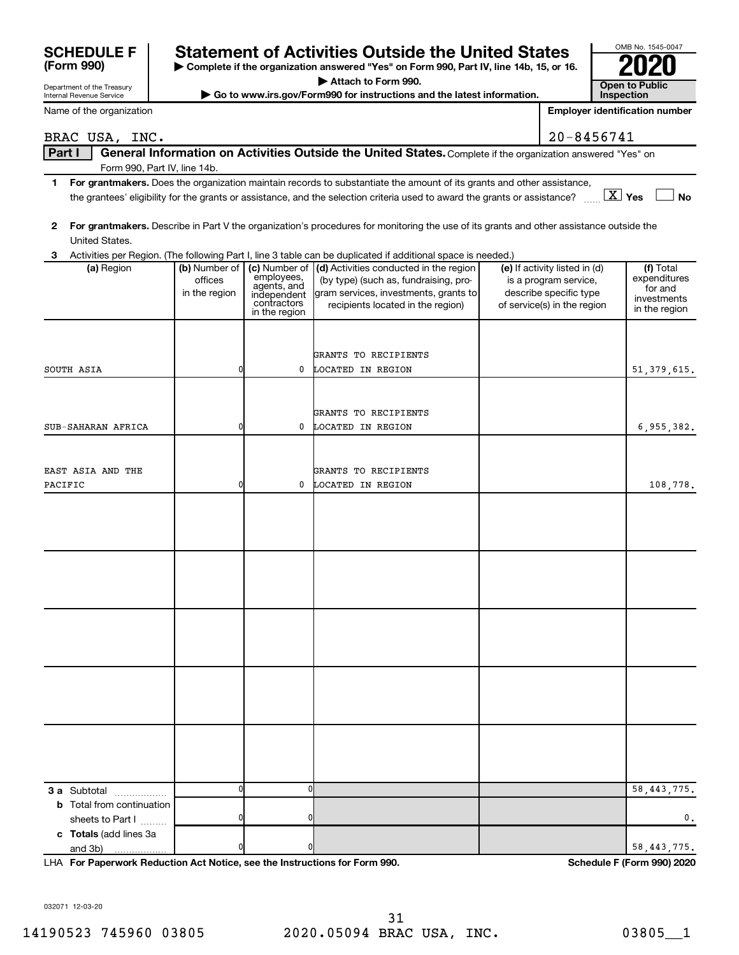| Attach to Form 990.<br><b>Open to Public</b><br>Department of the Treasury |  |                              |  |               |                                             |                                                                                                                                         |                                                       |                        |                                       |
|----------------------------------------------------------------------------|--|------------------------------|--|---------------|---------------------------------------------|-----------------------------------------------------------------------------------------------------------------------------------------|-------------------------------------------------------|------------------------|---------------------------------------|
|                                                                            |  | Internal Revenue Service     |  |               |                                             | Go to www.irs.gov/Form990 for instructions and the latest information.                                                                  |                                                       | <b>Inspection</b>      |                                       |
|                                                                            |  | Name of the organization     |  |               |                                             |                                                                                                                                         |                                                       |                        | <b>Employer identification number</b> |
|                                                                            |  | BRAC USA, INC.               |  |               |                                             |                                                                                                                                         | $20 - 8456741$                                        |                        |                                       |
| <b>Part I</b>                                                              |  |                              |  |               |                                             | General Information on Activities Outside the United States. Complete if the organization answered "Yes" on                             |                                                       |                        |                                       |
|                                                                            |  | Form 990, Part IV, line 14b. |  |               |                                             |                                                                                                                                         |                                                       |                        |                                       |
| 1                                                                          |  |                              |  |               |                                             | For grantmakers. Does the organization maintain records to substantiate the amount of its grants and other assistance,                  |                                                       |                        |                                       |
|                                                                            |  |                              |  |               |                                             | the grantees' eligibility for the grants or assistance, and the selection criteria used to award the grants or assistance?              |                                                       | $\boxed{\text{X}}$ Yes | <b>No</b>                             |
|                                                                            |  |                              |  |               |                                             |                                                                                                                                         |                                                       |                        |                                       |
| 2                                                                          |  |                              |  |               |                                             | For grantmakers. Describe in Part V the organization's procedures for monitoring the use of its grants and other assistance outside the |                                                       |                        |                                       |
|                                                                            |  | United States.               |  |               |                                             |                                                                                                                                         |                                                       |                        |                                       |
| 3                                                                          |  |                              |  |               |                                             | Activities per Region. (The following Part I, line 3 table can be duplicated if additional space is needed.)                            |                                                       |                        |                                       |
|                                                                            |  | (a) Region                   |  |               | (b) Number of   (c) Number of<br>employees, | (d) Activities conducted in the region                                                                                                  | (e) If activity listed in (d)                         |                        | (f) Total                             |
|                                                                            |  |                              |  | offices       | agents, and                                 | (by type) (such as, fundraising, pro-                                                                                                   | is a program service,                                 |                        | expenditures<br>for and               |
|                                                                            |  |                              |  | in the region | independent<br>contractors                  | gram services, investments, grants to<br>recipients located in the region)                                                              | describe specific type<br>of service(s) in the region |                        | investments                           |
|                                                                            |  |                              |  |               | in the region                               |                                                                                                                                         |                                                       |                        | in the region                         |
|                                                                            |  |                              |  |               |                                             |                                                                                                                                         |                                                       |                        |                                       |
|                                                                            |  |                              |  |               |                                             |                                                                                                                                         |                                                       |                        |                                       |
|                                                                            |  |                              |  |               |                                             | GRANTS TO RECIPIENTS                                                                                                                    |                                                       |                        |                                       |
| SOUTH ASIA                                                                 |  |                              |  |               | 0                                           | LOCATED IN REGION                                                                                                                       |                                                       |                        | 51, 379, 615.                         |
|                                                                            |  |                              |  |               |                                             |                                                                                                                                         |                                                       |                        |                                       |
|                                                                            |  |                              |  |               |                                             |                                                                                                                                         |                                                       |                        |                                       |
|                                                                            |  |                              |  | O             | 0                                           | GRANTS TO RECIPIENTS                                                                                                                    |                                                       |                        |                                       |
|                                                                            |  | SUB-SAHARAN AFRICA           |  |               |                                             | LOCATED IN REGION                                                                                                                       |                                                       |                        | 6,955,382.                            |
|                                                                            |  |                              |  |               |                                             |                                                                                                                                         |                                                       |                        |                                       |
|                                                                            |  | EAST ASIA AND THE            |  |               |                                             | GRANTS TO RECIPIENTS                                                                                                                    |                                                       |                        |                                       |
| PACIFIC                                                                    |  |                              |  |               | 0                                           | LOCATED IN REGION                                                                                                                       |                                                       |                        | 108,778.                              |
|                                                                            |  |                              |  |               |                                             |                                                                                                                                         |                                                       |                        |                                       |
|                                                                            |  |                              |  |               |                                             |                                                                                                                                         |                                                       |                        |                                       |
|                                                                            |  |                              |  |               |                                             |                                                                                                                                         |                                                       |                        |                                       |
|                                                                            |  |                              |  |               |                                             |                                                                                                                                         |                                                       |                        |                                       |
|                                                                            |  |                              |  |               |                                             |                                                                                                                                         |                                                       |                        |                                       |
|                                                                            |  |                              |  |               |                                             |                                                                                                                                         |                                                       |                        |                                       |
|                                                                            |  |                              |  |               |                                             |                                                                                                                                         |                                                       |                        |                                       |
|                                                                            |  |                              |  |               |                                             |                                                                                                                                         |                                                       |                        |                                       |
|                                                                            |  |                              |  |               |                                             |                                                                                                                                         |                                                       |                        |                                       |
|                                                                            |  |                              |  |               |                                             |                                                                                                                                         |                                                       |                        |                                       |
|                                                                            |  |                              |  |               |                                             |                                                                                                                                         |                                                       |                        |                                       |
|                                                                            |  |                              |  |               |                                             |                                                                                                                                         |                                                       |                        |                                       |
|                                                                            |  |                              |  |               |                                             |                                                                                                                                         |                                                       |                        |                                       |
|                                                                            |  |                              |  |               |                                             |                                                                                                                                         |                                                       |                        |                                       |
|                                                                            |  |                              |  |               |                                             |                                                                                                                                         |                                                       |                        |                                       |
|                                                                            |  |                              |  |               |                                             |                                                                                                                                         |                                                       |                        |                                       |
|                                                                            |  |                              |  |               |                                             |                                                                                                                                         |                                                       |                        |                                       |
|                                                                            |  |                              |  |               |                                             |                                                                                                                                         |                                                       |                        |                                       |
|                                                                            |  |                              |  |               |                                             |                                                                                                                                         |                                                       |                        |                                       |

| <b>SCHEDULE F</b> | <b>Statement of Activities Outside the United States</b>                                 | OMB No. 1545-00 |
|-------------------|------------------------------------------------------------------------------------------|-----------------|
| (Form 990)        | ► Complete if the organization answered "Yes" on Form 990, Part IV, line 14b, 15, or 16. | 2020            |

032071 12-03-20

and 3b)

**3 a** Subtotal .................. **b** Total from continuation

**c Totals**  (add lines 3a

sheets to Part I  $\ldots$ ...

0 0 58,443,775.

0 0 0.

**For Paperwork Reduction Act Notice, see the Instructions for Form 990. Schedule F (Form 990) 2020** LHA

0 0 58,443,775.

OMB No. 1545-0047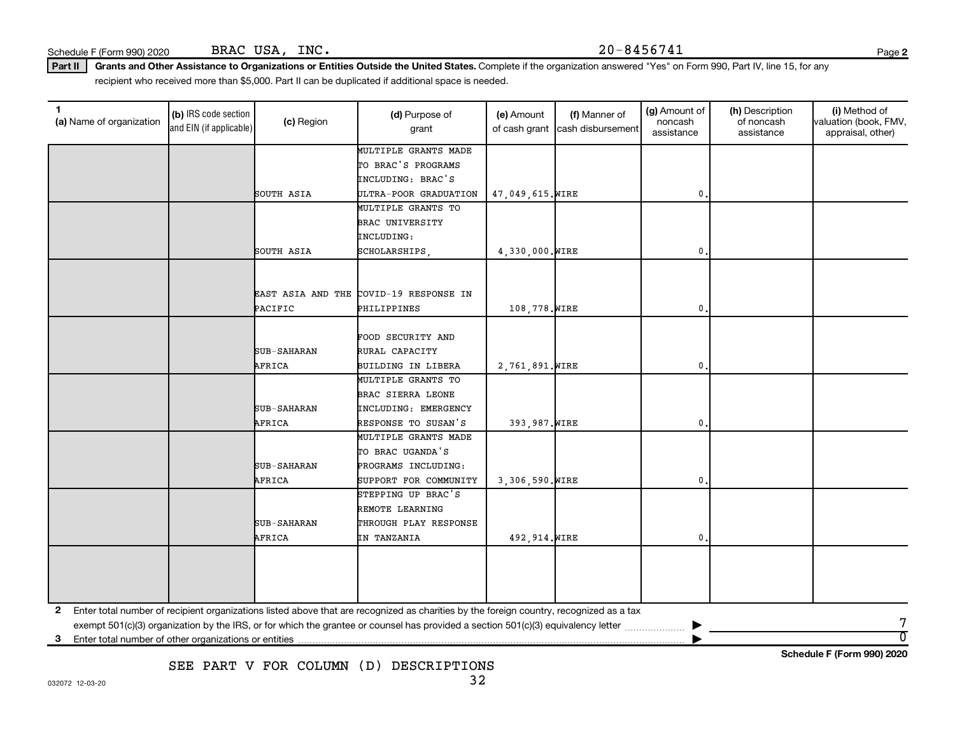Schedule F (Form 990) 2020 BRAC USA, INC.  $20-8456741$ BRAC USA, INC.

**2**

Part II | Grants and Other Assistance to Organizations or Entities Outside the United States. Complete if the organization answered "Yes" on Form 990, Part IV, line 15, for any recipient who received more than \$5,000. Part II can be duplicated if additional space is needed.

| 1<br>(a) Name of organization | (b) IRS code section<br>and EIN (if applicable) | (c) Region         | (d) Purpose of<br>grant                                                                                                                 | (e) Amount<br>of cash grant | (f) Manner of<br>cash disbursement | (g) Amount of<br>noncash<br>assistance | (h) Description<br>of noncash<br>assistance | (i) Method of<br>valuation (book, FMV,<br>appraisal, other) |
|-------------------------------|-------------------------------------------------|--------------------|-----------------------------------------------------------------------------------------------------------------------------------------|-----------------------------|------------------------------------|----------------------------------------|---------------------------------------------|-------------------------------------------------------------|
|                               |                                                 |                    | MULTIPLE GRANTS MADE                                                                                                                    |                             |                                    |                                        |                                             |                                                             |
|                               |                                                 |                    | TO BRAC'S PROGRAMS                                                                                                                      |                             |                                    |                                        |                                             |                                                             |
|                               |                                                 |                    | INCLUDING: BRAC'S                                                                                                                       |                             |                                    |                                        |                                             |                                                             |
|                               |                                                 | SOUTH ASIA         | ULTRA-POOR GRADUATION                                                                                                                   | 47,049,615. WIRE            |                                    | 0                                      |                                             |                                                             |
|                               |                                                 |                    | MULTIPLE GRANTS TO                                                                                                                      |                             |                                    |                                        |                                             |                                                             |
|                               |                                                 |                    | BRAC UNIVERSITY                                                                                                                         |                             |                                    |                                        |                                             |                                                             |
|                               |                                                 |                    | INCLUDING:                                                                                                                              |                             |                                    |                                        |                                             |                                                             |
|                               |                                                 | SOUTH ASIA         | SCHOLARSHIPS                                                                                                                            | 4,330,000. WIRE             |                                    | 0                                      |                                             |                                                             |
|                               |                                                 |                    |                                                                                                                                         |                             |                                    |                                        |                                             |                                                             |
|                               |                                                 |                    |                                                                                                                                         |                             |                                    |                                        |                                             |                                                             |
|                               |                                                 |                    | EAST ASIA AND THE COVID-19 RESPONSE IN                                                                                                  |                             |                                    |                                        |                                             |                                                             |
|                               |                                                 | PACIFIC            | PHILIPPINES                                                                                                                             | 108,778. WIRE               |                                    | 0                                      |                                             |                                                             |
|                               |                                                 |                    |                                                                                                                                         |                             |                                    |                                        |                                             |                                                             |
|                               |                                                 |                    | FOOD SECURITY AND                                                                                                                       |                             |                                    |                                        |                                             |                                                             |
|                               |                                                 | <b>SUB-SAHARAN</b> | RURAL CAPACITY                                                                                                                          |                             |                                    |                                        |                                             |                                                             |
|                               |                                                 | AFRICA             | BUILDING IN LIBERA                                                                                                                      | 2,761,891. WIRE             |                                    | 0                                      |                                             |                                                             |
|                               |                                                 |                    | MULTIPLE GRANTS TO                                                                                                                      |                             |                                    |                                        |                                             |                                                             |
|                               |                                                 |                    | BRAC SIERRA LEONE                                                                                                                       |                             |                                    |                                        |                                             |                                                             |
|                               |                                                 | SUB-SAHARAN        | INCLUDING: EMERGENCY                                                                                                                    |                             |                                    |                                        |                                             |                                                             |
|                               |                                                 | AFRICA             | RESPONSE TO SUSAN'S                                                                                                                     | 393,987. WIRE               |                                    | 0                                      |                                             |                                                             |
|                               |                                                 |                    | MULTIPLE GRANTS MADE                                                                                                                    |                             |                                    |                                        |                                             |                                                             |
|                               |                                                 |                    | TO BRAC UGANDA'S                                                                                                                        |                             |                                    |                                        |                                             |                                                             |
|                               |                                                 | SUB-SAHARAN        | PROGRAMS INCLUDING:                                                                                                                     |                             |                                    |                                        |                                             |                                                             |
|                               |                                                 | AFRICA             | SUPPORT FOR COMMUNITY                                                                                                                   | 3,306,590. WIRE             |                                    | 0                                      |                                             |                                                             |
|                               |                                                 |                    | STEPPING UP BRAC'S                                                                                                                      |                             |                                    |                                        |                                             |                                                             |
|                               |                                                 |                    | REMOTE LEARNING                                                                                                                         |                             |                                    |                                        |                                             |                                                             |
|                               |                                                 | <b>SUB-SAHARAN</b> | THROUGH PLAY RESPONSE                                                                                                                   |                             |                                    |                                        |                                             |                                                             |
|                               |                                                 | AFRICA             | IN TANZANIA                                                                                                                             | 492, 914. WIRE              |                                    | 0                                      |                                             |                                                             |
|                               |                                                 |                    |                                                                                                                                         |                             |                                    |                                        |                                             |                                                             |
|                               |                                                 |                    |                                                                                                                                         |                             |                                    |                                        |                                             |                                                             |
|                               |                                                 |                    |                                                                                                                                         |                             |                                    |                                        |                                             |                                                             |
|                               |                                                 |                    |                                                                                                                                         |                             |                                    |                                        |                                             |                                                             |
| 2                             |                                                 |                    | Enter total number of recipient organizations listed above that are recognized as charities by the foreign country, recognized as a tax |                             |                                    |                                        |                                             |                                                             |
|                               |                                                 |                    |                                                                                                                                         |                             |                                    |                                        |                                             | 7                                                           |
| 3                             |                                                 |                    |                                                                                                                                         |                             |                                    |                                        |                                             | $\overline{0}$                                              |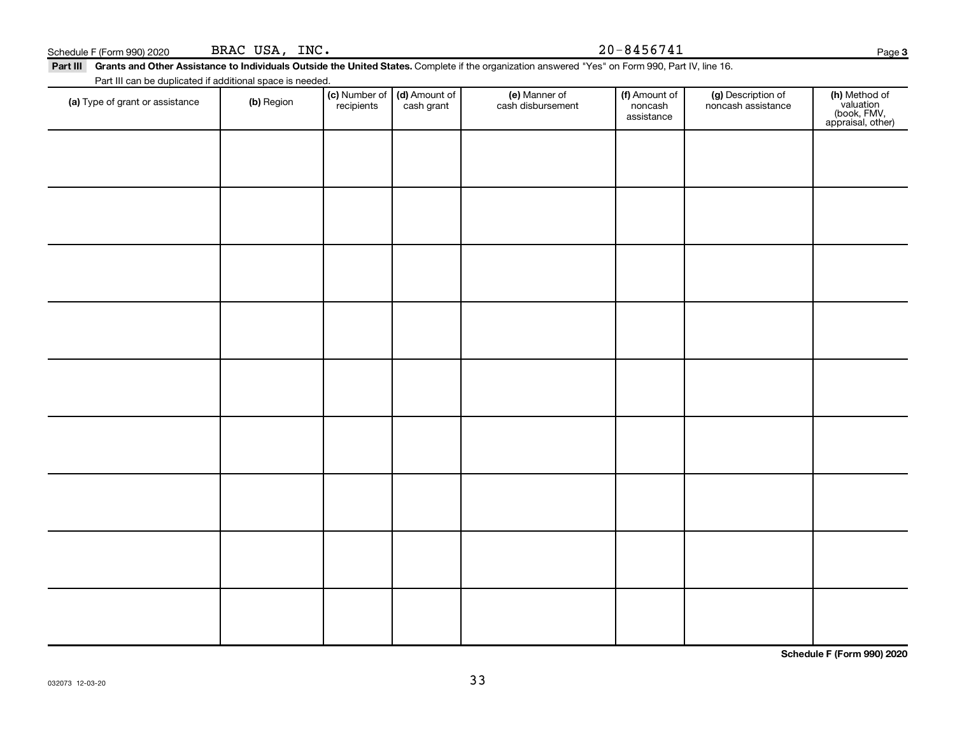| (a) Type of grant or assistance | (b) Region | $\vert$ (c) Number of $\vert$ (d) Amount of $\vert$<br>recipients | cash ɑrant | (e) Manner of<br>cash disbursement | (f) Amount of<br>noncash<br>assistance | (a) Description of<br>noncash assistance | (h)<br>(b<br>appr |
|---------------------------------|------------|-------------------------------------------------------------------|------------|------------------------------------|----------------------------------------|------------------------------------------|-------------------|
|                                 |            |                                                                   |            |                                    |                                        |                                          |                   |

BRAC USA, INC.

Part III can be duplicated if additional space is needed.

Part III Grants and Other Assistance to Individuals Outside the United States. Complete if the organization answered "Yes" on Form 990, Part IV, line 16.

Schedule F (Form 990) 2020 BRAC USA, INC.  $20-8456741$ 

(f) Amount of noncash assistance

(g) Description of noncash assistance

(e) Manner of cash disbursement Page 3

**(h)** Method of<br>valuation<br>(book, FMV,<br>appraisal, other)

**Schedule F (Form 990) 2020**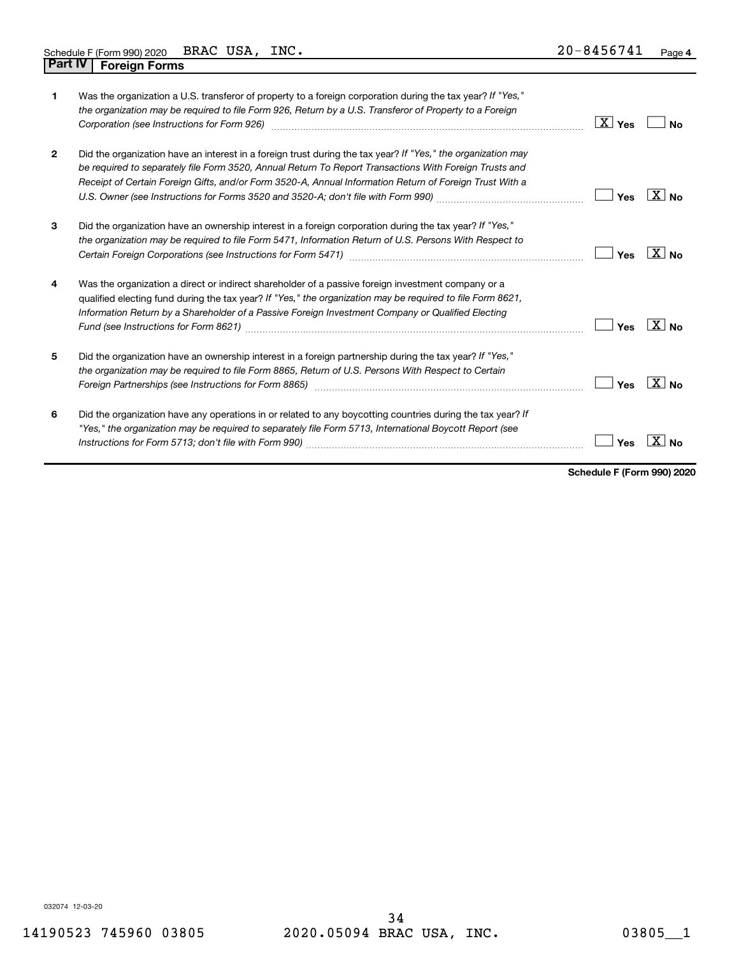| 1              | Was the organization a U.S. transferor of property to a foreign corporation during the tax year? If "Yes,"<br>the organization may be required to file Form 926, Return by a U.S. Transferor of Property to a Foreign                                                                                                             | $\mathbf{X}$<br>Yes | N٥                  |
|----------------|-----------------------------------------------------------------------------------------------------------------------------------------------------------------------------------------------------------------------------------------------------------------------------------------------------------------------------------|---------------------|---------------------|
| $\overline{2}$ | Did the organization have an interest in a foreign trust during the tax year? If "Yes," the organization may<br>be required to separately file Form 3520, Annual Return To Report Transactions With Foreign Trusts and<br>Receipt of Certain Foreign Gifts, and/or Form 3520-A, Annual Information Return of Foreign Trust With a | Yes                 | $X \mid N_{\Omega}$ |
| 3              | Did the organization have an ownership interest in a foreign corporation during the tax year? If "Yes,"<br>the organization may be required to file Form 5471, Information Return of U.S. Persons With Respect to                                                                                                                 | Yes                 | $X _{N_{\Omega}}$   |
| 4              | Was the organization a direct or indirect shareholder of a passive foreign investment company or a<br>qualified electing fund during the tax year? If "Yes," the organization may be required to file Form 8621,<br>Information Return by a Shareholder of a Passive Foreign Investment Company or Qualified Electing             | Yes                 | X<br><b>No</b>      |
| 5              | Did the organization have an ownership interest in a foreign partnership during the tax year? If "Yes,"<br>the organization may be required to file Form 8865, Return of U.S. Persons With Respect to Certain<br>Foreign Partnerships (see Instructions for Form 8865)                                                            | Yes                 | χI                  |
| 6              | Did the organization have any operations in or related to any boycotting countries during the tax year? If<br>"Yes," the organization may be required to separately file Form 5713, International Boycott Report (see                                                                                                             | Yes                 |                     |

**Schedule F (Form 990) 2020**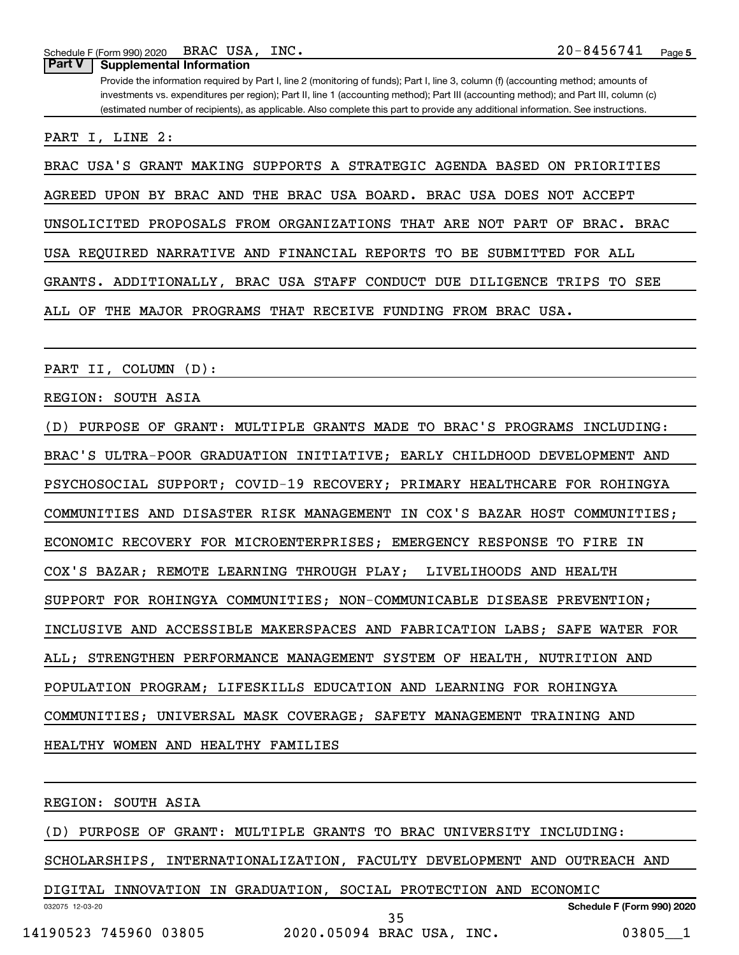Schedule F (Form 990) 2020 BRAC USA, INC.  $20-8456741$ BRAC USA, INC.

**Part V Supplemental Information**

Provide the information required by Part I, line 2 (monitoring of funds); Part I, line 3, column (f) (accounting method; amounts of investments vs. expenditures per region); Part II, line 1 (accounting method); Part III (accounting method); and Part III, column (c) (estimated number of recipients), as applicable. Also complete this part to provide any additional information. See instructions.

PART I, LINE 2:

BRAC USA'S GRANT MAKING SUPPORTS A STRATEGIC AGENDA BASED ON PRIORITIES

AGREED UPON BY BRAC AND THE BRAC USA BOARD. BRAC USA DOES NOT ACCEPT

UNSOLICITED PROPOSALS FROM ORGANIZATIONS THAT ARE NOT PART OF BRAC. BRAC

USA REQUIRED NARRATIVE AND FINANCIAL REPORTS TO BE SUBMITTED FOR ALL

GRANTS. ADDITIONALLY, BRAC USA STAFF CONDUCT DUE DILIGENCE TRIPS TO SEE

ALL OF THE MAJOR PROGRAMS THAT RECEIVE FUNDING FROM BRAC USA.

PART II, COLUMN (D):

REGION: SOUTH ASIA

(D) PURPOSE OF GRANT: MULTIPLE GRANTS MADE TO BRAC'S PROGRAMS INCLUDING: BRAC'S ULTRA-POOR GRADUATION INITIATIVE; EARLY CHILDHOOD DEVELOPMENT AND PSYCHOSOCIAL SUPPORT; COVID-19 RECOVERY; PRIMARY HEALTHCARE FOR ROHINGYA COMMUNITIES AND DISASTER RISK MANAGEMENT IN COX'S BAZAR HOST COMMUNITIES; ECONOMIC RECOVERY FOR MICROENTERPRISES; EMERGENCY RESPONSE TO FIRE IN COX'S BAZAR; REMOTE LEARNING THROUGH PLAY; LIVELIHOODS AND HEALTH SUPPORT FOR ROHINGYA COMMUNITIES; NON-COMMUNICABLE DISEASE PREVENTION; INCLUSIVE AND ACCESSIBLE MAKERSPACES AND FABRICATION LABS; SAFE WATER FOR ALL; STRENGTHEN PERFORMANCE MANAGEMENT SYSTEM OF HEALTH, NUTRITION AND POPULATION PROGRAM; LIFESKILLS EDUCATION AND LEARNING FOR ROHINGYA COMMUNITIES; UNIVERSAL MASK COVERAGE; SAFETY MANAGEMENT TRAINING AND HEALTHY WOMEN AND HEALTHY FAMILIES

REGION: SOUTH ASIA

(D) PURPOSE OF GRANT: MULTIPLE GRANTS TO BRAC UNIVERSITY INCLUDING:

SCHOLARSHIPS, INTERNATIONALIZATION, FACULTY DEVELOPMENT AND OUTREACH AND

032075 12-03-20 **Schedule F (Form 990) 2020** DIGITAL INNOVATION IN GRADUATION, SOCIAL PROTECTION AND ECONOMIC 14190523 745960 03805 2020.05094 BRAC USA, INC. 03805\_\_1 35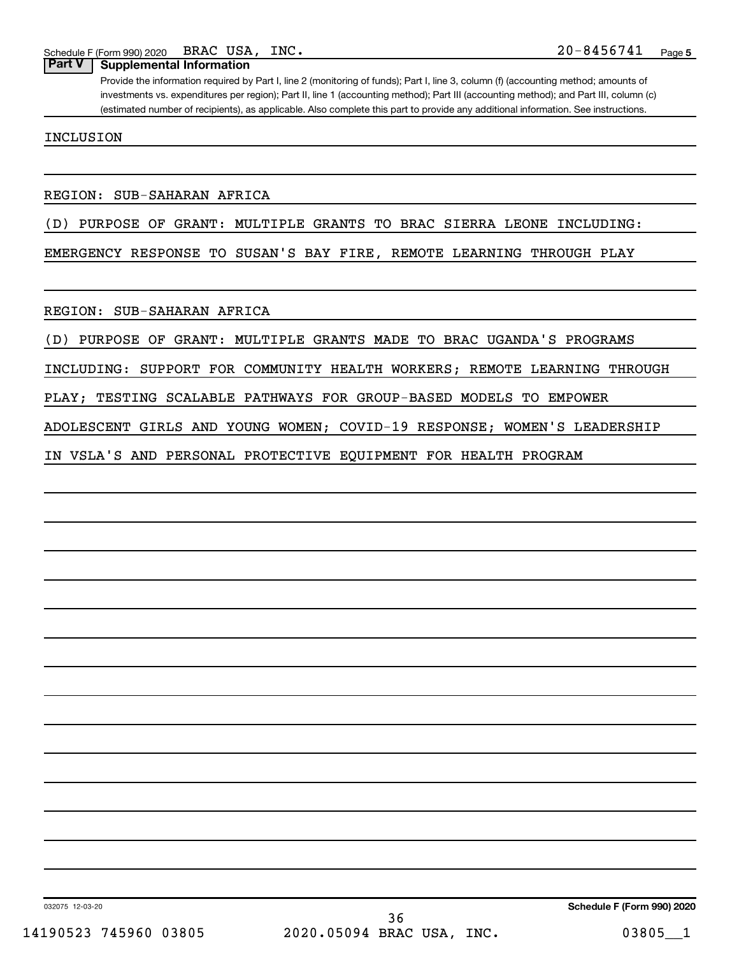#### **Part V Supplemental Information**

Provide the information required by Part I, line 2 (monitoring of funds); Part I, line 3, column (f) (accounting method; amounts of investments vs. expenditures per region); Part II, line 1 (accounting method); Part III (accounting method); and Part III, column (c) (estimated number of recipients), as applicable. Also complete this part to provide any additional information. See instructions.

INCLUSION

#### REGION: SUB-SAHARAN AFRICA

#### (D) PURPOSE OF GRANT: MULTIPLE GRANTS TO BRAC SIERRA LEONE INCLUDING:

EMERGENCY RESPONSE TO SUSAN'S BAY FIRE, REMOTE LEARNING THROUGH PLAY

REGION: SUB-SAHARAN AFRICA

(D) PURPOSE OF GRANT: MULTIPLE GRANTS MADE TO BRAC UGANDA'S PROGRAMS

INCLUDING: SUPPORT FOR COMMUNITY HEALTH WORKERS; REMOTE LEARNING THROUGH

PLAY; TESTING SCALABLE PATHWAYS FOR GROUP-BASED MODELS TO EMPOWER

ADOLESCENT GIRLS AND YOUNG WOMEN; COVID-19 RESPONSE; WOMEN'S LEADERSHIP

IN VSLA'S AND PERSONAL PROTECTIVE EQUIPMENT FOR HEALTH PROGRAM

032075 12-03-20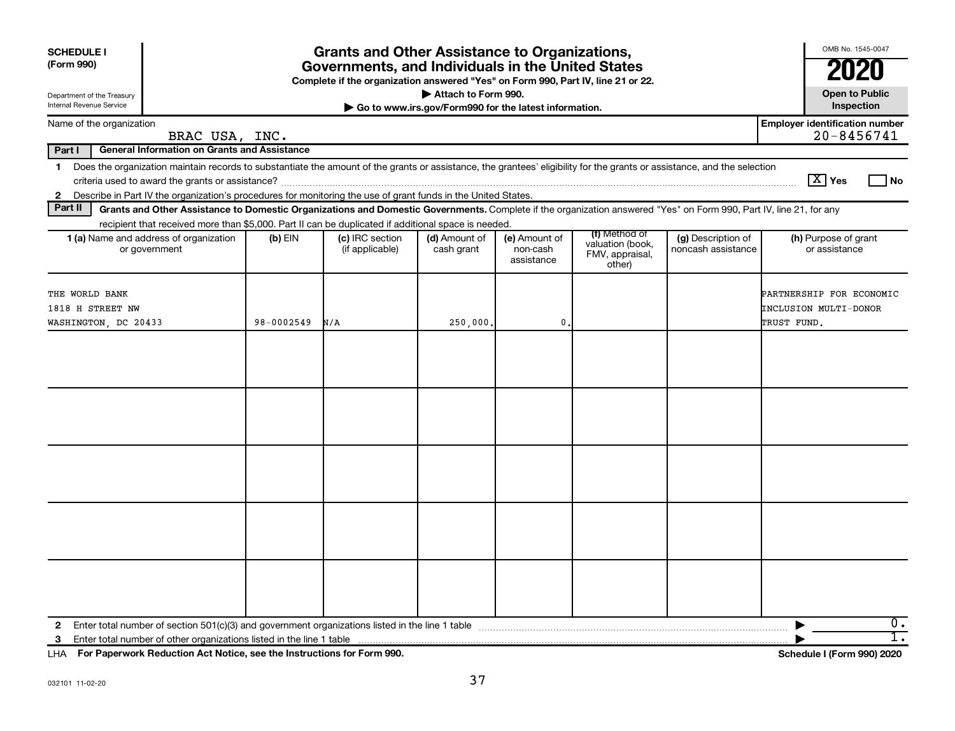| <b>SCHEDULE I</b><br>(Form 990)<br>Department of the Treasury<br>Internal Revenue Service                                                                                                                                                                                                                                | <b>Grants and Other Assistance to Organizations,</b><br>Governments, and Individuals in the United States<br>Complete if the organization answered "Yes" on Form 990, Part IV, line 21 or 22.<br>Attach to Form 990.<br>Go to www.irs.gov/Form990 for the latest information. |                                    |                             |                                         |                                                                |                                          |                                                                  |  |  |  |
|--------------------------------------------------------------------------------------------------------------------------------------------------------------------------------------------------------------------------------------------------------------------------------------------------------------------------|-------------------------------------------------------------------------------------------------------------------------------------------------------------------------------------------------------------------------------------------------------------------------------|------------------------------------|-----------------------------|-----------------------------------------|----------------------------------------------------------------|------------------------------------------|------------------------------------------------------------------|--|--|--|
| Name of the organization                                                                                                                                                                                                                                                                                                 |                                                                                                                                                                                                                                                                               |                                    |                             |                                         |                                                                |                                          | <b>Employer identification number</b>                            |  |  |  |
| BRAC USA, INC.                                                                                                                                                                                                                                                                                                           |                                                                                                                                                                                                                                                                               |                                    |                             |                                         |                                                                |                                          | $20 - 8456741$                                                   |  |  |  |
| Part I<br><b>General Information on Grants and Assistance</b>                                                                                                                                                                                                                                                            |                                                                                                                                                                                                                                                                               |                                    |                             |                                         |                                                                |                                          |                                                                  |  |  |  |
| Does the organization maintain records to substantiate the amount of the grants or assistance, the grantees' eligibility for the grants or assistance, and the selection<br>$\mathbf 1$<br>Describe in Part IV the organization's procedures for monitoring the use of grant funds in the United States.<br>$\mathbf{2}$ |                                                                                                                                                                                                                                                                               |                                    |                             |                                         |                                                                |                                          | $\boxed{\text{X}}$ Yes<br>  No                                   |  |  |  |
| Part II<br>Grants and Other Assistance to Domestic Organizations and Domestic Governments. Complete if the organization answered "Yes" on Form 990, Part IV, line 21, for any                                                                                                                                            |                                                                                                                                                                                                                                                                               |                                    |                             |                                         |                                                                |                                          |                                                                  |  |  |  |
| recipient that received more than \$5,000. Part II can be duplicated if additional space is needed.                                                                                                                                                                                                                      |                                                                                                                                                                                                                                                                               |                                    |                             |                                         |                                                                |                                          |                                                                  |  |  |  |
| 1 (a) Name and address of organization<br>or government                                                                                                                                                                                                                                                                  | $(b)$ EIN                                                                                                                                                                                                                                                                     | (c) IRC section<br>(if applicable) | (d) Amount of<br>cash grant | (e) Amount of<br>non-cash<br>assistance | (f) Method of<br>valuation (book,<br>FMV, appraisal,<br>other) | (g) Description of<br>noncash assistance | (h) Purpose of grant<br>or assistance                            |  |  |  |
| THE WORLD BANK<br>1818 H STREET NW<br>WASHINGTON, DC 20433                                                                                                                                                                                                                                                               | 98-0002549                                                                                                                                                                                                                                                                    | N/A                                | 250,000.                    | $\mathbf{0}$                            |                                                                |                                          | PARTNERSHIP FOR ECONOMIC<br>INCLUSION MULTI-DONOR<br>TRUST FUND. |  |  |  |
|                                                                                                                                                                                                                                                                                                                          |                                                                                                                                                                                                                                                                               |                                    |                             |                                         |                                                                |                                          |                                                                  |  |  |  |
|                                                                                                                                                                                                                                                                                                                          |                                                                                                                                                                                                                                                                               |                                    |                             |                                         |                                                                |                                          |                                                                  |  |  |  |
|                                                                                                                                                                                                                                                                                                                          |                                                                                                                                                                                                                                                                               |                                    |                             |                                         |                                                                |                                          |                                                                  |  |  |  |
|                                                                                                                                                                                                                                                                                                                          |                                                                                                                                                                                                                                                                               |                                    |                             |                                         |                                                                |                                          |                                                                  |  |  |  |
|                                                                                                                                                                                                                                                                                                                          |                                                                                                                                                                                                                                                                               |                                    |                             |                                         |                                                                |                                          |                                                                  |  |  |  |
| $\mathbf{2}$                                                                                                                                                                                                                                                                                                             |                                                                                                                                                                                                                                                                               |                                    |                             |                                         |                                                                |                                          | 0.<br>▶                                                          |  |  |  |
| 3                                                                                                                                                                                                                                                                                                                        |                                                                                                                                                                                                                                                                               |                                    |                             |                                         |                                                                |                                          | $\overline{1}$ .                                                 |  |  |  |

**For Paperwork Reduction Act Notice, see the Instructions for Form 990. Schedule I (Form 990) 2020** LHA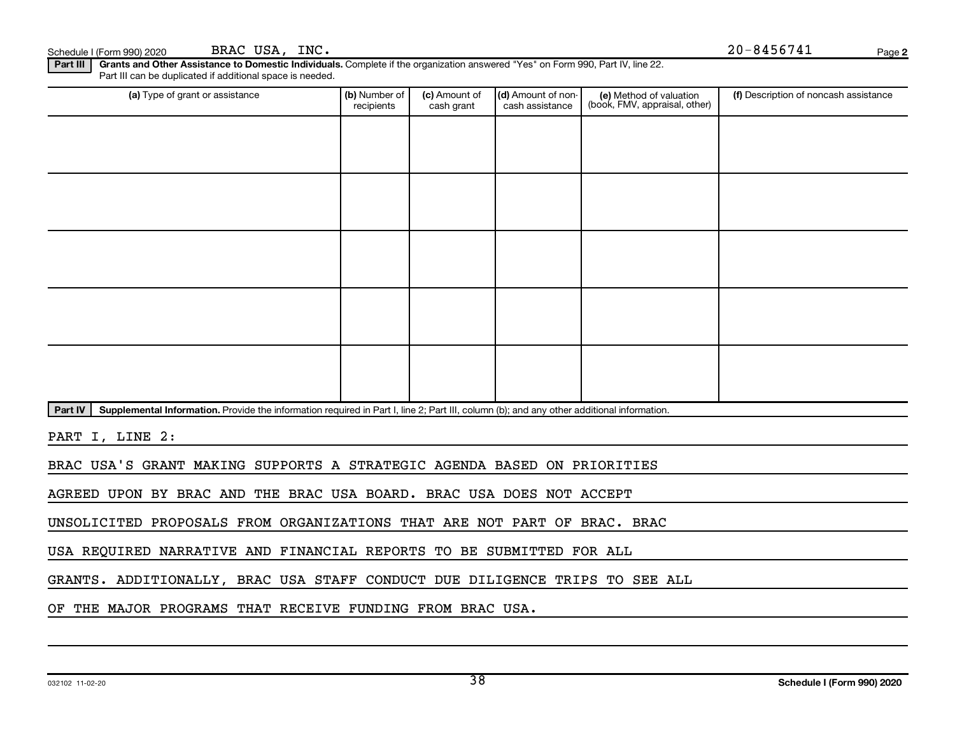**2** Schedule I (Form 990) 2020 BRAC USA, INC.  $P_{\text{age}}$ 

Part III | Grants and Other Assistance to Domestic Individuals. Complete if the organization answered "Yes" on Form 990, Part IV, line 22. Part III can be duplicated if additional space is needed.

| (a) Type of grant or assistance | (b) Number of<br>recipients | (c) Amount of<br>cash grant | (d) Amount of non-<br>cash assistance | (e) Method of valuation<br>(book, FMV, appraisal, other) | (f) Description of noncash assistance |
|---------------------------------|-----------------------------|-----------------------------|---------------------------------------|----------------------------------------------------------|---------------------------------------|
|                                 |                             |                             |                                       |                                                          |                                       |
|                                 |                             |                             |                                       |                                                          |                                       |
|                                 |                             |                             |                                       |                                                          |                                       |
|                                 |                             |                             |                                       |                                                          |                                       |
|                                 |                             |                             |                                       |                                                          |                                       |
|                                 |                             |                             |                                       |                                                          |                                       |
|                                 |                             |                             |                                       |                                                          |                                       |
|                                 |                             |                             |                                       |                                                          |                                       |
|                                 |                             |                             |                                       |                                                          |                                       |
|                                 |                             |                             |                                       |                                                          |                                       |

Part IV | Supplemental Information. Provide the information required in Part I, line 2; Part III, column (b); and any other additional information.

PART I, LINE 2:

BRAC USA'S GRANT MAKING SUPPORTS A STRATEGIC AGENDA BASED ON PRIORITIES

AGREED UPON BY BRAC AND THE BRAC USA BOARD. BRAC USA DOES NOT ACCEPT

UNSOLICITED PROPOSALS FROM ORGANIZATIONS THAT ARE NOT PART OF BRAC. BRAC

USA REQUIRED NARRATIVE AND FINANCIAL REPORTS TO BE SUBMITTED FOR ALL

GRANTS. ADDITIONALLY, BRAC USA STAFF CONDUCT DUE DILIGENCE TRIPS TO SEE ALL

OF THE MAJOR PROGRAMS THAT RECEIVE FUNDING FROM BRAC USA.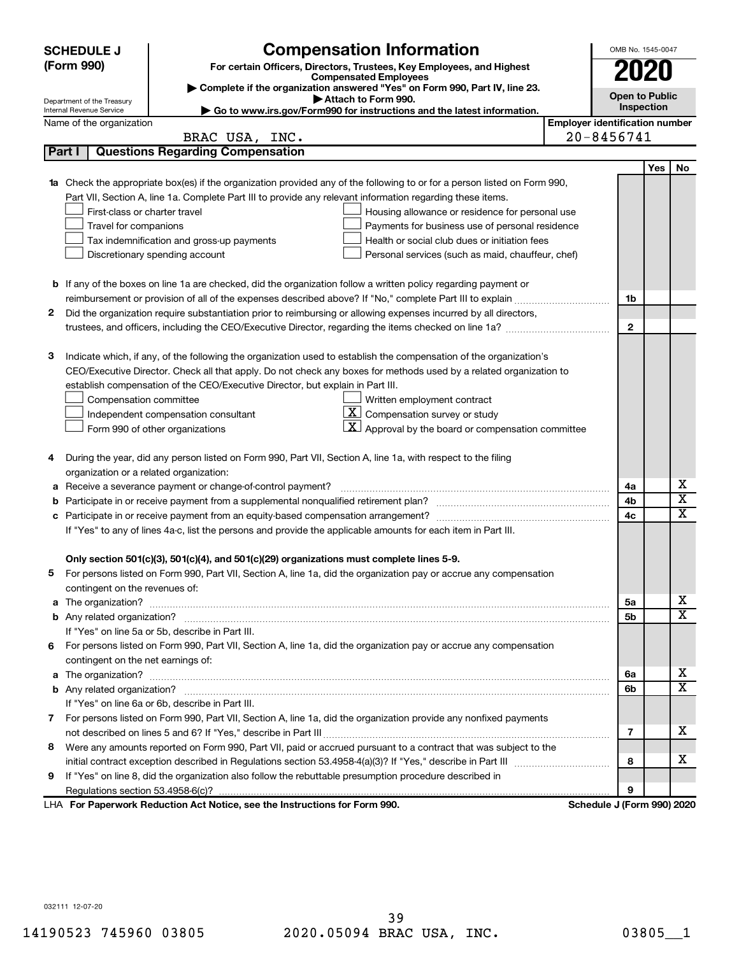|                                                                                                               | <b>Compensation Information</b><br><b>SCHEDULE J</b>                                                       |                                                                                                                                  |                                       |                            |            |                         |  |
|---------------------------------------------------------------------------------------------------------------|------------------------------------------------------------------------------------------------------------|----------------------------------------------------------------------------------------------------------------------------------|---------------------------------------|----------------------------|------------|-------------------------|--|
|                                                                                                               | (Form 990)<br>For certain Officers, Directors, Trustees, Key Employees, and Highest                        |                                                                                                                                  |                                       |                            |            | 2020                    |  |
|                                                                                                               | <b>Compensated Employees</b><br>Complete if the organization answered "Yes" on Form 990, Part IV, line 23. |                                                                                                                                  |                                       |                            |            |                         |  |
|                                                                                                               | <b>Open to Public</b><br>Attach to Form 990.<br>Department of the Treasury                                 |                                                                                                                                  |                                       |                            |            |                         |  |
|                                                                                                               | Internal Revenue Service                                                                                   | Go to www.irs.gov/Form990 for instructions and the latest information.                                                           |                                       |                            | Inspection |                         |  |
|                                                                                                               | Name of the organization                                                                                   |                                                                                                                                  | <b>Employer identification number</b> |                            |            |                         |  |
|                                                                                                               |                                                                                                            | BRAC USA, INC.                                                                                                                   |                                       | 20-8456741                 |            |                         |  |
|                                                                                                               | Part I                                                                                                     | <b>Questions Regarding Compensation</b>                                                                                          |                                       |                            |            |                         |  |
|                                                                                                               |                                                                                                            |                                                                                                                                  |                                       |                            | <b>Yes</b> | No                      |  |
|                                                                                                               |                                                                                                            | <b>1a</b> Check the appropriate box(es) if the organization provided any of the following to or for a person listed on Form 990, |                                       |                            |            |                         |  |
|                                                                                                               |                                                                                                            | Part VII, Section A, line 1a. Complete Part III to provide any relevant information regarding these items.                       |                                       |                            |            |                         |  |
|                                                                                                               | First-class or charter travel                                                                              | Housing allowance or residence for personal use                                                                                  |                                       |                            |            |                         |  |
|                                                                                                               | Travel for companions                                                                                      | Payments for business use of personal residence                                                                                  |                                       |                            |            |                         |  |
|                                                                                                               |                                                                                                            | Health or social club dues or initiation fees<br>Tax indemnification and gross-up payments                                       |                                       |                            |            |                         |  |
|                                                                                                               |                                                                                                            | Discretionary spending account<br>Personal services (such as maid, chauffeur, chef)                                              |                                       |                            |            |                         |  |
|                                                                                                               |                                                                                                            |                                                                                                                                  |                                       |                            |            |                         |  |
|                                                                                                               |                                                                                                            | <b>b</b> If any of the boxes on line 1a are checked, did the organization follow a written policy regarding payment or           |                                       |                            |            |                         |  |
|                                                                                                               |                                                                                                            |                                                                                                                                  |                                       | 1b                         |            |                         |  |
| 2                                                                                                             |                                                                                                            | Did the organization require substantiation prior to reimbursing or allowing expenses incurred by all directors,                 |                                       | $\mathbf{2}$               |            |                         |  |
|                                                                                                               |                                                                                                            |                                                                                                                                  |                                       |                            |            |                         |  |
| 3                                                                                                             |                                                                                                            | Indicate which, if any, of the following the organization used to establish the compensation of the organization's               |                                       |                            |            |                         |  |
|                                                                                                               |                                                                                                            | CEO/Executive Director. Check all that apply. Do not check any boxes for methods used by a related organization to               |                                       |                            |            |                         |  |
|                                                                                                               |                                                                                                            | establish compensation of the CEO/Executive Director, but explain in Part III.                                                   |                                       |                            |            |                         |  |
|                                                                                                               | Compensation committee                                                                                     | Written employment contract                                                                                                      |                                       |                            |            |                         |  |
|                                                                                                               |                                                                                                            | <u>x  </u><br>Compensation survey or study<br>Independent compensation consultant                                                |                                       |                            |            |                         |  |
|                                                                                                               |                                                                                                            | $\mathbf{X}$ Approval by the board or compensation committee<br>Form 990 of other organizations                                  |                                       |                            |            |                         |  |
|                                                                                                               |                                                                                                            |                                                                                                                                  |                                       |                            |            |                         |  |
| 4                                                                                                             |                                                                                                            | During the year, did any person listed on Form 990, Part VII, Section A, line 1a, with respect to the filing                     |                                       |                            |            |                         |  |
|                                                                                                               | organization or a related organization:                                                                    |                                                                                                                                  |                                       |                            |            |                         |  |
| а                                                                                                             |                                                                                                            | Receive a severance payment or change-of-control payment?                                                                        |                                       | 4a                         |            | х                       |  |
| b                                                                                                             |                                                                                                            |                                                                                                                                  |                                       | 4b                         |            | $\overline{\mathbf{X}}$ |  |
| с                                                                                                             |                                                                                                            |                                                                                                                                  |                                       | 4c                         |            | X                       |  |
| If "Yes" to any of lines 4a-c, list the persons and provide the applicable amounts for each item in Part III. |                                                                                                            |                                                                                                                                  |                                       |                            |            |                         |  |
|                                                                                                               |                                                                                                            |                                                                                                                                  |                                       |                            |            |                         |  |
|                                                                                                               |                                                                                                            | Only section 501(c)(3), 501(c)(4), and 501(c)(29) organizations must complete lines 5-9.                                         |                                       |                            |            |                         |  |
|                                                                                                               |                                                                                                            | For persons listed on Form 990, Part VII, Section A, line 1a, did the organization pay or accrue any compensation                |                                       |                            |            |                         |  |
|                                                                                                               | contingent on the revenues of:                                                                             |                                                                                                                                  |                                       |                            |            |                         |  |
|                                                                                                               |                                                                                                            |                                                                                                                                  |                                       | 5а                         |            | х                       |  |
|                                                                                                               |                                                                                                            |                                                                                                                                  |                                       | 5b                         |            | X                       |  |
|                                                                                                               |                                                                                                            | If "Yes" on line 5a or 5b, describe in Part III.                                                                                 |                                       |                            |            |                         |  |
| 6                                                                                                             |                                                                                                            | For persons listed on Form 990, Part VII, Section A, line 1a, did the organization pay or accrue any compensation                |                                       |                            |            |                         |  |
|                                                                                                               | contingent on the net earnings of:                                                                         |                                                                                                                                  |                                       |                            |            |                         |  |
|                                                                                                               |                                                                                                            |                                                                                                                                  |                                       |                            |            | х                       |  |
|                                                                                                               |                                                                                                            |                                                                                                                                  |                                       | 6b                         |            | X                       |  |
|                                                                                                               |                                                                                                            | If "Yes" on line 6a or 6b, describe in Part III.                                                                                 |                                       |                            |            |                         |  |
|                                                                                                               |                                                                                                            | 7 For persons listed on Form 990, Part VII, Section A, line 1a, did the organization provide any nonfixed payments               |                                       |                            |            |                         |  |
|                                                                                                               |                                                                                                            |                                                                                                                                  |                                       | 7                          |            | x                       |  |
|                                                                                                               |                                                                                                            | 8 Were any amounts reported on Form 990, Part VII, paid or accrued pursuant to a contract that was subject to the                |                                       |                            |            |                         |  |
|                                                                                                               |                                                                                                            |                                                                                                                                  |                                       | 8                          |            | x                       |  |
| 9                                                                                                             |                                                                                                            | If "Yes" on line 8, did the organization also follow the rebuttable presumption procedure described in                           |                                       |                            |            |                         |  |
|                                                                                                               |                                                                                                            |                                                                                                                                  |                                       | 9                          |            |                         |  |
|                                                                                                               |                                                                                                            | LHA For Paperwork Reduction Act Notice, see the Instructions for Form 990.                                                       |                                       | Schedule J (Form 990) 2020 |            |                         |  |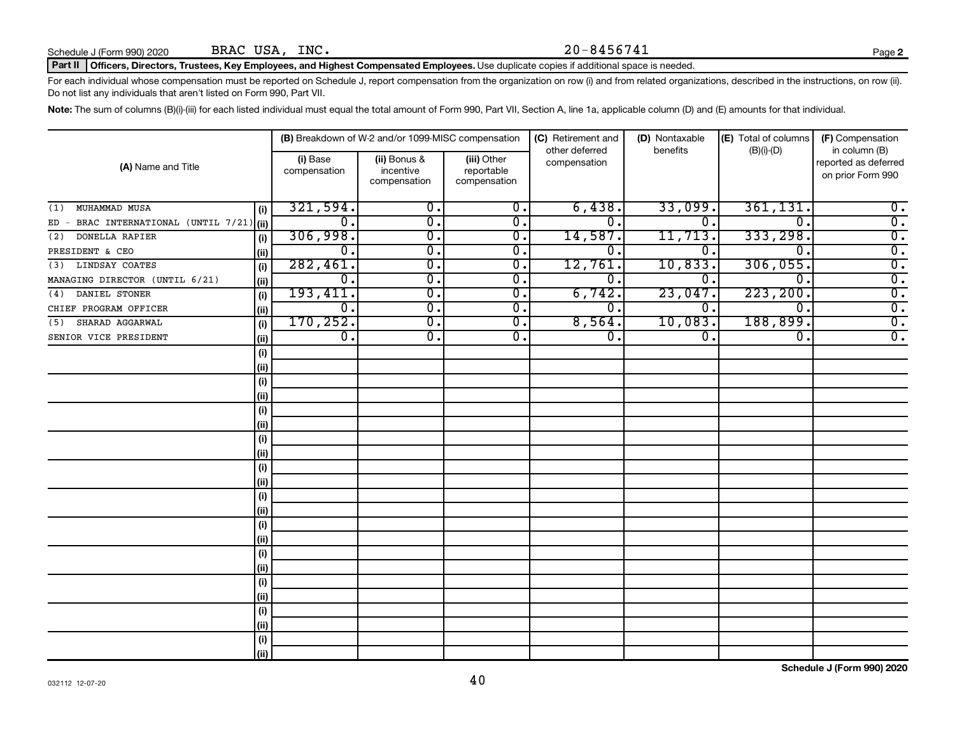Schedule J (Form 990) 2020 BRAC USA, INC.  $20-8456741$ BRAC USA, INC.

#### Part II | Officers, Directors, Trustees, Key Employees, and Highest Compensated Employees. Use duplicate copies if additional space is needed.

For each individual whose compensation must be reported on Schedule J, report compensation from the organization on row (i) and from related organizations, described in the instructions, on row (ii). Do not list any individuals that aren't listed on Form 990, Part VII.

Note: The sum of columns (B)(i)-(iii) for each listed individual must equal the total amount of Form 990, Part VII, Section A, line 1a, applicable column (D) and (E) amounts for that individual.

|                                                |      |                          | (B) Breakdown of W-2 and/or 1099-MISC compensation |                                           | (C) Retirement and<br>other deferred | (D) Nontaxable<br>benefits | (E) Total of columns | (F) Compensation<br>in column (B)         |
|------------------------------------------------|------|--------------------------|----------------------------------------------------|-------------------------------------------|--------------------------------------|----------------------------|----------------------|-------------------------------------------|
| (A) Name and Title                             |      | (i) Base<br>compensation | (ii) Bonus &<br>incentive<br>compensation          | (iii) Other<br>reportable<br>compensation | compensation                         |                            | $(B)(i)-(D)$         | reported as deferred<br>on prior Form 990 |
| MUHAMMAD MUSA<br>(1)                           | (i)  | 321,594.                 | $\overline{0}$ .                                   | 0.                                        | 6,438.                               | 33,099                     | 361, 131.            | $0$ .                                     |
| BRAC INTERNATIONAL (UNTIL 7/21) (ii)<br>$ED -$ |      | 0.                       | σ.                                                 | $\overline{0}$ .                          | О.                                   | $\Omega$ .                 | $\Omega$             | $\overline{0}$ .                          |
| DONELLA RAPIER<br>(2)                          | (i)  | 306,998.                 | σ.                                                 | 0.                                        | 14,587.                              | 11,713.                    | 333,298.             | $\overline{0}$ .                          |
| PRESIDENT & CEO                                | (ii) | 0.                       | $\overline{\mathfrak{o}}$ .                        | 0.                                        | 0.                                   | 0.                         | 0                    | $\overline{0}$ .                          |
| LINDSAY COATES<br>(3)                          | (i)  | 282,461.                 | $\overline{0}$ .                                   | 0.                                        | 12,761.                              | 10,833.                    | 306,055.             | $\overline{0}$ .                          |
| MANAGING DIRECTOR (UNTIL 6/21)                 | (ii) | $\overline{0}$ .         | $\overline{0}$ .                                   | 0.                                        | 0.                                   | 0.                         | $\Omega$             | $\overline{0}$ .                          |
| DANIEL STONER<br>(4)                           | (i)  | 193,411.                 | $\overline{0}$ .                                   | 0.                                        | 6,742.                               | 23,047                     | 223, 200.            | $\overline{0}$ .                          |
| CHIEF PROGRAM OFFICER                          | (ii) | $0$ .                    | 0.                                                 | 0.                                        | 0.                                   | 0.                         | $\overline{0}$ .     | $\overline{0}$ .                          |
| SHARAD AGGARWAL<br>(5)                         | (i)  | 170, 252.                | σ.                                                 | 0.                                        | 8,564.                               | 10,083.                    | 188,899.             | $\overline{0}$ .                          |
| SENIOR VICE PRESIDENT                          | (ii) | $\overline{0}$ .         | σ.                                                 | 0.                                        | 0.                                   | 0.                         | 0.                   | $\overline{0}$ .                          |
|                                                | (i)  |                          |                                                    |                                           |                                      |                            |                      |                                           |
|                                                | (i)  |                          |                                                    |                                           |                                      |                            |                      |                                           |
|                                                | (i)  |                          |                                                    |                                           |                                      |                            |                      |                                           |
|                                                | (i)  |                          |                                                    |                                           |                                      |                            |                      |                                           |
|                                                | (i)  |                          |                                                    |                                           |                                      |                            |                      |                                           |
|                                                | (i)  |                          |                                                    |                                           |                                      |                            |                      |                                           |
|                                                | (i)  |                          |                                                    |                                           |                                      |                            |                      |                                           |
|                                                | (i)  |                          |                                                    |                                           |                                      |                            |                      |                                           |
|                                                | (i)  |                          |                                                    |                                           |                                      |                            |                      |                                           |
|                                                | (i)  |                          |                                                    |                                           |                                      |                            |                      |                                           |
|                                                | (i)  |                          |                                                    |                                           |                                      |                            |                      |                                           |
|                                                | (i)  |                          |                                                    |                                           |                                      |                            |                      |                                           |
|                                                | (i)  |                          |                                                    |                                           |                                      |                            |                      |                                           |
|                                                | (i)  |                          |                                                    |                                           |                                      |                            |                      |                                           |
|                                                | (i)  |                          |                                                    |                                           |                                      |                            |                      |                                           |
|                                                | (i)  |                          |                                                    |                                           |                                      |                            |                      |                                           |
|                                                | (i)  |                          |                                                    |                                           |                                      |                            |                      |                                           |
|                                                | (i)  |                          |                                                    |                                           |                                      |                            |                      |                                           |
|                                                | (i)  |                          |                                                    |                                           |                                      |                            |                      |                                           |
|                                                | (ii) |                          |                                                    |                                           |                                      |                            |                      |                                           |
|                                                | (i)  |                          |                                                    |                                           |                                      |                            |                      |                                           |
|                                                | (ii) |                          |                                                    |                                           |                                      |                            |                      |                                           |

**2**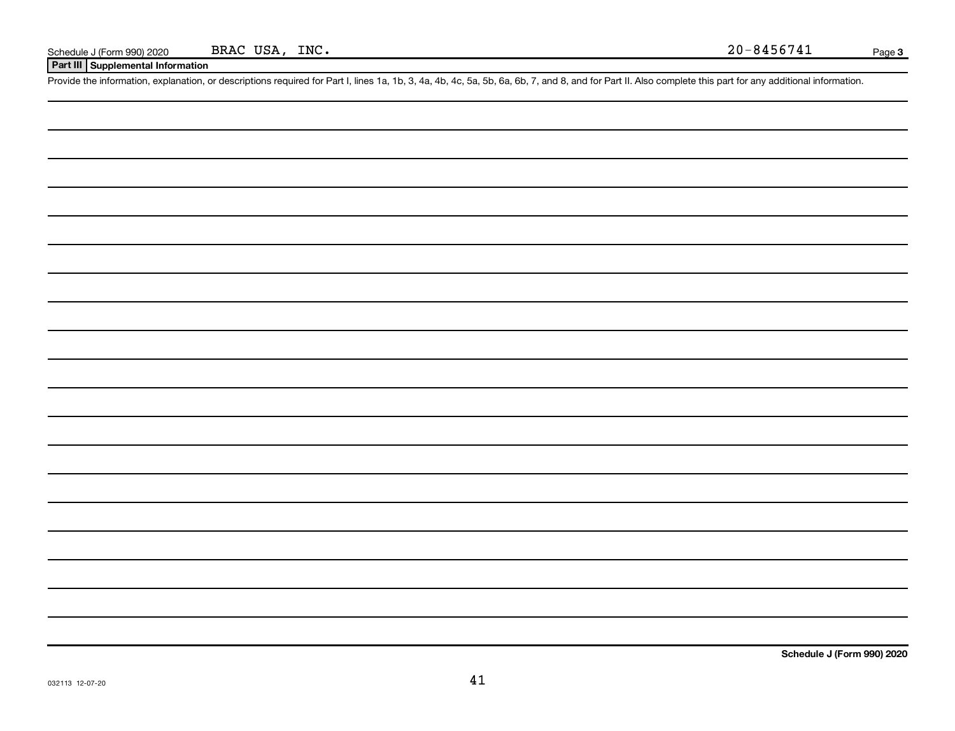**Part III Supplemental Information**

Provide the information, explanation, or descriptions required for Part I, lines 1a, 1b, 3, 4a, 4b, 4c, 5a, 5b, 6a, 6b, 7, and 8, and for Part II. Also complete this part for any additional information.

**Schedule J (Form 990) 2020**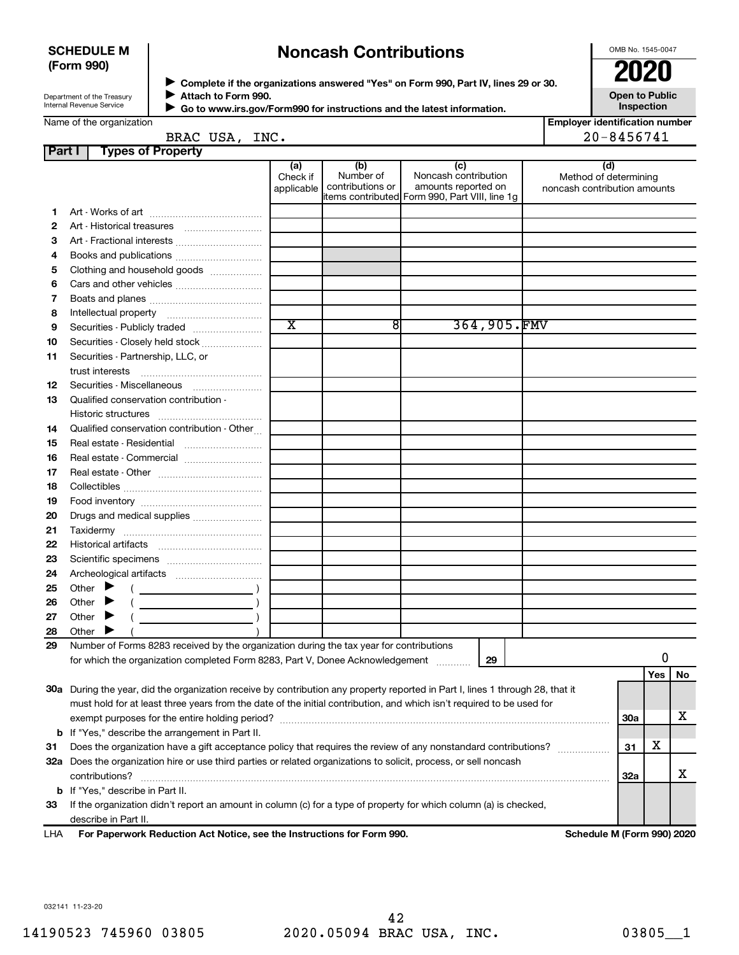#### **SCHEDULE M (Form 990)**

# **Noncash Contributions**

OMB No. 1545-0047

| Department of the Treasury |
|----------------------------|
| Internal Revenue Service   |

**Complete if the organizations answered "Yes" on Form 990, Part IV, lines 29 or 30. Attach to Form 990.** →<br>**→** Complete if the organizations answered "Yes" on Form 990, Part IV, lines 29 or 30.<br>● Complete if the organizations answered "Yes" on Form 990, Part IV, lines 29 or 30.  $\blacktriangleright$ 

**Open to Public Inspection**

|        | Internal Revenue Service              |                                 |                               |                                      | Go to www.irs.gov/Form990 for instructions and the latest information.                                | <b>Inspection</b>                                            |
|--------|---------------------------------------|---------------------------------|-------------------------------|--------------------------------------|-------------------------------------------------------------------------------------------------------|--------------------------------------------------------------|
|        | Name of the organization              | BRAC USA, INC.                  |                               |                                      |                                                                                                       | <b>Employer identification number</b><br>$20 - 8456741$      |
| Part I |                                       | <b>Types of Property</b>        |                               |                                      |                                                                                                       |                                                              |
|        |                                       |                                 | (a)<br>Check if<br>applicable | (b)<br>Number of<br>contributions or | (c)<br>Noncash contribution<br>amounts reported on<br>litems contributed Form 990, Part VIII, line 1g | (d)<br>Method of determining<br>noncash contribution amounts |
|        |                                       |                                 |                               |                                      |                                                                                                       |                                                              |
| 2      | Art - Historical treasures            |                                 |                               |                                      |                                                                                                       |                                                              |
| 3      |                                       | Art - Fractional interests      |                               |                                      |                                                                                                       |                                                              |
| 4      |                                       |                                 |                               |                                      |                                                                                                       |                                                              |
| 5      |                                       | Clothing and household goods    |                               |                                      |                                                                                                       |                                                              |
| 6      |                                       |                                 |                               |                                      |                                                                                                       |                                                              |
|        |                                       |                                 |                               |                                      |                                                                                                       |                                                              |
| 8      | Intellectual property                 |                                 |                               |                                      |                                                                                                       |                                                              |
| 9      |                                       | Securities - Publicly traded    | X                             | 81                                   | 364,905.FMV                                                                                           |                                                              |
| 10     |                                       | Securities - Closely held stock |                               |                                      |                                                                                                       |                                                              |
| 11.    | Securities . Partnership $\prod C$ or |                                 |                               |                                      |                                                                                                       |                                                              |

| 11 | Securities - Partnership, LLC, or                                                                                                                                                                                                                                                                                                                                                                                                            |  |  |  |    |  |     |            |    |
|----|----------------------------------------------------------------------------------------------------------------------------------------------------------------------------------------------------------------------------------------------------------------------------------------------------------------------------------------------------------------------------------------------------------------------------------------------|--|--|--|----|--|-----|------------|----|
|    |                                                                                                                                                                                                                                                                                                                                                                                                                                              |  |  |  |    |  |     |            |    |
| 12 | Securities - Miscellaneous                                                                                                                                                                                                                                                                                                                                                                                                                   |  |  |  |    |  |     |            |    |
| 13 | Qualified conservation contribution -                                                                                                                                                                                                                                                                                                                                                                                                        |  |  |  |    |  |     |            |    |
|    | Historic structures                                                                                                                                                                                                                                                                                                                                                                                                                          |  |  |  |    |  |     |            |    |
| 14 | Qualified conservation contribution - Other                                                                                                                                                                                                                                                                                                                                                                                                  |  |  |  |    |  |     |            |    |
| 15 | Real estate - Residential                                                                                                                                                                                                                                                                                                                                                                                                                    |  |  |  |    |  |     |            |    |
| 16 | Real estate - Commercial                                                                                                                                                                                                                                                                                                                                                                                                                     |  |  |  |    |  |     |            |    |
| 17 |                                                                                                                                                                                                                                                                                                                                                                                                                                              |  |  |  |    |  |     |            |    |
| 18 |                                                                                                                                                                                                                                                                                                                                                                                                                                              |  |  |  |    |  |     |            |    |
| 19 |                                                                                                                                                                                                                                                                                                                                                                                                                                              |  |  |  |    |  |     |            |    |
| 20 |                                                                                                                                                                                                                                                                                                                                                                                                                                              |  |  |  |    |  |     |            |    |
| 21 |                                                                                                                                                                                                                                                                                                                                                                                                                                              |  |  |  |    |  |     |            |    |
| 22 |                                                                                                                                                                                                                                                                                                                                                                                                                                              |  |  |  |    |  |     |            |    |
| 23 |                                                                                                                                                                                                                                                                                                                                                                                                                                              |  |  |  |    |  |     |            |    |
| 24 |                                                                                                                                                                                                                                                                                                                                                                                                                                              |  |  |  |    |  |     |            |    |
| 25 | Other $\blacktriangleright$<br>$\left(\begin{array}{ccc}\n\frac{1}{2} & \frac{1}{2} & \frac{1}{2} & \frac{1}{2} & \frac{1}{2} & \frac{1}{2} & \frac{1}{2} & \frac{1}{2} & \frac{1}{2} & \frac{1}{2} & \frac{1}{2} & \frac{1}{2} & \frac{1}{2} & \frac{1}{2} & \frac{1}{2} & \frac{1}{2} & \frac{1}{2} & \frac{1}{2} & \frac{1}{2} & \frac{1}{2} & \frac{1}{2} & \frac{1}{2} & \frac{1}{2} & \frac{1}{2} & \frac{1}{2} & \frac{1}{2} & \frac$ |  |  |  |    |  |     |            |    |
| 26 | Other<br>▸                                                                                                                                                                                                                                                                                                                                                                                                                                   |  |  |  |    |  |     |            |    |
| 27 | Other                                                                                                                                                                                                                                                                                                                                                                                                                                        |  |  |  |    |  |     |            |    |
| 28 | Other                                                                                                                                                                                                                                                                                                                                                                                                                                        |  |  |  |    |  |     |            |    |
| 29 | Number of Forms 8283 received by the organization during the tax year for contributions                                                                                                                                                                                                                                                                                                                                                      |  |  |  |    |  |     |            |    |
|    | for which the organization completed Form 8283, Part V, Donee Acknowledgement                                                                                                                                                                                                                                                                                                                                                                |  |  |  | 29 |  |     | 0          |    |
|    |                                                                                                                                                                                                                                                                                                                                                                                                                                              |  |  |  |    |  |     | <b>Yes</b> | No |
|    | 30a During the year, did the organization receive by contribution any property reported in Part I, lines 1 through 28, that it                                                                                                                                                                                                                                                                                                               |  |  |  |    |  |     |            |    |
|    | must hold for at least three years from the date of the initial contribution, and which isn't required to be used for                                                                                                                                                                                                                                                                                                                        |  |  |  |    |  |     |            |    |
|    |                                                                                                                                                                                                                                                                                                                                                                                                                                              |  |  |  |    |  | 30a |            | x  |
|    | <b>b</b> If "Yes," describe the arrangement in Part II.                                                                                                                                                                                                                                                                                                                                                                                      |  |  |  |    |  |     | X          |    |
| 31 | Does the organization have a gift acceptance policy that requires the review of any nonstandard contributions?                                                                                                                                                                                                                                                                                                                               |  |  |  |    |  |     |            |    |
|    | 32a Does the organization hire or use third parties or related organizations to solicit, process, or sell noncash                                                                                                                                                                                                                                                                                                                            |  |  |  |    |  |     |            |    |
|    | contributions?                                                                                                                                                                                                                                                                                                                                                                                                                               |  |  |  |    |  | 32a |            | x  |
|    | <b>b</b> If "Yes," describe in Part II.                                                                                                                                                                                                                                                                                                                                                                                                      |  |  |  |    |  |     |            |    |
| 33 | If the organization didn't report an amount in column (c) for a type of property for which column (a) is checked,                                                                                                                                                                                                                                                                                                                            |  |  |  |    |  |     |            |    |
|    | describe in Part II.                                                                                                                                                                                                                                                                                                                                                                                                                         |  |  |  |    |  |     |            |    |

**For Paperwork Reduction Act Notice, see the Instructions for Form 990. Schedule M (Form 990) 2020** LHA

032141 11-23-20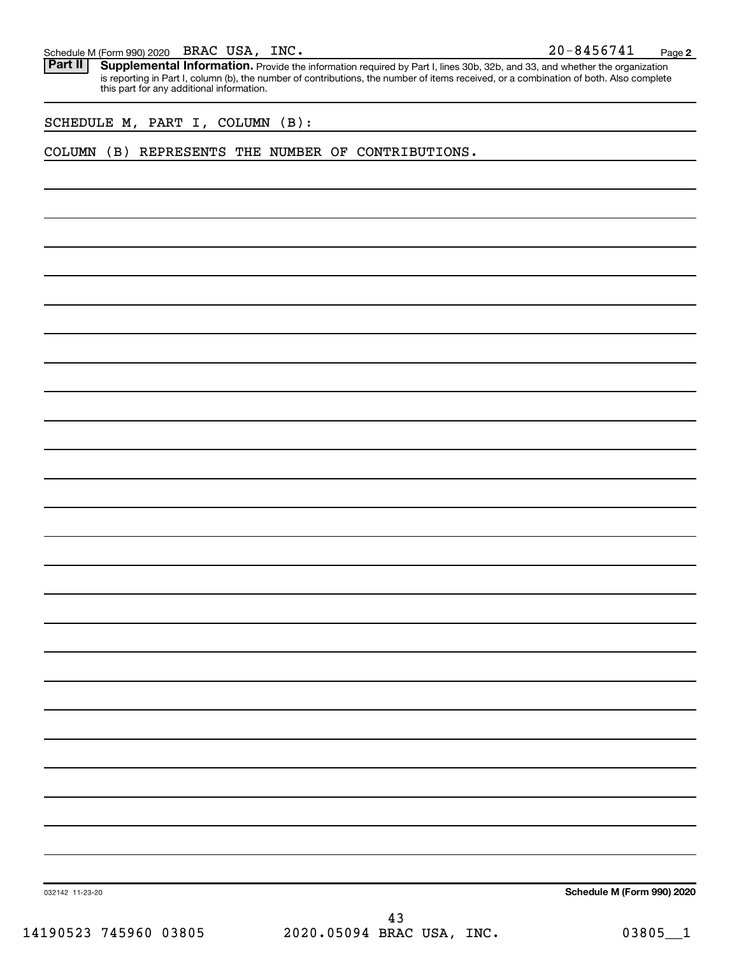| Schedule M (Form 990) 2020 | BRAC | USA. | INC. | $20 - 8456741$ | Page |  |
|----------------------------|------|------|------|----------------|------|--|
|----------------------------|------|------|------|----------------|------|--|

**2** Part II | Supplemental Information. Provide the information required by Part I, lines 30b, 32b, and 33, and whether the organization is reporting in Part I, column (b), the number of contributions, the number of items received, or a combination of both. Also complete this part for any additional information.

SCHEDULE M, PART I, COLUMN (B):

COLUMN (B) REPRESENTS THE NUMBER OF CONTRIBUTIONS.

**Schedule M (Form 990) 2020**

032142 11-23-20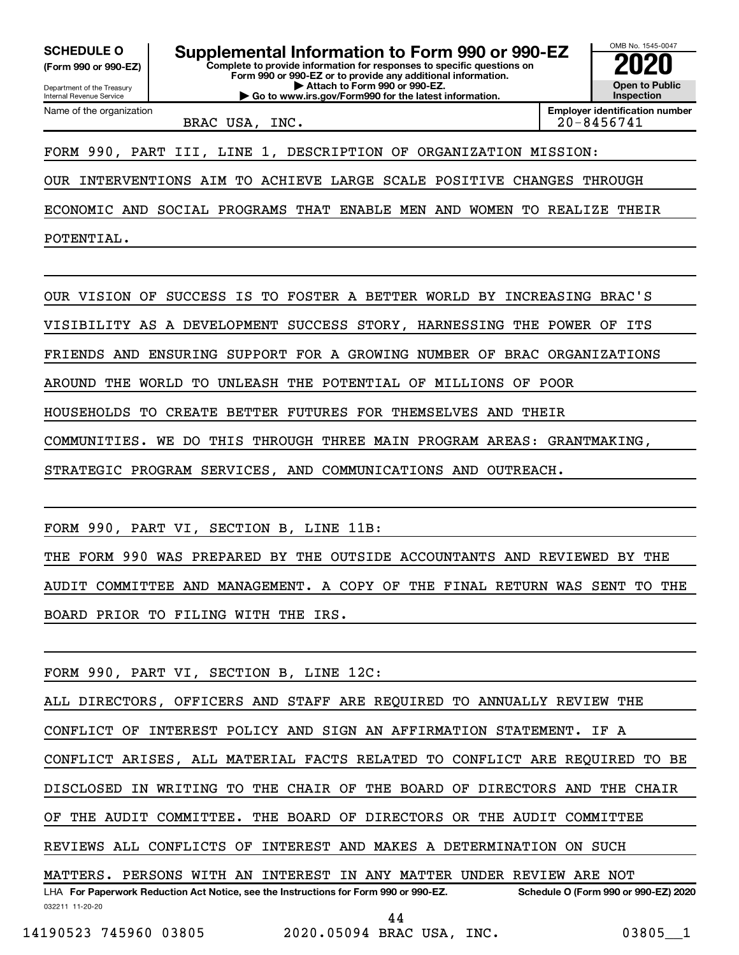**(Form 990 or 990-EZ)**

Department of the Treasury

Name of the organization

Internal Revenue Service

**Complete to provide information for responses to specific questions on Form 990 or 990-EZ or to provide any additional information. | Attach to Form 990 or 990-EZ. | Go to www.irs.gov/Form990 for the latest information. SCHEDULE O Supplemental Information to Form 990 or 990-EZ 2020**<br>(Form 990 or 990-EZ) Complete to provide information for responses to specific questions on

BRAC USA, INC. 20.2012 20.8456741

**Employer identification number**

OMB No. 1545-0047

**Open to Public Inspection**

FORM 990, PART III, LINE 1, DESCRIPTION OF ORGANIZATION MISSION:

OUR INTERVENTIONS AIM TO ACHIEVE LARGE SCALE POSITIVE CHANGES THROUGH

ECONOMIC AND SOCIAL PROGRAMS THAT ENABLE MEN AND WOMEN TO REALIZE THEIR

POTENTIAL.

OUR VISION OF SUCCESS IS TO FOSTER A BETTER WORLD BY INCREASING BRAC'S

VISIBILITY AS A DEVELOPMENT SUCCESS STORY, HARNESSING THE POWER OF ITS

FRIENDS AND ENSURING SUPPORT FOR A GROWING NUMBER OF BRAC ORGANIZATIONS

AROUND THE WORLD TO UNLEASH THE POTENTIAL OF MILLIONS OF POOR

HOUSEHOLDS TO CREATE BETTER FUTURES FOR THEMSELVES AND THEIR

COMMUNITIES. WE DO THIS THROUGH THREE MAIN PROGRAM AREAS: GRANTMAKING,

STRATEGIC PROGRAM SERVICES, AND COMMUNICATIONS AND OUTREACH.

FORM 990, PART VI, SECTION B, LINE 11B:

THE FORM 990 WAS PREPARED BY THE OUTSIDE ACCOUNTANTS AND REVIEWED BY THE AUDIT COMMITTEE AND MANAGEMENT. A COPY OF THE FINAL RETURN WAS SENT TO THE BOARD PRIOR TO FILING WITH THE IRS.

FORM 990, PART VI, SECTION B, LINE 12C:

ALL DIRECTORS, OFFICERS AND STAFF ARE REQUIRED TO ANNUALLY REVIEW THE

CONFLICT OF INTEREST POLICY AND SIGN AN AFFIRMATION STATEMENT. IF A

CONFLICT ARISES, ALL MATERIAL FACTS RELATED TO CONFLICT ARE REQUIRED TO BE

DISCLOSED IN WRITING TO THE CHAIR OF THE BOARD OF DIRECTORS AND THE CHAIR

OF THE AUDIT COMMITTEE. THE BOARD OF DIRECTORS OR THE AUDIT COMMITTEE

REVIEWS ALL CONFLICTS OF INTEREST AND MAKES A DETERMINATION ON SUCH

032211 11-20-20 **For Paperwork Reduction Act Notice, see the Instructions for Form 990 or 990-EZ. Schedule O (Form 990 or 990-EZ) 2020** LHA MATTERS. PERSONS WITH AN INTEREST IN ANY MATTER UNDER REVIEW ARE NOT